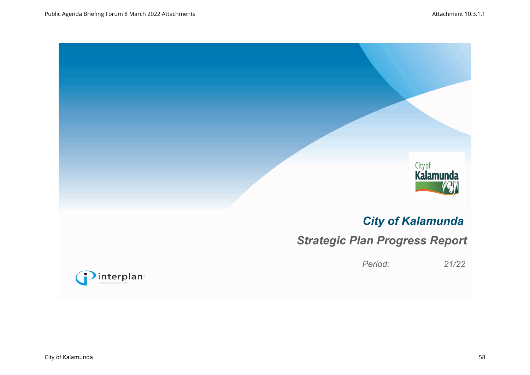

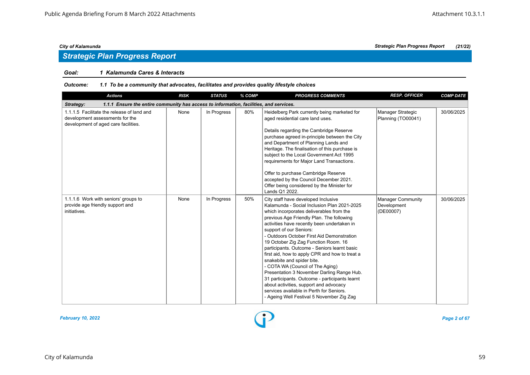# *Strategic Plan Progress Report*

# *Goal: 1 Kalamunda Cares & Interacts*

| <b>Actions</b>                                                                                                        | <b>RISK</b> | <b>STATUS</b> | % COMP | <b>PROGRESS COMMENTS</b>                                                                                                                                                                                                                                                                                                                                                                                                                                                                                                                                                                                                                                                                                                                           | <b>RESP. OFFICER</b>                          | <b>COMP DATE</b> |  |  |  |  |
|-----------------------------------------------------------------------------------------------------------------------|-------------|---------------|--------|----------------------------------------------------------------------------------------------------------------------------------------------------------------------------------------------------------------------------------------------------------------------------------------------------------------------------------------------------------------------------------------------------------------------------------------------------------------------------------------------------------------------------------------------------------------------------------------------------------------------------------------------------------------------------------------------------------------------------------------------------|-----------------------------------------------|------------------|--|--|--|--|
| 1.1.1 Ensure the entire community has access to information, facilities, and services.<br>Strategy:                   |             |               |        |                                                                                                                                                                                                                                                                                                                                                                                                                                                                                                                                                                                                                                                                                                                                                    |                                               |                  |  |  |  |  |
| 1.1.1.5 Facilitate the release of land and<br>development assessments for the<br>development of aged care facilities. | None        | In Progress   | 80%    | Heidelberg Park currently being marketed for<br>aged residential care land uses.<br>Details regarding the Cambridge Reserve<br>purchase agreed in-principle between the City<br>and Department of Planning Lands and<br>Heritage. The finalisation of this purchase is<br>subject to the Local Government Act 1995<br>requirements for Major Land Transactions.<br>Offer to purchase Cambridge Reserve<br>accepted by the Council December 2021.<br>Offer being considered by the Minister for<br>Lands Q1 2022.                                                                                                                                                                                                                                   | Manager Strategic<br>Planning (TO00041)       | 30/06/2025       |  |  |  |  |
| 1.1.1.6 Work with seniors' groups to<br>provide age friendly support and<br>initiatives.                              | None        | In Progress   | 50%    | City staff have developed Inclusive<br>Kalamunda - Social Inclusion Plan 2021-2025<br>which incorporates deliverables from the<br>previous Age Friendly Plan. The following<br>activities have recently been undertaken in<br>support of our Seniors:<br>- Outdoors October First Aid Demonstration<br>19 October Zig Zag Function Room. 16<br>participants. Outcome - Seniors learnt basic<br>first aid, how to apply CPR and how to treat a<br>snakebite and spider bite.<br>- COTA WA (Council of The Aging)<br>Presentation 3 November Darling Range Hub.<br>31 participants. Outcome - participants learnt<br>about activities, support and advocacy<br>services available in Perth for Seniors.<br>- Ageing Well Festival 5 November Zig Zag | Manager Community<br>Development<br>(DE00007) | 30/06/2025       |  |  |  |  |

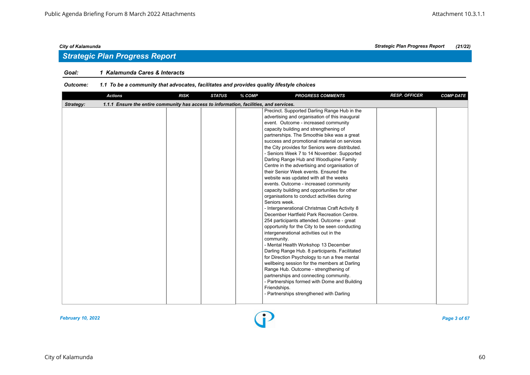# *Strategic Plan Progress Report*

# *Goal: 1 Kalamunda Cares & Interacts*

| <b>Actions</b>                                                                                      | <b>RISK</b> | <b>STATUS</b> | % COMP | <b>PROGRESS COMMENTS</b>                                                                                                                                                                                                                                                                                                                                                                                                                                                                                                                                                                                                                                                                                                                                                                                                                                                                                                                                                                                                                                                                                                                                                                                                                                                                                                                                                    | <b>RESP. OFFICER</b> | <b>COMP DATE</b> |
|-----------------------------------------------------------------------------------------------------|-------------|---------------|--------|-----------------------------------------------------------------------------------------------------------------------------------------------------------------------------------------------------------------------------------------------------------------------------------------------------------------------------------------------------------------------------------------------------------------------------------------------------------------------------------------------------------------------------------------------------------------------------------------------------------------------------------------------------------------------------------------------------------------------------------------------------------------------------------------------------------------------------------------------------------------------------------------------------------------------------------------------------------------------------------------------------------------------------------------------------------------------------------------------------------------------------------------------------------------------------------------------------------------------------------------------------------------------------------------------------------------------------------------------------------------------------|----------------------|------------------|
| 1.1.1 Ensure the entire community has access to information, facilities, and services.<br>Strategy: |             |               |        |                                                                                                                                                                                                                                                                                                                                                                                                                                                                                                                                                                                                                                                                                                                                                                                                                                                                                                                                                                                                                                                                                                                                                                                                                                                                                                                                                                             |                      |                  |
|                                                                                                     |             |               |        | Precinct. Supported Darling Range Hub in the<br>advertising and organisation of this inaugural<br>event. Outcome - increased community<br>capacity building and strengthening of<br>partnerships. The Smoothie bike was a great<br>success and promotional material on services<br>the City provides for Seniors were distributed.<br>- Seniors Week 7 to 14 November. Supported<br>Darling Range Hub and Woodlupine Family<br>Centre in the advertising and organisation of<br>their Senior Week events. Ensured the<br>website was updated with all the weeks<br>events. Outcome - increased community<br>capacity building and opportunities for other<br>organisations to conduct activities during<br>Seniors week.<br>- Intergenerational Christmas Craft Activity 8<br>December Hartfield Park Recreation Centre.<br>254 participants attended. Outcome - great<br>opportunity for the City to be seen conducting<br>intergenerational activities out in the<br>community.<br>- Mental Health Workshop 13 December<br>Darling Range Hub. 8 participants. Facilitated<br>for Direction Psychology to run a free mental<br>wellbeing session for the members at Darling<br>Range Hub. Outcome - strengthening of<br>partnerships and connecting community.<br>- Partnerships formed with Dome and Building<br>Friendships.<br>- Partnerships strengthened with Darling |                      |                  |

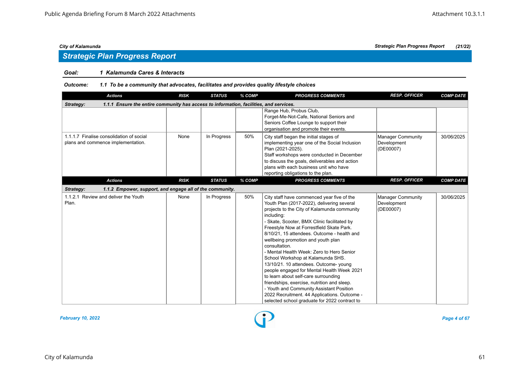# *Strategic Plan Progress Report*

# *Goal: 1 Kalamunda Cares & Interacts*

| <b>Actions</b>                                                                                      | <b>RISK</b> | <b>STATUS</b> | % COMP | <b>PROGRESS COMMENTS</b>                                                                                                                                                                                                                                                                                                                                                                                                                                                                                                                                                                                                                                                                                                                                              | <b>RESP. OFFICER</b>                                 | <b>COMP DATE</b> |  |  |  |
|-----------------------------------------------------------------------------------------------------|-------------|---------------|--------|-----------------------------------------------------------------------------------------------------------------------------------------------------------------------------------------------------------------------------------------------------------------------------------------------------------------------------------------------------------------------------------------------------------------------------------------------------------------------------------------------------------------------------------------------------------------------------------------------------------------------------------------------------------------------------------------------------------------------------------------------------------------------|------------------------------------------------------|------------------|--|--|--|
| 1.1.1 Ensure the entire community has access to information, facilities, and services.<br>Strategy: |             |               |        |                                                                                                                                                                                                                                                                                                                                                                                                                                                                                                                                                                                                                                                                                                                                                                       |                                                      |                  |  |  |  |
|                                                                                                     |             |               |        | Range Hub, Probus Club,<br>Forget-Me-Not-Cafe, National Seniors and<br>Seniors Coffee Lounge to support their<br>organisation and promote their events.                                                                                                                                                                                                                                                                                                                                                                                                                                                                                                                                                                                                               |                                                      |                  |  |  |  |
| 1.1.1.7 Finalise consolidation of social<br>plans and commence implementation.                      | None        | In Progress   | 50%    | City staff began the initial stages of<br>implementing year one of the Social Inclusion<br>Plan (2021-2025).<br>Staff workshops were conducted in December<br>to discuss the goals, deliverables and action<br>plans with each business unit who have<br>reporting obligations to the plan.                                                                                                                                                                                                                                                                                                                                                                                                                                                                           | <b>Manager Community</b><br>Development<br>(DE00007) | 30/06/2025       |  |  |  |
| <b>Actions</b>                                                                                      | <b>RISK</b> | <b>STATUS</b> | % COMP | <b>PROGRESS COMMENTS</b>                                                                                                                                                                                                                                                                                                                                                                                                                                                                                                                                                                                                                                                                                                                                              | <b>RESP. OFFICER</b>                                 | <b>COMP DATE</b> |  |  |  |
| Strategy:<br>1.1.2 Empower, support, and engage all of the community.                               |             |               |        |                                                                                                                                                                                                                                                                                                                                                                                                                                                                                                                                                                                                                                                                                                                                                                       |                                                      |                  |  |  |  |
| 1.1.2.1 Review and deliver the Youth<br>Plan.                                                       | None        | In Progress   | 50%    | City staff have commenced year five of the<br>Youth Plan (2017-2022), delivering several<br>projects to the City of Kalamunda community<br>including:<br>- Skate, Scooter, BMX Clinic facilitated by<br>Freestyle Now at Forrestfield Skate Park.<br>8/10/21, 15 attendees. Outcome - health and<br>wellbeing promotion and youth plan<br>consultation.<br>- Mental Health Week: Zero to Hero Senior<br>School Workshop at Kalamunda SHS.<br>13/10/21. 10 attendees. Outcome- young<br>people engaged for Mental Health Week 2021<br>to learn about self-care surrounding<br>friendships, exercise, nutrition and sleep.<br>- Youth and Community Assistant Position<br>2022 Recruitment. 44 Applications. Outcome -<br>selected school graduate for 2022 contract to | <b>Manager Community</b><br>Development<br>(DE00007) | 30/06/2025       |  |  |  |

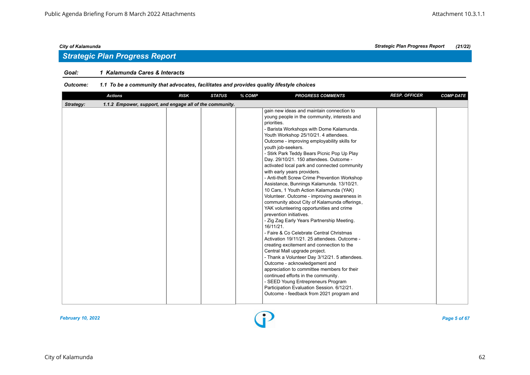# *Strategic Plan Progress Report*

# *Goal: 1 Kalamunda Cares & Interacts*

| <b>Actions</b>                                                        | <b>RISK</b> | <b>STATUS</b> | % COMP | <b>PROGRESS COMMENTS</b>                                                                                                                                                                                                                                                                                                                                                                                                                                                                                                                                                                                                                                                                                                                                                                                                                                                                                                                                                                                                                                                                                                                                                                                                                                                                                | <b>RESP. OFFICER</b> | <b>COMP DATE</b> |  |  |  |  |
|-----------------------------------------------------------------------|-------------|---------------|--------|---------------------------------------------------------------------------------------------------------------------------------------------------------------------------------------------------------------------------------------------------------------------------------------------------------------------------------------------------------------------------------------------------------------------------------------------------------------------------------------------------------------------------------------------------------------------------------------------------------------------------------------------------------------------------------------------------------------------------------------------------------------------------------------------------------------------------------------------------------------------------------------------------------------------------------------------------------------------------------------------------------------------------------------------------------------------------------------------------------------------------------------------------------------------------------------------------------------------------------------------------------------------------------------------------------|----------------------|------------------|--|--|--|--|
| 1.1.2 Empower, support, and engage all of the community.<br>Strategy: |             |               |        |                                                                                                                                                                                                                                                                                                                                                                                                                                                                                                                                                                                                                                                                                                                                                                                                                                                                                                                                                                                                                                                                                                                                                                                                                                                                                                         |                      |                  |  |  |  |  |
|                                                                       |             |               |        | gain new ideas and maintain connection to<br>young people in the community, interests and<br>priorities.<br>- Barista Workshops with Dome Kalamunda.<br>Youth Workshop 25/10/21. 4 attendees.<br>Outcome - improving employability skills for<br>youth job-seekers.<br>- Stirk Park Teddy Bears Picnic Pop Up Play<br>Day. 29/10/21. 150 attendees. Outcome -<br>activated local park and connected community<br>with early years providers.<br>- Anti-theft Screw Crime Prevention Workshop<br>Assistance, Bunnings Kalamunda. 13/10/21.<br>10 Cars, 1 Youth Action Kalamunda (YAK)<br>Volunteer. Outcome - improving awareness in<br>community about City of Kalamunda offerings,<br>YAK volunteering opportunities and crime<br>prevention initiatives.<br>- Zig Zag Early Years Partnership Meeting.<br>16/11/21.<br>- Faire & Co Celebrate Central Christmas<br>Activation 19/11/21. 25 attendees. Outcome -<br>creating excitement and connection to the<br>Central Mall upgrade project.<br>- Thank a Volunteer Day 3/12/21. 5 attendees.<br>Outcome - acknowledgement and<br>appreciation to committee members for their<br>continued efforts in the community.<br>- SEED Young Entrepreneurs Program<br>Participation Evaluation Session. 6/12/21.<br>Outcome - feedback from 2021 program and |                      |                  |  |  |  |  |
|                                                                       |             |               |        |                                                                                                                                                                                                                                                                                                                                                                                                                                                                                                                                                                                                                                                                                                                                                                                                                                                                                                                                                                                                                                                                                                                                                                                                                                                                                                         |                      |                  |  |  |  |  |

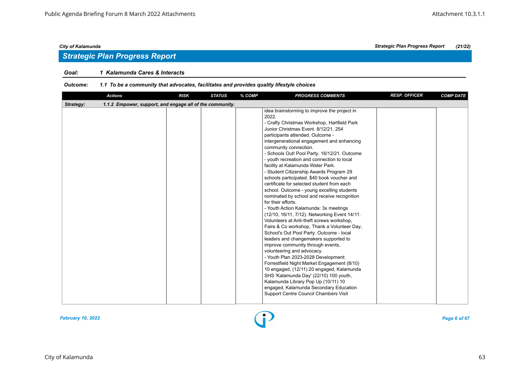# *Strategic Plan Progress Report*

# *Goal: 1 Kalamunda Cares & Interacts*

| <b>Actions</b>                                                        | <b>RISK</b> | <b>STATUS</b> | % COMP | <b>PROGRESS COMMENTS</b>                                                                                                                                                                                                                                                                                                                                                                                                                                                                                                                                                                                                                                                                                                                                                                                                                                                                                                                                                                                                                                                                                                                                                                                                                                                                                   | <b>RESP. OFFICER</b> | <b>COMP DATE</b> |  |  |  |
|-----------------------------------------------------------------------|-------------|---------------|--------|------------------------------------------------------------------------------------------------------------------------------------------------------------------------------------------------------------------------------------------------------------------------------------------------------------------------------------------------------------------------------------------------------------------------------------------------------------------------------------------------------------------------------------------------------------------------------------------------------------------------------------------------------------------------------------------------------------------------------------------------------------------------------------------------------------------------------------------------------------------------------------------------------------------------------------------------------------------------------------------------------------------------------------------------------------------------------------------------------------------------------------------------------------------------------------------------------------------------------------------------------------------------------------------------------------|----------------------|------------------|--|--|--|
| 1.1.2 Empower, support, and engage all of the community.<br>Strategy: |             |               |        |                                                                                                                                                                                                                                                                                                                                                                                                                                                                                                                                                                                                                                                                                                                                                                                                                                                                                                                                                                                                                                                                                                                                                                                                                                                                                                            |                      |                  |  |  |  |
|                                                                       |             |               |        | idea brainstorming to improve the project in<br>2022.<br>- Crafty Christmas Workshop, Hartfield Park<br>Junior Christmas Event, 8/12/21, 254<br>participants attended. Outcome -<br>intergenerational engagement and enhancing<br>community connection.<br>- Schools Out! Pool Party. 16/12/21. Outcome<br>- youth recreation and connection to local<br>facility at Kalamunda Water Park.<br>- Student Citizenship Awards Program 29<br>schools participated. \$40 book voucher and<br>certificate for selected student from each<br>school. Outcome - young excelling students<br>nominated by school and receive recognition<br>for their efforts.<br>- Youth Action Kalamunda: 3x meetings<br>(12/10, 16/11, 7/12). Networking Event 14/11.<br>Volunteers at Anti-theft screws workshop,<br>Faire & Co workshop, Thank a Volunteer Day,<br>School's Out Pool Party. Outcome - local<br>leaders and changemakers supported to<br>improve community through events,<br>volunteering and advocacy.<br>- Youth Plan 2023-2028 Development:<br>Forrestfield Night Market Engagement (8/10)<br>10 engaged, (12/11) 20 engaged, Kalamunda<br>SHS 'Kalamunda Day' (22/10) 100 youth,<br>Kalamunda Library Pop Up (10/11) 10<br>engaged, Kalamunda Secondary Education<br>Support Centre Council Chambers Visit |                      |                  |  |  |  |

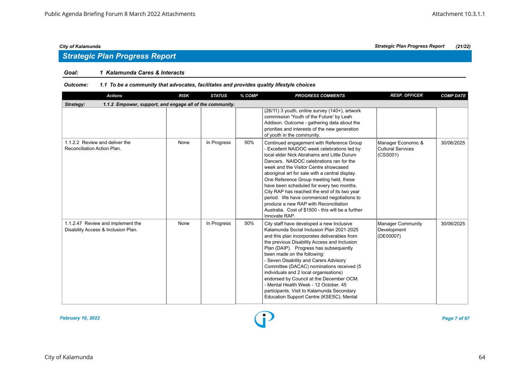# *Strategic Plan Progress Report*

# *Goal: 1 Kalamunda Cares & Interacts*

| <b>Actions</b>                                                           | <b>RISK</b> | <b>STATUS</b> | % COMP | <b>PROGRESS COMMENTS</b>                                                                                                                                                                                                                                                                                                                                                                                                                                                                                                                                                            | <b>RESP. OFFICER</b>                                 | <b>COMP DATE</b> |  |  |  |
|--------------------------------------------------------------------------|-------------|---------------|--------|-------------------------------------------------------------------------------------------------------------------------------------------------------------------------------------------------------------------------------------------------------------------------------------------------------------------------------------------------------------------------------------------------------------------------------------------------------------------------------------------------------------------------------------------------------------------------------------|------------------------------------------------------|------------------|--|--|--|
| 1.1.2 Empower, support, and engage all of the community.<br>Strategy:    |             |               |        |                                                                                                                                                                                                                                                                                                                                                                                                                                                                                                                                                                                     |                                                      |                  |  |  |  |
|                                                                          |             |               |        | (26/11) 3 youth, online survey (140+), artwork<br>commission 'Youth of the Future' by Leah<br>Addison. Outcome - gathering data about the<br>priorities and interests of the new generation<br>of youth in the community.                                                                                                                                                                                                                                                                                                                                                           |                                                      |                  |  |  |  |
| 1.1.2.2 Review and deliver the<br>Reconciliation Action Plan.            | None        | In Progress   | 50%    | Continued engagement with Reference Group<br>- Excellent NAIDOC week celebrations led by<br>local elder Nick Abrahams and Little Durum<br>Dancers. NAIDOC celebrations ran for the<br>week and the Visitor Centre showcased<br>aboriginal art for sale with a central display.<br>One Reference Group meeting held, these<br>have been scheduled for every two months.<br>City RAP has reached the end of its two year<br>period. We have commenced negotiations to<br>produce a new RAP with Reconciliation<br>Australia. Cost of \$1500 - this will be a further<br>Innovate RAP. | Manager Economic &<br>Cultural Services<br>(CSS001)  | 30/06/2025       |  |  |  |
| 1.1.2.47 Review and implement the<br>Disability Access & Inclusion Plan. | None        | In Progress   | 50%    | City staff have developed a new Inclusive<br>Kalamunda Social Inclusion Plan 2021-2025<br>and this plan incorporates deliverables from<br>the previous Disability Access and Inclusion<br>Plan (DAIP). Progress has subsequently<br>been made on the following:<br>- Seven Disability and Carers Advisory<br>Committee (DACAC) nominations received (5<br>individuals and 2 local organisations)<br>endorsed by Council at the December OCM.<br>- Mental Health Week - 12 October, 45<br>participants. Visit to Kalamunda Secondary<br>Education Support Centre (KSESC). Mental     | <b>Manager Community</b><br>Development<br>(DE00007) | 30/06/2025       |  |  |  |

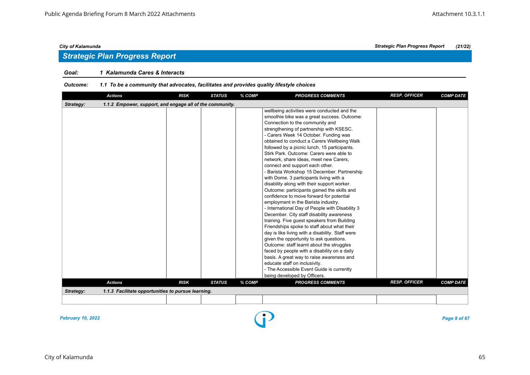# *Goal: 1 Kalamunda Cares & Interacts*

### *Outcome: 1.1 To be a community that advocates, facilitates and provides quality lifestyle choices*

| <b>Actions</b>                                                        | <b>RISK</b> | <b>STATUS</b> | % COMP | <b>PROGRESS COMMENTS</b>                                                                                                                                                                                                                                                                                                                                                                                                                                                                                                                                                                                                                                                                                                                                                                                                                                                                                                                                                                                                                                                                                                                                                                                                                                                   | <b>RESP. OFFICER</b> | <b>COMP DATE</b> |
|-----------------------------------------------------------------------|-------------|---------------|--------|----------------------------------------------------------------------------------------------------------------------------------------------------------------------------------------------------------------------------------------------------------------------------------------------------------------------------------------------------------------------------------------------------------------------------------------------------------------------------------------------------------------------------------------------------------------------------------------------------------------------------------------------------------------------------------------------------------------------------------------------------------------------------------------------------------------------------------------------------------------------------------------------------------------------------------------------------------------------------------------------------------------------------------------------------------------------------------------------------------------------------------------------------------------------------------------------------------------------------------------------------------------------------|----------------------|------------------|
| Strategy:<br>1.1.2 Empower, support, and engage all of the community. |             |               |        |                                                                                                                                                                                                                                                                                                                                                                                                                                                                                                                                                                                                                                                                                                                                                                                                                                                                                                                                                                                                                                                                                                                                                                                                                                                                            |                      |                  |
|                                                                       |             |               |        | wellbeing activities were conducted and the<br>smoothie bike was a great success. Outcome:<br>Connection to the community and<br>strengthening of partnership with KSESC.<br>- Carers Week 14 October. Funding was<br>obtained to conduct a Carers Wellbeing Walk<br>followed by a picnic lunch. 15 participants.<br>Stirk Park. Outcome: Carers were able to<br>network, share ideas, meet new Carers,<br>connect and support each other.<br>- Barista Workshop 15 December. Partnership<br>with Dome. 3 participants living with a<br>disability along with their support worker.<br>Outcome: participants gained the skills and<br>confidence to move forward for potential<br>employment in the Barista industry.<br>- International Day of People with Disability 3<br>December. City staff disability awareness<br>training. Five guest speakers from Building<br>Friendships spoke to staff about what their<br>day is like living with a disability. Staff were<br>given the opportunity to ask questions.<br>Outcome: staff learnt about the struggles<br>faced by people with a disability on a daily<br>basis. A great way to raise awareness and<br>educate staff on inclusivity.<br>- The Accessible Event Guide is currently<br>being developed by Officers. |                      |                  |
| <b>Actions</b>                                                        | <b>RISK</b> | <b>STATUS</b> | % COMP | <b>PROGRESS COMMENTS</b>                                                                                                                                                                                                                                                                                                                                                                                                                                                                                                                                                                                                                                                                                                                                                                                                                                                                                                                                                                                                                                                                                                                                                                                                                                                   | <b>RESP. OFFICER</b> | <b>COMP DATE</b> |
| 1.1.3 Facilitate opportunities to pursue learning.<br>Strategy:       |             |               |        |                                                                                                                                                                                                                                                                                                                                                                                                                                                                                                                                                                                                                                                                                                                                                                                                                                                                                                                                                                                                                                                                                                                                                                                                                                                                            |                      |                  |
|                                                                       |             |               |        |                                                                                                                                                                                                                                                                                                                                                                                                                                                                                                                                                                                                                                                                                                                                                                                                                                                                                                                                                                                                                                                                                                                                                                                                                                                                            |                      |                  |
|                                                                       |             |               |        |                                                                                                                                                                                                                                                                                                                                                                                                                                                                                                                                                                                                                                                                                                                                                                                                                                                                                                                                                                                                                                                                                                                                                                                                                                                                            |                      |                  |

*February 10, 2022 Page 8 of 67*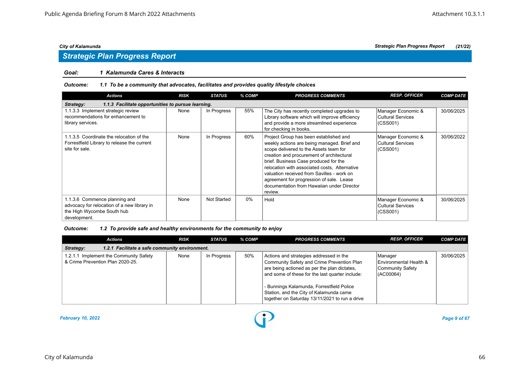# *Strategic Plan Progress Report*

# *Goal: 1 Kalamunda Cares & Interacts*

### *Outcome: 1.1 To be a community that advocates, facilitates and provides quality lifestyle choices*

| <b>Actions</b>                                                                                                             | <b>RISK</b> | <b>STATUS</b>      | % COMP | <b>PROGRESS COMMENTS</b>                                                                                                                                                                                                                                                                                                                                                                                                  | <b>RESP. OFFICER</b>                                | <b>COMP DATE</b> |  |  |  |
|----------------------------------------------------------------------------------------------------------------------------|-------------|--------------------|--------|---------------------------------------------------------------------------------------------------------------------------------------------------------------------------------------------------------------------------------------------------------------------------------------------------------------------------------------------------------------------------------------------------------------------------|-----------------------------------------------------|------------------|--|--|--|
| 1.1.3 Facilitate opportunities to pursue learning.<br>Strategy:                                                            |             |                    |        |                                                                                                                                                                                                                                                                                                                                                                                                                           |                                                     |                  |  |  |  |
| 1.1.3.3 Implement strategic review<br>recommendations for enhancement to<br>library services.                              | None        | In Progress        | 55%    | The City has recently completed upgrades to<br>Library software which will improve efficiency<br>and provide a more streamlined experience<br>for checking in books.                                                                                                                                                                                                                                                      | Manager Economic &<br>Cultural Services<br>(CSS001) | 30/06/2025       |  |  |  |
| 1.1.3.5 Coordinate the relocation of the<br>Forrestfield Library to release the current<br>site for sale.                  | None        | In Progress        | 60%    | Project Group has been established and<br>weekly actions are being managed. Brief and<br>scope delivered to the Assets team for<br>creation and procurement of architectural<br>brief. Business Case produced for the<br>relocation with associated costs, Alternative<br>valuation received from Savilles - work on<br>agreement for progression of sale. Lease<br>documentation from Hawaiian under Director<br>review. | Manager Economic &<br>Cultural Services<br>(CSS001) | 30/06/2022       |  |  |  |
| 1.1.3.6 Commence planning and<br>advocacy for relocation of a new library in<br>the High Wycombe South hub<br>development. | None        | <b>Not Started</b> | $0\%$  | Hold                                                                                                                                                                                                                                                                                                                                                                                                                      | Manager Economic &<br>Cultural Services<br>(CSS001) | 30/06/2025       |  |  |  |

| <b>Actions</b>                                                             | <b>RISK</b> | <b>STATUS</b> | % COMP | <b>PROGRESS COMMENTS</b>                                                                                                                                                                                                                                                                                                           | <b>RESP. OFFICER</b>                                               | <b>COMP DATE</b> |  |  |  |
|----------------------------------------------------------------------------|-------------|---------------|--------|------------------------------------------------------------------------------------------------------------------------------------------------------------------------------------------------------------------------------------------------------------------------------------------------------------------------------------|--------------------------------------------------------------------|------------------|--|--|--|
| 1.2.1 Facilitate a safe community environment.<br>Strategy:                |             |               |        |                                                                                                                                                                                                                                                                                                                                    |                                                                    |                  |  |  |  |
| 1.2.1.1 Implement the Community Safety<br>& Crime Prevention Plan 2020-25. | None        | In Progress   | 50%    | Actions and strategies addressed in the<br>Community Safety and Crime Prevention Plan<br>are being actioned as per the plan dictates,<br>and some of these for the last quarter include:<br>- Bunnings Kalamunda, Forrestfield Police<br>Station, and the City of Kalamunda came<br>together on Saturday 13/11/2021 to run a drive | Manager<br>Environmental Health &<br>Community Safety<br>(AC00064) | 30/06/2025       |  |  |  |

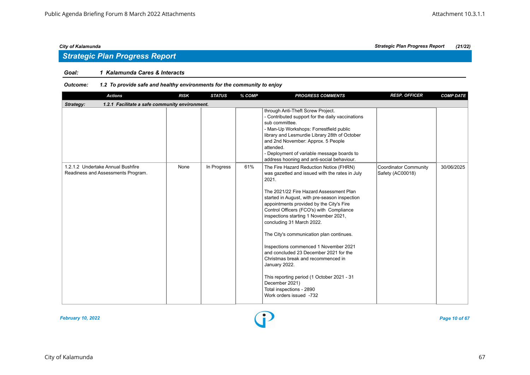# *Strategic Plan Progress Report*

# *Goal: 1 Kalamunda Cares & Interacts*

| <b>Actions</b>                                                          | <b>RISK</b> | <b>STATUS</b> | % COMP | <b>PROGRESS COMMENTS</b>                                                                                                                                                                                                                                                                                                                                                                                                                                                                                                                                                                                                                                                  | <b>RESP. OFFICER</b>                             | <b>COMP DATE</b> |  |  |  |  |
|-------------------------------------------------------------------------|-------------|---------------|--------|---------------------------------------------------------------------------------------------------------------------------------------------------------------------------------------------------------------------------------------------------------------------------------------------------------------------------------------------------------------------------------------------------------------------------------------------------------------------------------------------------------------------------------------------------------------------------------------------------------------------------------------------------------------------------|--------------------------------------------------|------------------|--|--|--|--|
| Strategy:<br>1.2.1 Facilitate a safe community environment.             |             |               |        |                                                                                                                                                                                                                                                                                                                                                                                                                                                                                                                                                                                                                                                                           |                                                  |                  |  |  |  |  |
|                                                                         |             |               |        | through Anti-Theft Screw Project.<br>- Contributed support for the daily vaccinations<br>sub committee.<br>- Man-Up Workshops: Forrestfield public<br>library and Lesmurdie Library 28th of October<br>and 2nd November: Approx. 5 People<br>attended.<br>- Deployment of variable message boards to<br>address hooning and anti-social behaviour.                                                                                                                                                                                                                                                                                                                        |                                                  |                  |  |  |  |  |
| 1.2.1.2 Undertake Annual Bushfire<br>Readiness and Assessments Program. | None        | In Progress   | 61%    | The Fire Hazard Reduction Notice (FHRN)<br>was gazetted and issued with the rates in July<br>2021.<br>The 2021/22 Fire Hazard Assessment Plan<br>started in August, with pre-season inspection<br>appointments provided by the City's Fire<br>Control Officers (FCO's) with Compliance<br>inspections starting 1 November 2021,<br>concluding 31 March 2022.<br>The City's communication plan continues.<br>Inspections commenced 1 November 2021<br>and concluded 23 December 2021 for the<br>Christmas break and recommenced in<br>January 2022.<br>This reporting period (1 October 2021 - 31<br>December 2021)<br>Total inspections - 2890<br>Work orders issued -732 | <b>Coordinator Community</b><br>Safety (AC00018) | 30/06/2025       |  |  |  |  |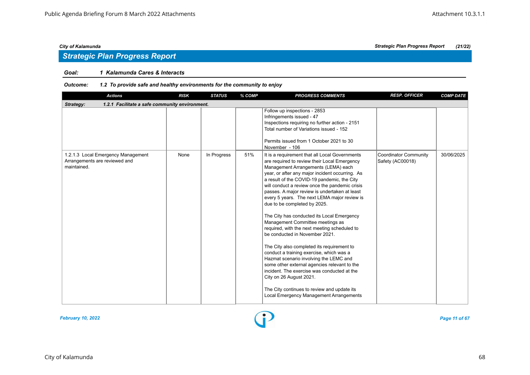# *Strategic Plan Progress Report*

# *Goal: 1 Kalamunda Cares & Interacts*

| <b>Actions</b>                                                                     | <b>RISK</b> | <b>STATUS</b> | % COMP | <b>PROGRESS COMMENTS</b>                                                                                                                                                                                                                                                                                                                                                                                                                                                                                                                                                                                                                                                                                                                                                                                                                                                                                                                               | <b>RESP. OFFICER</b>                             | <b>COMP DATE</b> |  |  |  |  |
|------------------------------------------------------------------------------------|-------------|---------------|--------|--------------------------------------------------------------------------------------------------------------------------------------------------------------------------------------------------------------------------------------------------------------------------------------------------------------------------------------------------------------------------------------------------------------------------------------------------------------------------------------------------------------------------------------------------------------------------------------------------------------------------------------------------------------------------------------------------------------------------------------------------------------------------------------------------------------------------------------------------------------------------------------------------------------------------------------------------------|--------------------------------------------------|------------------|--|--|--|--|
| Strategy:<br>1.2.1 Facilitate a safe community environment.                        |             |               |        |                                                                                                                                                                                                                                                                                                                                                                                                                                                                                                                                                                                                                                                                                                                                                                                                                                                                                                                                                        |                                                  |                  |  |  |  |  |
|                                                                                    |             |               |        | Follow up inspections - 2853<br>Infringements issued - 47<br>Inspections requiring no further action - 2151<br>Total number of Variations issued - 152<br>Permits issued from 1 October 2021 to 30<br>November - 106                                                                                                                                                                                                                                                                                                                                                                                                                                                                                                                                                                                                                                                                                                                                   |                                                  |                  |  |  |  |  |
| 1.2.1.3 Local Emergency Management<br>Arrangements are reviewed and<br>maintained. | None        | In Progress   | 51%    | It is a requirement that all Local Governments<br>are required to review their Local Emergency<br>Management Arrangements (LEMA) each<br>year, or after any major incident occurring. As<br>a result of the COVID-19 pandemic, the City<br>will conduct a review once the pandemic crisis<br>passes. A major review is undertaken at least<br>every 5 years. The next LEMA major review is<br>due to be completed by 2025.<br>The City has conducted its Local Emergency<br>Management Committee meetings as<br>required, with the next meeting scheduled to<br>be conducted in November 2021.<br>The City also completed its requirement to<br>conduct a training exercise, which was a<br>Hazmat scenario involving the LEMC and<br>some other external agencies relevant to the<br>incident. The exercise was conducted at the<br>City on 26 August 2021.<br>The City continues to review and update its<br>Local Emergency Management Arrangements | <b>Coordinator Community</b><br>Safety (AC00018) | 30/06/2025       |  |  |  |  |

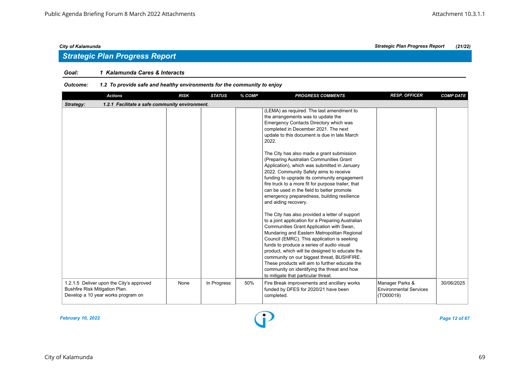### *Goal: 1 Kalamunda Cares & Interacts*

| <b>Actions</b>                                                                                                   | <b>RISK</b> | <b>STATUS</b> | % COMP | <b>PROGRESS COMMENTS</b>                                                                                                                                                                                                                                                                                                                                                                                                                                                                                                                                                                                                                                                                                                                                                                                                                                                                                                                                                                                                                                                                                                              | <b>RESP. OFFICER</b>                                          | <b>COMP DATE</b> |
|------------------------------------------------------------------------------------------------------------------|-------------|---------------|--------|---------------------------------------------------------------------------------------------------------------------------------------------------------------------------------------------------------------------------------------------------------------------------------------------------------------------------------------------------------------------------------------------------------------------------------------------------------------------------------------------------------------------------------------------------------------------------------------------------------------------------------------------------------------------------------------------------------------------------------------------------------------------------------------------------------------------------------------------------------------------------------------------------------------------------------------------------------------------------------------------------------------------------------------------------------------------------------------------------------------------------------------|---------------------------------------------------------------|------------------|
| Strategy:<br>1.2.1 Facilitate a safe community environment.                                                      |             |               |        |                                                                                                                                                                                                                                                                                                                                                                                                                                                                                                                                                                                                                                                                                                                                                                                                                                                                                                                                                                                                                                                                                                                                       |                                                               |                  |
|                                                                                                                  |             |               |        | (LEMA) as required. The last amendment to<br>the arrangements was to update the<br>Emergency Contacts Directory which was<br>completed in December 2021. The next<br>update to this document is due in late March<br>2022.<br>The City has also made a grant submission<br>(Preparing Australian Communities Grant<br>Application), which was submitted in January<br>2022. Community Safety aims to receive<br>funding to upgrade its community engagement<br>fire truck to a more fit for purpose trailer, that<br>can be used in the field to better promote<br>emergency preparedness, building resilience<br>and aiding recovery.<br>The City has also provided a letter of support<br>to a joint application for a Preparing Australian<br>Communities Grant Application with Swan,<br>Mundaring and Eastern Metropolitan Regional<br>Council (EMRC). This application is seeking<br>funds to produce a series of audio visual<br>product, which will be designed to educate the<br>community on our biggest threat, BUSHFIRE.<br>These products will aim to further educate the<br>community on identifying the threat and how |                                                               |                  |
| 1.2.1.5 Deliver upon the City's approved<br>Bushfire Risk Mitigation Plan.<br>Develop a 10 year works program on | None        | In Progress   | 50%    | to mitigate that particular threat.<br>Fire Break improvements and ancillary works<br>funded by DFES for 2020/21 have been<br>completed.                                                                                                                                                                                                                                                                                                                                                                                                                                                                                                                                                                                                                                                                                                                                                                                                                                                                                                                                                                                              | Manager Parks &<br><b>Environmental Services</b><br>(TO00019) | 30/06/2025       |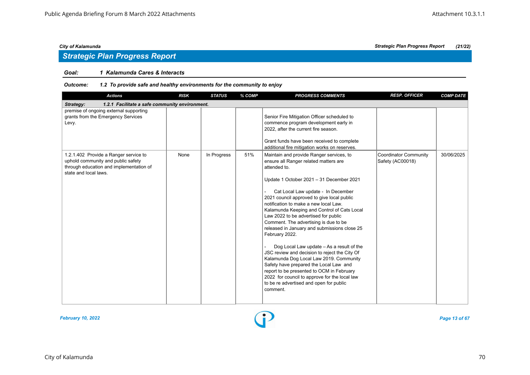# *Strategic Plan Progress Report*

### *Goal: 1 Kalamunda Cares & Interacts*

| <b>Actions</b>                                                                                                                                  | <b>RISK</b> | <b>STATUS</b> | % COMP | <b>PROGRESS COMMENTS</b>                                                                                                                                                                                                                                                                                                                                                                                                                                                                                                                                                                                                                                                                                                                                                                                             | <b>RESP. OFFICER</b>                             | <b>COMP DATE</b> |  |  |  |
|-------------------------------------------------------------------------------------------------------------------------------------------------|-------------|---------------|--------|----------------------------------------------------------------------------------------------------------------------------------------------------------------------------------------------------------------------------------------------------------------------------------------------------------------------------------------------------------------------------------------------------------------------------------------------------------------------------------------------------------------------------------------------------------------------------------------------------------------------------------------------------------------------------------------------------------------------------------------------------------------------------------------------------------------------|--------------------------------------------------|------------------|--|--|--|
| Strategy:<br>1.2.1 Facilitate a safe community environment.                                                                                     |             |               |        |                                                                                                                                                                                                                                                                                                                                                                                                                                                                                                                                                                                                                                                                                                                                                                                                                      |                                                  |                  |  |  |  |
| premise of ongoing external supporting<br>grants from the Emergency Services<br>Levy.                                                           |             |               |        | Senior Fire Mitigation Officer scheduled to<br>commence program development early in<br>2022, after the current fire season.<br>Grant funds have been received to complete<br>additional fire mitigation works on reserves.                                                                                                                                                                                                                                                                                                                                                                                                                                                                                                                                                                                          |                                                  |                  |  |  |  |
| 1.2.1.402 Provide a Ranger service to<br>uphold community and public safety<br>through education and implementation of<br>state and local laws. | None        | In Progress   | 51%    | Maintain and provide Ranger services, to<br>ensure all Ranger related matters are<br>attended to.<br>Update 1 October 2021 - 31 December 2021<br>Cat Local Law update - In December<br>2021 council approved to give local public<br>notification to make a new local Law.<br>Kalamunda Keeping and Control of Cats Local<br>Law 2022 to be advertised for public<br>Comment. The advertising is due to be<br>released in January and submissions close 25<br>February 2022.<br>Dog Local Law update - As a result of the<br>JSC review and decision to reject the City Of<br>Kalamunda Dog Local Law 2019. Community<br>Safety have prepared the Local Law and<br>report to be presented to OCM in February<br>2022 for council to approve for the local law<br>to be re advertised and open for public<br>comment. | <b>Coordinator Community</b><br>Safety (AC00018) | 30/06/2025       |  |  |  |

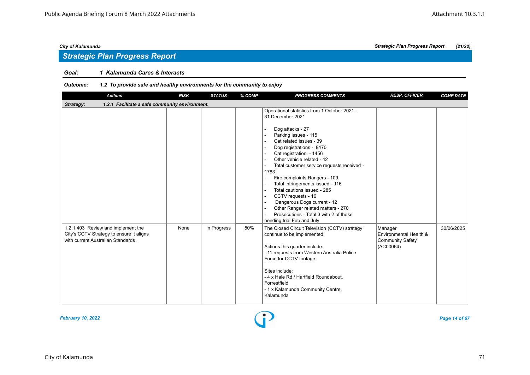# *Goal: 1 Kalamunda Cares & Interacts*

| <b>Actions</b>                                                                                                       | <b>RISK</b> | <b>STATUS</b> | % COMP | <b>PROGRESS COMMENTS</b>                                                                                                                                                                                                                                                                                                                                                                                                                                                                                                                                                                                                                                    | <b>RESP. OFFICER</b>                                                      | <b>COMP DATE</b> |  |  |  |  |
|----------------------------------------------------------------------------------------------------------------------|-------------|---------------|--------|-------------------------------------------------------------------------------------------------------------------------------------------------------------------------------------------------------------------------------------------------------------------------------------------------------------------------------------------------------------------------------------------------------------------------------------------------------------------------------------------------------------------------------------------------------------------------------------------------------------------------------------------------------------|---------------------------------------------------------------------------|------------------|--|--|--|--|
| 1.2.1 Facilitate a safe community environment.<br>Strategy:                                                          |             |               |        |                                                                                                                                                                                                                                                                                                                                                                                                                                                                                                                                                                                                                                                             |                                                                           |                  |  |  |  |  |
|                                                                                                                      |             |               |        | Operational statistics from 1 October 2021 -<br>31 December 2021<br>Dog attacks - 27<br>$\blacksquare$<br>Parking issues - 115<br>Cat related issues - 39<br>$\Delta$<br>Dog registrations - 8470<br>Cat registration - 1456<br>$\sim$<br>Other vehicle related - 42<br>÷.<br>Total customer service requests received -<br>$\blacksquare$<br>1783<br>Fire complaints Rangers - 109<br>$\mathbf{r}$<br>Total infringements issued - 116<br>Total cautions issued - 285<br>CCTV requests - 16<br>$\blacksquare$<br>Dangerous Dogs current - 12<br>Other Ranger related matters - 270<br>Prosecutions - Total 3 with 2 of those<br>pending trial Feb and July |                                                                           |                  |  |  |  |  |
| 1.2.1.403 Review and implement the<br>City's CCTV Strategy to ensure it aligns<br>with current Australian Standards. | None        | In Progress   | 50%    | The Closed Circuit Television (CCTV) strategy<br>continue to be implemented.<br>Actions this quarter include:<br>- 11 requests from Western Australia Police<br>Force for CCTV footage<br>Sites include:<br>- 4 x Hale Rd / Hartfield Roundabout,<br>Forrestfield<br>- 1 x Kalamunda Community Centre,<br>Kalamunda                                                                                                                                                                                                                                                                                                                                         | Manager<br>Environmental Health &<br><b>Community Safety</b><br>(AC00064) | 30/06/2025       |  |  |  |  |

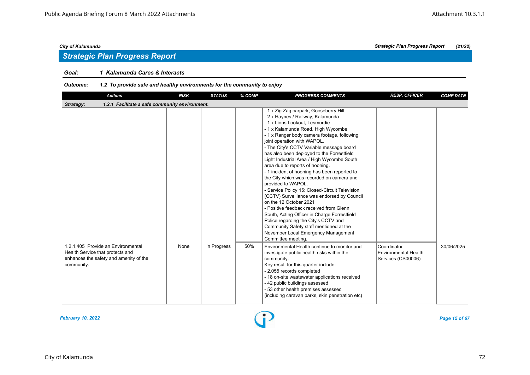# *Strategic Plan Progress Report*

# *Goal: 1 Kalamunda Cares & Interacts*

| <b>Actions</b>                                                                                                                 | <b>RISK</b> | <b>STATUS</b> | % COMP | <b>PROGRESS COMMENTS</b>                                                                                                                                                                                                                                                                                                                                                                                                                                                                                                                                                                                                                                                                                                                                                                                                                                                                              | <b>RESP. OFFICER</b>                                      | <b>COMP DATE</b> |
|--------------------------------------------------------------------------------------------------------------------------------|-------------|---------------|--------|-------------------------------------------------------------------------------------------------------------------------------------------------------------------------------------------------------------------------------------------------------------------------------------------------------------------------------------------------------------------------------------------------------------------------------------------------------------------------------------------------------------------------------------------------------------------------------------------------------------------------------------------------------------------------------------------------------------------------------------------------------------------------------------------------------------------------------------------------------------------------------------------------------|-----------------------------------------------------------|------------------|
| 1.2.1 Facilitate a safe community environment.<br>Strategy:                                                                    |             |               |        |                                                                                                                                                                                                                                                                                                                                                                                                                                                                                                                                                                                                                                                                                                                                                                                                                                                                                                       |                                                           |                  |
|                                                                                                                                |             |               |        | - 1 x Zig Zag carpark, Gooseberry Hill<br>- 2 x Haynes / Railway, Kalamunda<br>- 1 x Lions Lookout. Lesmurdie<br>- 1 x Kalamunda Road, High Wycombe<br>- 1 x Ranger body camera footage, following<br>joint operation with WAPOL.<br>- The City's CCTV Variable message board<br>has also been deployed to the Forrestfield<br>Light Industrial Area / High Wycombe South<br>area due to reports of hooning.<br>- 1 incident of hooning has been reported to<br>the City which was recorded on camera and<br>provided to WAPOL.<br>- Service Policy 15: Closed-Circuit Television<br>(CCTV) Surveillance was endorsed by Council<br>on the 12 October 2021<br>- Positive feedback received from Glenn<br>South, Acting Officer in Charge Forrestfield<br>Police regarding the City's CCTV and<br>Community Safety staff mentioned at the<br>November Local Emergency Management<br>Committee meeting. |                                                           |                  |
| 1.2.1.405 Provide an Environmental<br>Health Service that protects and<br>enhances the safety and amenity of the<br>community. | None        | In Progress   | 50%    | Environmental Health continue to monitor and<br>investigate public health risks within the<br>community.<br>Key result for this quarter include;<br>- 2,055 records completed<br>- 18 on-site wastewater applications received<br>- 42 public buildings assessed<br>- 53 other health premises assessed<br>(including caravan parks, skin penetration etc)                                                                                                                                                                                                                                                                                                                                                                                                                                                                                                                                            | Coordinator<br>Environmental Health<br>Services (CS00006) | 30/06/2025       |

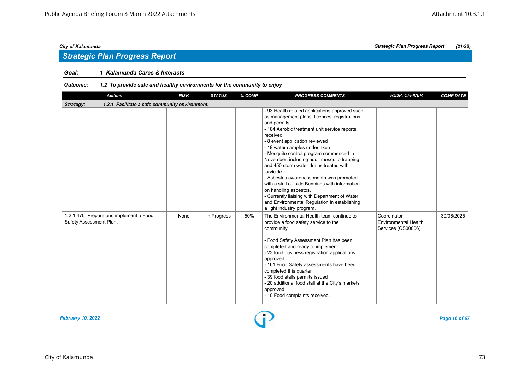# *Strategic Plan Progress Report*

# *Goal: 1 Kalamunda Cares & Interacts*

| <b>Actions</b>                                                    | <b>RISK</b> | <b>STATUS</b> | % COMP | <b>PROGRESS COMMENTS</b>                                                                                                                                                                                                                                                                                                                                                                                                                                                                                                                                                                                                                             | <b>RESP. OFFICER</b>                                             | <b>COMP DATE</b> |  |  |  |
|-------------------------------------------------------------------|-------------|---------------|--------|------------------------------------------------------------------------------------------------------------------------------------------------------------------------------------------------------------------------------------------------------------------------------------------------------------------------------------------------------------------------------------------------------------------------------------------------------------------------------------------------------------------------------------------------------------------------------------------------------------------------------------------------------|------------------------------------------------------------------|------------------|--|--|--|
| 1.2.1 Facilitate a safe community environment.<br>Strategy:       |             |               |        |                                                                                                                                                                                                                                                                                                                                                                                                                                                                                                                                                                                                                                                      |                                                                  |                  |  |  |  |
|                                                                   |             |               |        | - 93 Health related applications approved such<br>as management plans, licences, registrations<br>and permits.<br>- 184 Aerobic treatment unit service reports<br>received<br>- 8 event application reviewed<br>- 19 water samples undertaken<br>- Mosquito control program commenced in<br>November, including adult mosquito trapping<br>and 450 storm water drains treated with<br>larvicide.<br>- Asbestos awareness month was promoted<br>with a stall outside Bunnings with information<br>on handling asbestos.<br>- Currently liaising with Department of Water<br>and Environmental Regulation in establishing<br>a light industry program. |                                                                  |                  |  |  |  |
| 1.2.1.470 Prepare and implement a Food<br>Safety Assessment Plan. | None        | In Progress   | 50%    | The Environmental Health team continue to<br>provide a food safety service to the<br>community<br>- Food Safety Assessment Plan has been<br>completed and ready to implement.<br>- 23 food business registration applications<br>approved<br>- 161 Food Safety assessments have been<br>completed this quarter<br>- 39 food stalls permits issued<br>- 20 additional food stall at the City's markets<br>approved.<br>- 10 Food complaints received.                                                                                                                                                                                                 | Coordinator<br><b>Environmental Health</b><br>Services (CS00006) | 30/06/2025       |  |  |  |

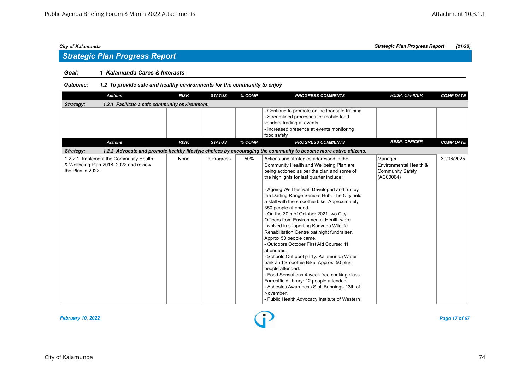# *Strategic Plan Progress Report*

# *Goal: 1 Kalamunda Cares & Interacts*

| <b>Actions</b>                                                                                       | <b>RISK</b> | <b>STATUS</b> | % COMP | <b>PROGRESS COMMENTS</b>                                                                                                                                                                                                                                                                                                                                                                                                                                                                                                                                                                                                                                                                                                                                                                                                                                                                                                                     | <b>RESP. OFFICER</b>                                                      | <b>COMP DATE</b> |  |  |  |
|------------------------------------------------------------------------------------------------------|-------------|---------------|--------|----------------------------------------------------------------------------------------------------------------------------------------------------------------------------------------------------------------------------------------------------------------------------------------------------------------------------------------------------------------------------------------------------------------------------------------------------------------------------------------------------------------------------------------------------------------------------------------------------------------------------------------------------------------------------------------------------------------------------------------------------------------------------------------------------------------------------------------------------------------------------------------------------------------------------------------------|---------------------------------------------------------------------------|------------------|--|--|--|
| 1.2.1 Facilitate a safe community environment.<br>Strategy:                                          |             |               |        |                                                                                                                                                                                                                                                                                                                                                                                                                                                                                                                                                                                                                                                                                                                                                                                                                                                                                                                                              |                                                                           |                  |  |  |  |
|                                                                                                      |             |               |        | - Continue to promote online foodsafe training<br>- Streamlined processes for mobile food<br>vendors trading at events<br>- Increased presence at events monitoring<br>food safety                                                                                                                                                                                                                                                                                                                                                                                                                                                                                                                                                                                                                                                                                                                                                           |                                                                           |                  |  |  |  |
| <b>Actions</b>                                                                                       | <b>RISK</b> | <b>STATUS</b> | % COMP | <b>PROGRESS COMMENTS</b>                                                                                                                                                                                                                                                                                                                                                                                                                                                                                                                                                                                                                                                                                                                                                                                                                                                                                                                     | <b>RESP. OFFICER</b>                                                      | <b>COMP DATE</b> |  |  |  |
| Strategy:                                                                                            |             |               |        | 1.2.2 Advocate and promote healthy lifestyle choices by encouraging the community to become more active citizens.                                                                                                                                                                                                                                                                                                                                                                                                                                                                                                                                                                                                                                                                                                                                                                                                                            |                                                                           |                  |  |  |  |
| 1.2.2.1 Implement the Community Health<br>& Wellbeing Plan 2018-2022 and review<br>the Plan in 2022. | None        | In Progress   | 50%    | Actions and strategies addressed in the<br>Community Health and Wellbeing Plan are<br>being actioned as per the plan and some of<br>the highlights for last quarter include:<br>- Ageing Well festival: Developed and run by<br>the Darling Range Seniors Hub. The City held<br>a stall with the smoothie bike. Approximately<br>350 people attended.<br>- On the 30th of October 2021 two City<br>Officers from Environmental Health were<br>involved in supporting Kanyana Wildlife<br>Rehabilitation Centre bat night fundraiser.<br>Approx 50 people came.<br>- Outdoors October First Aid Course: 11<br>attendees.<br>- Schools Out pool party: Kalamunda Water<br>park and Smoothie Bike: Approx. 50 plus<br>people attended.<br>- Food Sensations 4-week free cooking class<br>Forrestfield library: 12 people attended.<br>- Asbestos Awareness Stall Bunnings 13th of<br>November.<br>- Public Health Advocacy Institute of Western | Manager<br>Environmental Health &<br><b>Community Safety</b><br>(AC00064) | 30/06/2025       |  |  |  |

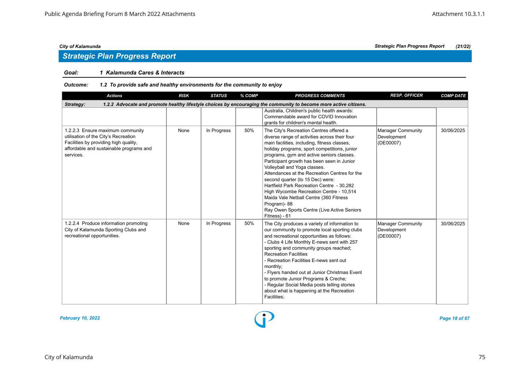# *Strategic Plan Progress Report*

# *Goal: 1 Kalamunda Cares & Interacts*

| <b>Actions</b>                                                                                                                                                            | <b>RISK</b> | <b>STATUS</b> | % COMP | <b>PROGRESS COMMENTS</b>                                                                                                                                                                                                                                                                                                                                                                                                                                                                                                                                                                                                  | <b>RESP. OFFICER</b>                                 | <b>COMP DATE</b> |  |  |  |
|---------------------------------------------------------------------------------------------------------------------------------------------------------------------------|-------------|---------------|--------|---------------------------------------------------------------------------------------------------------------------------------------------------------------------------------------------------------------------------------------------------------------------------------------------------------------------------------------------------------------------------------------------------------------------------------------------------------------------------------------------------------------------------------------------------------------------------------------------------------------------------|------------------------------------------------------|------------------|--|--|--|
| Strategy:<br>1.2.2 Advocate and promote healthy lifestyle choices by encouraging the community to become more active citizens.                                            |             |               |        |                                                                                                                                                                                                                                                                                                                                                                                                                                                                                                                                                                                                                           |                                                      |                  |  |  |  |
|                                                                                                                                                                           |             |               |        | Australia, Children's public health awards:<br>Commendable award for COVID Innovation<br>grants for children's mental health.                                                                                                                                                                                                                                                                                                                                                                                                                                                                                             |                                                      |                  |  |  |  |
| 1.2.2.3 Ensure maximum community<br>utilisation of the City's Recreation<br>Facilities by providing high quality,<br>affordable and sustainable programs and<br>services. | None        | In Progress   | 50%    | The City's Recreation Centres offered a<br>diverse range of activities across their four<br>main facilities, including, fitness classes,<br>holiday programs, sport competitions, junior<br>programs, gym and active seniors classes.<br>Participant growth has been seen in Junior<br>Volleyball and Yoga classes.<br>Attendances at the Recreation Centres for the<br>second quarter (to 15 Dec) were:<br>Hartfield Park Recreation Centre - 30.282<br>High Wycombe Recreation Centre - 10,514<br>Maida Vale Netball Centre (360 Fitness<br>Program)-88<br>Ray Owen Sports Centre (Live Active Seniors<br>Fitness) - 61 | <b>Manager Community</b><br>Development<br>(DE00007) | 30/06/2025       |  |  |  |
| 1.2.2.4 Produce information promoting<br>City of Kalamunda Sporting Clubs and<br>recreational opportunities.                                                              | None        | In Progress   | 50%    | The City produces a variety of information to<br>our community to promote local sporting clubs<br>and recreational opportunities as follows:<br>- Clubs 4 Life Monthly E-news sent with 257<br>sporting and community groups reached;<br><b>Recreation Facilities</b><br>- Recreation Facilities E-news sent out<br>monthly;<br>- Flyers handed out at Junior Christmas Event<br>to promote Junior Programs & Creche;<br>- Regular Social Media posts telling stories<br>about what is happening at the Recreation<br>Facilities;                                                                                         | <b>Manager Community</b><br>Development<br>(DE00007) | 30/06/2025       |  |  |  |

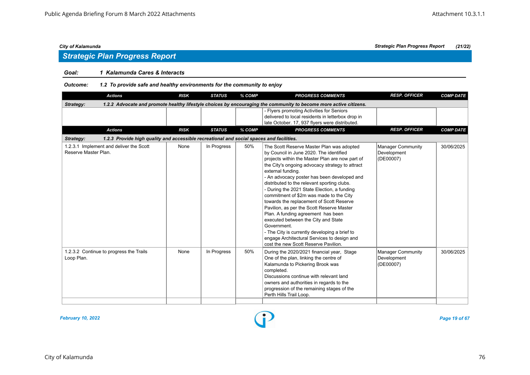# *Strategic Plan Progress Report*

# *Goal: 1 Kalamunda Cares & Interacts*

*Outcome: 1.2 To provide safe and healthy environments for the community to enjoy*

| <b>Actions</b>                                                                                                                 | <b>RISK</b> | <b>STATUS</b> | % COMP | <b>PROGRESS COMMENTS</b>                                                                                                                                                                                                                                                                                                                                                                                                                                                                                                                                                                                                                                                                                                             | <b>RESP. OFFICER</b>                                 | <b>COMP DATE</b> |  |  |  |
|--------------------------------------------------------------------------------------------------------------------------------|-------------|---------------|--------|--------------------------------------------------------------------------------------------------------------------------------------------------------------------------------------------------------------------------------------------------------------------------------------------------------------------------------------------------------------------------------------------------------------------------------------------------------------------------------------------------------------------------------------------------------------------------------------------------------------------------------------------------------------------------------------------------------------------------------------|------------------------------------------------------|------------------|--|--|--|
| 1.2.2 Advocate and promote healthy lifestyle choices by encouraging the community to become more active citizens.<br>Strategy: |             |               |        |                                                                                                                                                                                                                                                                                                                                                                                                                                                                                                                                                                                                                                                                                                                                      |                                                      |                  |  |  |  |
|                                                                                                                                |             |               |        | - Flyers promoting Activities for Seniors<br>delivered to local residents in letterbox drop in<br>late October. 17, 937 flyers were distributed.                                                                                                                                                                                                                                                                                                                                                                                                                                                                                                                                                                                     |                                                      |                  |  |  |  |
| <b>Actions</b>                                                                                                                 | <b>RISK</b> | <b>STATUS</b> | % COMP | <b>PROGRESS COMMENTS</b>                                                                                                                                                                                                                                                                                                                                                                                                                                                                                                                                                                                                                                                                                                             | <b>RESP. OFFICER</b>                                 | <b>COMP DATE</b> |  |  |  |
| 1.2.3 Provide high quality and accessible recreational and social spaces and facilities.<br>Strategy:                          |             |               |        |                                                                                                                                                                                                                                                                                                                                                                                                                                                                                                                                                                                                                                                                                                                                      |                                                      |                  |  |  |  |
| 1.2.3.1 Implement and deliver the Scott<br>Reserve Master Plan.                                                                | None        | In Progress   | 50%    | The Scott Reserve Master Plan was adopted<br>by Council in June 2020. The identified<br>projects within the Master Plan are now part of<br>the City's ongoing advocacy strategy to attract<br>external funding.<br>- An advocacy poster has been developed and<br>distributed to the relevant sporting clubs.<br>- During the 2021 State Election, a funding<br>commitment of \$2m was made to the City<br>towards the replacement of Scott Reserve<br>Pavilion, as per the Scott Reserve Master<br>Plan. A funding agreement has been<br>executed between the City and State<br>Government.<br>- The City is currently developing a brief to<br>engage Architectural Services to design and<br>cost the new Scott Reserve Pavilion. | <b>Manager Community</b><br>Development<br>(DE00007) | 30/06/2025       |  |  |  |
| 1.2.3.2 Continue to progress the Trails<br>Loop Plan.                                                                          | None        | In Progress   | 50%    | During the 2020/2021 financial year, Stage<br>One of the plan, linking the centre of<br>Kalamunda to Pickering Brook was<br>completed.<br>Discussions continue with relevant land<br>owners and authorities in regards to the<br>progression of the remaining stages of the<br>Perth Hills Trail Loop.                                                                                                                                                                                                                                                                                                                                                                                                                               | <b>Manager Community</b><br>Development<br>(DE00007) | 30/06/2025       |  |  |  |

*February 10, 2022 Page 19 of 67*

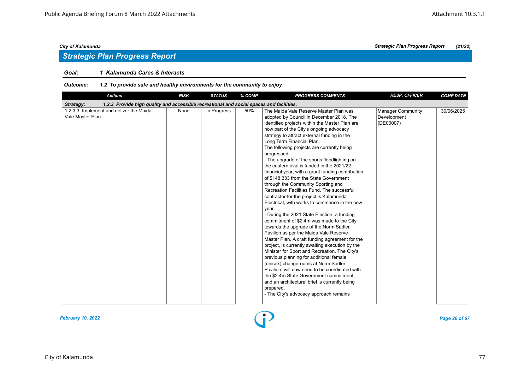# *Strategic Plan Progress Report*

# *Goal: 1 Kalamunda Cares & Interacts*

| <b>Actions</b>                                                                                        | <b>RISK</b> | <b>STATUS</b> | $%$ COMP | <b>PROGRESS COMMENTS</b>                                                                                                                                                                                                                                                                                                                                                                                                                                                                                                                                                                                                                                                                                                                                                                                                                                                                                                                                                                                                                                                                                                                                                                                                                                                                                                                   | <b>RESP. OFFICER</b>                          | <b>COMP DATE</b> |  |  |  |
|-------------------------------------------------------------------------------------------------------|-------------|---------------|----------|--------------------------------------------------------------------------------------------------------------------------------------------------------------------------------------------------------------------------------------------------------------------------------------------------------------------------------------------------------------------------------------------------------------------------------------------------------------------------------------------------------------------------------------------------------------------------------------------------------------------------------------------------------------------------------------------------------------------------------------------------------------------------------------------------------------------------------------------------------------------------------------------------------------------------------------------------------------------------------------------------------------------------------------------------------------------------------------------------------------------------------------------------------------------------------------------------------------------------------------------------------------------------------------------------------------------------------------------|-----------------------------------------------|------------------|--|--|--|
| 1.2.3 Provide high quality and accessible recreational and social spaces and facilities.<br>Strategy: |             |               |          |                                                                                                                                                                                                                                                                                                                                                                                                                                                                                                                                                                                                                                                                                                                                                                                                                                                                                                                                                                                                                                                                                                                                                                                                                                                                                                                                            |                                               |                  |  |  |  |
| 1.2.3.3 Implement and deliver the Maida<br>Vale Master Plan.                                          | None        | In Progress   | 50%      | The Maida Vale Reserve Master Plan was<br>adopted by Council in December 2018. The<br>identified projects within the Master Plan are<br>now part of the City's ongoing advocacy<br>strategy to attract external funding in the<br>Long Term Financial Plan.<br>The following projects are currently being<br>progressed:<br>- The upgrade of the sports floodlighting on<br>the eastern oval is funded in the 2021/22<br>financial year, with a grant funding contribution<br>of \$148,333 from the State Government<br>through the Community Sporting and<br>Recreation Facilities Fund. The successful<br>contractor for the project is Kalamunda<br>Electrical, with works to commence in the new<br>year.<br>- During the 2021 State Election, a funding<br>commitment of \$2.4m was made to the City<br>towards the upgrade of the Norm Sadler<br>Pavilion as per the Maida Vale Reserve<br>Master Plan. A draft funding agreement for the<br>project, is currently awaiting execution by the<br>Minister for Sport and Recreation. The City's<br>previous planning for additional female<br>(unisex) changerooms at Norm Sadler<br>Pavilion, will now need to be coordinated with<br>the \$2.4m State Government commitment,<br>and an architectural brief is currently being<br>prepared.<br>- The City's advocacy approach remains | Manager Community<br>Development<br>(DE00007) | 30/06/2025       |  |  |  |

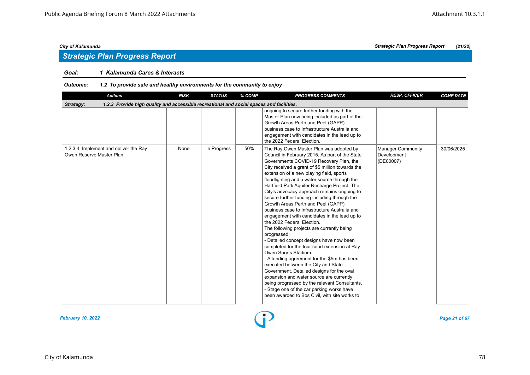# *Strategic Plan Progress Report*

# *Goal: 1 Kalamunda Cares & Interacts*

| <b>Actions</b>                                                                                        | <b>RISK</b> | <b>STATUS</b> | % COMP | <b>PROGRESS COMMENTS</b>                                                                                                                                                                                                                                                                                                                                                                                                                                                                                                                                                                                                                                                                                                                                                                                                                                                                                                                                                                                                                                                                                                 | <b>RESP. OFFICER</b>                                 | <b>COMP DATE</b> |  |  |  |  |
|-------------------------------------------------------------------------------------------------------|-------------|---------------|--------|--------------------------------------------------------------------------------------------------------------------------------------------------------------------------------------------------------------------------------------------------------------------------------------------------------------------------------------------------------------------------------------------------------------------------------------------------------------------------------------------------------------------------------------------------------------------------------------------------------------------------------------------------------------------------------------------------------------------------------------------------------------------------------------------------------------------------------------------------------------------------------------------------------------------------------------------------------------------------------------------------------------------------------------------------------------------------------------------------------------------------|------------------------------------------------------|------------------|--|--|--|--|
| 1.2.3 Provide high quality and accessible recreational and social spaces and facilities.<br>Strategy: |             |               |        |                                                                                                                                                                                                                                                                                                                                                                                                                                                                                                                                                                                                                                                                                                                                                                                                                                                                                                                                                                                                                                                                                                                          |                                                      |                  |  |  |  |  |
|                                                                                                       |             |               |        | ongoing to secure further funding with the<br>Master Plan now being included as part of the<br>Growth Areas Perth and Peel (GAPP)<br>business case to Infrastructure Australia and<br>engagement with candidates in the lead up to<br>the 2022 Federal Election.                                                                                                                                                                                                                                                                                                                                                                                                                                                                                                                                                                                                                                                                                                                                                                                                                                                         |                                                      |                  |  |  |  |  |
| 1.2.3.4 Implement and deliver the Ray<br>Owen Reserve Master Plan.                                    | None        | In Progress   | 50%    | The Ray Owen Master Plan was adopted by<br>Council in February 2015. As part of the State<br>Governments COVID-19 Recovery Plan, the<br>City received a grant of \$5 million towards the<br>extension of a new playing field, sports<br>floodlighting and a water source through the<br>Hartfield Park Aquifer Recharge Project. The<br>City's advocacy approach remains ongoing to<br>secure further funding including through the<br>Growth Areas Perth and Peel (GAPP)<br>business case to Infrastructure Australia and<br>engagement with candidates in the lead up to<br>the 2022 Federal Election.<br>The following projects are currently being<br>progressed:<br>- Detailed concept designs have now been<br>completed for the four court extension at Ray<br>Owen Sports Stadium.<br>- A funding agreement for the \$5m has been<br>executed between the City and State<br>Government. Detailed designs for the oval<br>expansion and water source are currently<br>being progressed by the relevant Consultants.<br>- Stage one of the car parking works have<br>been awarded to Bos Civil, with site works to | <b>Manager Community</b><br>Development<br>(DE00007) | 30/06/2025       |  |  |  |  |

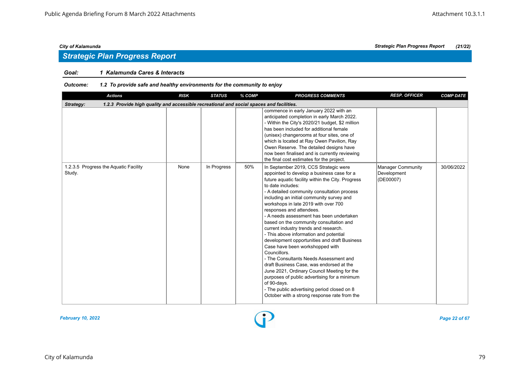# *Strategic Plan Progress Report*

# *Goal: 1 Kalamunda Cares & Interacts*

| <b>Actions</b>                                                                                        | <b>RISK</b> | <b>STATUS</b> | % COMP | <b>PROGRESS COMMENTS</b>                                                                                                                                                                                                                                                                                                                                                                                                                                                                                                                                                                                                                                                                                                                                                                                                                                                                                      | <b>RESP. OFFICER</b>                                 | <b>COMP DATE</b> |  |  |  |
|-------------------------------------------------------------------------------------------------------|-------------|---------------|--------|---------------------------------------------------------------------------------------------------------------------------------------------------------------------------------------------------------------------------------------------------------------------------------------------------------------------------------------------------------------------------------------------------------------------------------------------------------------------------------------------------------------------------------------------------------------------------------------------------------------------------------------------------------------------------------------------------------------------------------------------------------------------------------------------------------------------------------------------------------------------------------------------------------------|------------------------------------------------------|------------------|--|--|--|
| 1.2.3 Provide high quality and accessible recreational and social spaces and facilities.<br>Strategy: |             |               |        |                                                                                                                                                                                                                                                                                                                                                                                                                                                                                                                                                                                                                                                                                                                                                                                                                                                                                                               |                                                      |                  |  |  |  |
|                                                                                                       |             |               |        | commence in early January 2022 with an<br>anticipated completion in early March 2022.<br>- Within the City's 2020/21 budget, \$2 million<br>has been included for additional female<br>(unisex) changerooms at four sites, one of<br>which is located at Ray Owen Pavilion, Ray<br>Owen Reserve. The detailed designs have<br>now been finalised and is currently reviewing<br>the final cost estimates for the project.                                                                                                                                                                                                                                                                                                                                                                                                                                                                                      |                                                      |                  |  |  |  |
| 1.2.3.5 Progress the Aquatic Facility<br>Study.                                                       | None        | In Progress   | 50%    | In September 2019, CCS Strategic were<br>appointed to develop a business case for a<br>future aquatic facility within the City. Progress<br>to date includes:<br>- A detailed community consultation process<br>including an initial community survey and<br>workshops in late 2019 with over 700<br>responses and attendees.<br>- A needs assessment has been undertaken<br>based on the community consultation and<br>current industry trends and research.<br>- This above information and potential<br>development opportunities and draft Business<br>Case have been workshopped with<br>Councillors.<br>- The Consultants Needs Assessment and<br>draft Business Case, was endorsed at the<br>June 2021, Ordinary Council Meeting for the<br>purposes of public advertising for a minimum<br>of 90-days.<br>- The public advertising period closed on 8<br>October with a strong response rate from the | <b>Manager Community</b><br>Development<br>(DE00007) | 30/06/2022       |  |  |  |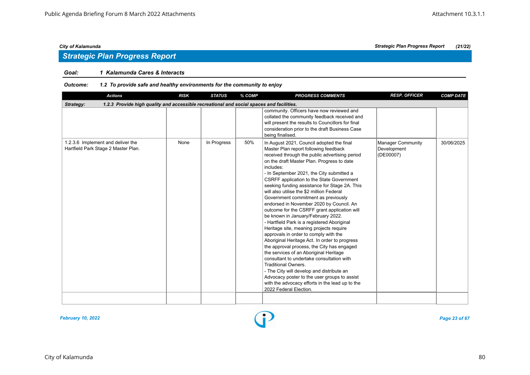# *Strategic Plan Progress Report*

# *Goal: 1 Kalamunda Cares & Interacts*

| <b>Actions</b>                                                                                        | <b>RISK</b> | <b>STATUS</b> | % COMP | <b>PROGRESS COMMENTS</b>                                                                                                                                                                                                                                                                                                                                                                                                                                                                                                                                                                                                                                                                                                                                                                                                                                                                                                                                                                                                                                                                   | <b>RESP. OFFICER</b>                          | <b>COMP DATE</b> |  |  |  |  |
|-------------------------------------------------------------------------------------------------------|-------------|---------------|--------|--------------------------------------------------------------------------------------------------------------------------------------------------------------------------------------------------------------------------------------------------------------------------------------------------------------------------------------------------------------------------------------------------------------------------------------------------------------------------------------------------------------------------------------------------------------------------------------------------------------------------------------------------------------------------------------------------------------------------------------------------------------------------------------------------------------------------------------------------------------------------------------------------------------------------------------------------------------------------------------------------------------------------------------------------------------------------------------------|-----------------------------------------------|------------------|--|--|--|--|
| 1.2.3 Provide high quality and accessible recreational and social spaces and facilities.<br>Strategy: |             |               |        |                                                                                                                                                                                                                                                                                                                                                                                                                                                                                                                                                                                                                                                                                                                                                                                                                                                                                                                                                                                                                                                                                            |                                               |                  |  |  |  |  |
|                                                                                                       |             |               |        | community. Officers have now reviewed and<br>collated the community feedback received and<br>will present the results to Councillors for final<br>consideration prior to the draft Business Case<br>being finalised.                                                                                                                                                                                                                                                                                                                                                                                                                                                                                                                                                                                                                                                                                                                                                                                                                                                                       |                                               |                  |  |  |  |  |
| 1.2.3.6 Implement and deliver the<br>Hartfield Park Stage 2 Master Plan.                              | None        | In Progress   | 50%    | In August 2021, Council adopted the final<br>Master Plan report following feedback<br>received through the public advertising period<br>on the draft Master Plan. Progress to date<br>includes:<br>- In September 2021, the City submitted a<br>CSRFF application to the State Government<br>seeking funding assistance for Stage 2A. This<br>will also utilise the \$2 million Federal<br>Government commitment as previously<br>endorsed in November 2020 by Council. An<br>outcome for the CSRFF grant application will<br>be known in January/February 2022.<br>- Hartfield Park is a registered Aboriginal<br>Heritage site, meaning projects require<br>approvals in order to comply with the<br>Aboriginal Heritage Act. In order to progress<br>the approval process, the City has engaged<br>the services of an Aboriginal Heritage<br>consultant to undertake consultation with<br>Traditional Owners.<br>- The City will develop and distribute an<br>Advocacy poster to the user groups to assist<br>with the advocacy efforts in the lead up to the<br>2022 Federal Election. | Manager Community<br>Development<br>(DE00007) | 30/06/2025       |  |  |  |  |
|                                                                                                       |             |               |        |                                                                                                                                                                                                                                                                                                                                                                                                                                                                                                                                                                                                                                                                                                                                                                                                                                                                                                                                                                                                                                                                                            |                                               |                  |  |  |  |  |

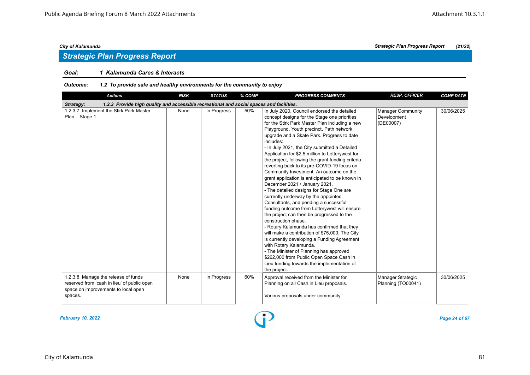# *Strategic Plan Progress Report*

# *Goal: 1 Kalamunda Cares & Interacts*

| <b>Actions</b>                                                                                                                       | <b>RISK</b> | <b>STATUS</b> | % COMP | <b>PROGRESS COMMENTS</b>                                                                                                                                                                                                                                                                                                                                                                                                                                                                                                                                                                                                                                                                                                                                                                                                                                                                                                                                                                                                                                                                                                                                                   | <b>RESP. OFFICER</b>                          | <b>COMP DATE</b> |  |  |  |  |
|--------------------------------------------------------------------------------------------------------------------------------------|-------------|---------------|--------|----------------------------------------------------------------------------------------------------------------------------------------------------------------------------------------------------------------------------------------------------------------------------------------------------------------------------------------------------------------------------------------------------------------------------------------------------------------------------------------------------------------------------------------------------------------------------------------------------------------------------------------------------------------------------------------------------------------------------------------------------------------------------------------------------------------------------------------------------------------------------------------------------------------------------------------------------------------------------------------------------------------------------------------------------------------------------------------------------------------------------------------------------------------------------|-----------------------------------------------|------------------|--|--|--|--|
| 1.2.3 Provide high quality and accessible recreational and social spaces and facilities.<br>Strategy:                                |             |               |        |                                                                                                                                                                                                                                                                                                                                                                                                                                                                                                                                                                                                                                                                                                                                                                                                                                                                                                                                                                                                                                                                                                                                                                            |                                               |                  |  |  |  |  |
| 1.2.3.7 Implement the Stirk Park Master<br>Plan - Stage 1.                                                                           | None        | In Progress   | 50%    | In July 2020, Council endorsed the detailed<br>concept designs for the Stage one priorities<br>for the Stirk Park Master Plan including a new<br>Playground, Youth precinct, Path network<br>upgrade and a Skate Park. Progress to date<br>includes:<br>- In July 2021, the City submitted a Detailed<br>Application for \$2.5 million to Lotterywest for<br>the project, following the grant funding criteria<br>reverting back to its pre-COVID-19 focus on<br>Community Investment. An outcome on the<br>grant application is anticipated to be known in<br>December 2021 / January 2021.<br>- The detailed designs for Stage One are<br>currently underway by the appointed<br>Consultants, and pending a successful<br>funding outcome from Lotterywest will ensure<br>the project can then be progressed to the<br>construction phase.<br>- Rotary Kalamunda has confirmed that they<br>will make a contribution of \$75,000. The City<br>is currently developing a Funding Agreement<br>with Rotary Kalamunda.<br>- The Minister of Planning has approved<br>\$262,000 from Public Open Space Cash in<br>Lieu funding towards the implementation of<br>the project. | Manager Community<br>Development<br>(DE00007) | 30/06/2025       |  |  |  |  |
| 1.2.3.8 Manage the release of funds<br>reserved from 'cash in lieu' of public open<br>space on improvements to local open<br>spaces. | None        | In Progress   | 60%    | Approval received from the Minister for<br>Planning on all Cash in Lieu proposals.<br>Various proposals under community                                                                                                                                                                                                                                                                                                                                                                                                                                                                                                                                                                                                                                                                                                                                                                                                                                                                                                                                                                                                                                                    | Manager Strategic<br>Planning (TO00041)       | 30/06/2025       |  |  |  |  |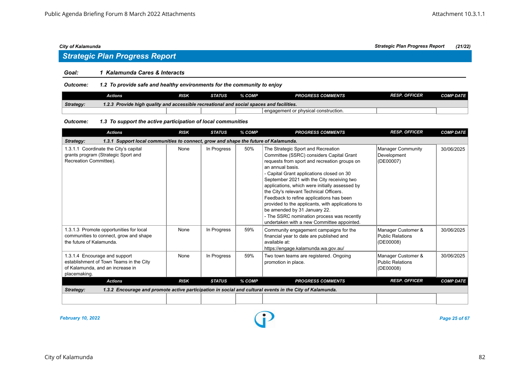# *Strategic Plan Progress Report*

### *Goal: 1 Kalamunda Cares & Interacts*

*Outcome: 1.2 To provide safe and healthy environments for the community to enjoy*

|           | Actions                                                                                  | RISK | STATUS | % COMP | <b>PROGRESS COMMENTS</b>               | <b>RESP. OFFICER</b> | <b>COMP DATE</b> |  |  |
|-----------|------------------------------------------------------------------------------------------|------|--------|--------|----------------------------------------|----------------------|------------------|--|--|
| Strategy: | 1.2.3 Provide high quality and accessible recreational and social spaces and facilities. |      |        |        |                                        |                      |                  |  |  |
|           |                                                                                          |      |        |        | l engagement or physical construction. |                      |                  |  |  |

### *Outcome: 1.3 To support the active participation of local communities*

| <b>Actions</b>                                                                                                               | <b>RISK</b>                                                                         | <b>STATUS</b> | % COMP | <b>PROGRESS COMMENTS</b>                                                                                                                                                                                                                                                                                                                                                                                                                                                                                                                                               | <b>RESP. OFFICER</b>                                       | <b>COMP DATE</b> |  |  |  |  |
|------------------------------------------------------------------------------------------------------------------------------|-------------------------------------------------------------------------------------|---------------|--------|------------------------------------------------------------------------------------------------------------------------------------------------------------------------------------------------------------------------------------------------------------------------------------------------------------------------------------------------------------------------------------------------------------------------------------------------------------------------------------------------------------------------------------------------------------------------|------------------------------------------------------------|------------------|--|--|--|--|
| Strategy:                                                                                                                    | 1.3.1 Support local communities to connect, grow and shape the future of Kalamunda. |               |        |                                                                                                                                                                                                                                                                                                                                                                                                                                                                                                                                                                        |                                                            |                  |  |  |  |  |
| 1.3.1.1 Coordinate the City's capital<br>grants program (Strategic Sport and<br>Recreation Committee).                       | None                                                                                | In Progress   | 50%    | The Strategic Sport and Recreation<br>Committee (SSRC) considers Capital Grant<br>requests from sport and recreation groups on<br>an annual basis.<br>- Capital Grant applications closed on 30<br>September 2021 with the City receiving two<br>applications, which were initially assessed by<br>the City's relevant Technical Officers.<br>Feedback to refine applications has been<br>provided to the applicants, with applications to<br>be amended by 31 January 22.<br>- The SSRC nomination process was recently<br>undertaken with a new Committee appointed. | Manager Community<br>Development<br>(DE00007)              | 30/06/2025       |  |  |  |  |
| 1.3.1.3 Promote opportunities for local<br>communities to connect, grow and shape<br>the future of Kalamunda.                | None                                                                                | In Progress   | 59%    | Community engagement campaigns for the<br>financial year to date are published and<br>available at:<br>https://engage.kalamunda.wa.gov.au/                                                                                                                                                                                                                                                                                                                                                                                                                             | Manager Customer &<br><b>Public Relations</b><br>(DE00008) | 30/06/2025       |  |  |  |  |
| 1.3.1.4 Encourage and support<br>establishment of Town Teams in the City<br>of Kalamunda, and an increase in<br>placemaking. | None                                                                                | In Progress   | 59%    | Two town teams are registered. Ongoing<br>promotion in place.                                                                                                                                                                                                                                                                                                                                                                                                                                                                                                          | Manager Customer &<br>Public Relations<br>(DE00008)        | 30/06/2025       |  |  |  |  |
| <b>Actions</b>                                                                                                               | <b>RISK</b>                                                                         | <b>STATUS</b> | % COMP | <b>PROGRESS COMMENTS</b>                                                                                                                                                                                                                                                                                                                                                                                                                                                                                                                                               | <b>RESP. OFFICER</b>                                       | <b>COMP DATE</b> |  |  |  |  |
| Strategy:                                                                                                                    |                                                                                     |               |        | 1.3.2 Encourage and promote active participation in social and cultural events in the City of Kalamunda.                                                                                                                                                                                                                                                                                                                                                                                                                                                               |                                                            |                  |  |  |  |  |
|                                                                                                                              |                                                                                     |               |        |                                                                                                                                                                                                                                                                                                                                                                                                                                                                                                                                                                        |                                                            |                  |  |  |  |  |

*February 10, 2022 Page 25 of 67*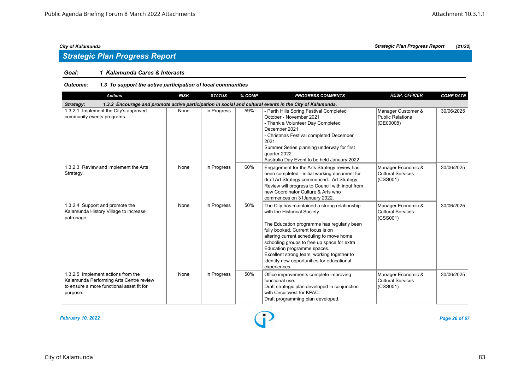# *Goal: 1 Kalamunda Cares & Interacts*

| <b>Actions</b>                                                                                                                         | <b>RISK</b> | <b>STATUS</b> | % COMP | <b>PROGRESS COMMENTS</b>                                                                                                                                                                                                                                                                                                                                                                               | <b>RESP. OFFICER</b>                                       | <b>COMP DATE</b> |
|----------------------------------------------------------------------------------------------------------------------------------------|-------------|---------------|--------|--------------------------------------------------------------------------------------------------------------------------------------------------------------------------------------------------------------------------------------------------------------------------------------------------------------------------------------------------------------------------------------------------------|------------------------------------------------------------|------------------|
| Strategy:                                                                                                                              |             |               |        | 1.3.2 Encourage and promote active participation in social and cultural events in the City of Kalamunda.                                                                                                                                                                                                                                                                                               |                                                            |                  |
| 1.3.2.1 Implement the City's approved<br>community events programs.                                                                    | None        | In Progress   | 59%    | Perth Hills Spring Festival Completed<br>October - November 2021<br>- Thank a Volunteer Day Completed<br>December 2021<br>- Christmas Festival completed December<br>2021<br>Summer Series planning underway for first<br>quarter 2022.<br>Australia Day Event to be held January 2022.                                                                                                                | Manager Customer &<br>Public Relations<br>(DE00008)        | 30/06/2025       |
| 1.3.2.3 Review and implement the Arts<br>Strategy.                                                                                     | None        | In Progress   | 60%    | Engagement for the Arts Strategy review has<br>been completed - initial working document for<br>draft Art Strategy commenced. Art Strategy<br>Review will progress to Council with input from<br>new Coordinator Culture & Arts who<br>commences on 31 January 2022.                                                                                                                                   | Manager Economic &<br>Cultural Services<br>(CSS001)        | 30/06/2025       |
| 1.3.2.4 Support and promote the<br>Kalamunda History Village to increase<br>patronage.                                                 | None        | In Progress   | 50%    | The City has maintained a strong relationship<br>with the Historical Society.<br>The Education programme has regularly been<br>fully booked. Current focus is on<br>altering current scheduling to move home<br>schooling groups to free up space for extra<br>Education programme spaces.<br>Excellent strong team, working together to<br>identify new opportunities for educational<br>experiences. | Manager Economic &<br><b>Cultural Services</b><br>(CSS001) | 30/06/2025       |
| 1.3.2.5 Implement actions from the<br>Kalamunda Performing Arts Centre review<br>to ensure a more functional asset fit for<br>purpose. | None        | In Progress   | 50%    | Office improvements complete improving<br>functional use.<br>Draft strategic plan developed in conjunction<br>with Circuitwest for KPAC.<br>Draft programming plan developed.                                                                                                                                                                                                                          | Manager Economic &<br>Cultural Services<br>(CSS001)        | 30/06/2025       |

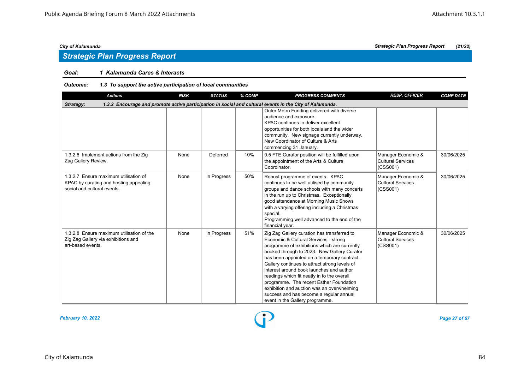# *Goal: 1 Kalamunda Cares & Interacts*

| <b>Actions</b>                                                                                                 | <b>RISK</b> | <b>STATUS</b> | % COMP | <b>PROGRESS COMMENTS</b>                                                                                                                                                                                                                                                                                                                                                                                                                                                                                                                              | <b>RESP. OFFICER</b>                                       | <b>COMP DATE</b> |
|----------------------------------------------------------------------------------------------------------------|-------------|---------------|--------|-------------------------------------------------------------------------------------------------------------------------------------------------------------------------------------------------------------------------------------------------------------------------------------------------------------------------------------------------------------------------------------------------------------------------------------------------------------------------------------------------------------------------------------------------------|------------------------------------------------------------|------------------|
| Strategy:                                                                                                      |             |               |        | 1.3.2 Encourage and promote active participation in social and cultural events in the City of Kalamunda.                                                                                                                                                                                                                                                                                                                                                                                                                                              |                                                            |                  |
|                                                                                                                |             |               |        | Outer Metro Funding delivered with diverse<br>audience and exposure.<br>KPAC continues to deliver excellent<br>opportunities for both locals and the wider<br>community. New signage currently underway.<br>New Coordinator of Culture & Arts<br>commencing 31 January.                                                                                                                                                                                                                                                                               |                                                            |                  |
| 1.3.2.6 Implement actions from the Zig<br>Zag Gallery Review.                                                  | None        | Deferred      | 10%    | 0.5 FTE Curator position will be fulfilled upon<br>the appointment of the Arts & Culture<br>Coordinator.                                                                                                                                                                                                                                                                                                                                                                                                                                              | Manager Economic &<br>Cultural Services<br>(CSS001)        | 30/06/2025       |
| 1.3.2.7 Ensure maximum utilisation of<br>KPAC by curating and hosting appealing<br>social and cultural events. | None        | In Progress   | 50%    | Robust programme of events. KPAC<br>continues to be well utilised by community<br>groups and dance schools with many concerts<br>in the run up to Christmas. Exceptionally<br>good attendance at Morning Music Shows<br>with a varying offering including a Christmas<br>special.<br>Programming well advanced to the end of the<br>financial year.                                                                                                                                                                                                   | Manager Economic &<br><b>Cultural Services</b><br>(CSS001) | 30/06/2025       |
| 1.3.2.8 Ensure maximum utilisation of the<br>Zig Zag Gallery via exhibitions and<br>art-based events.          | None        | In Progress   | 51%    | Zig Zag Gallery curation has transferred to<br>Economic & Cultural Services - strong<br>programme of exhibitions which are currently<br>booked through to 2023. New Gallery Curator<br>has been appointed on a temporary contract.<br>Gallery continues to attract strong levels of<br>interest around book launches and author<br>readings which fit neatly in to the overall<br>programme. The recent Esther Foundation<br>exhibition and auction was an overwhelming<br>success and has become a regular annual<br>event in the Gallery programme. | Manager Economic &<br><b>Cultural Services</b><br>(CSS001) | 30/06/2025       |

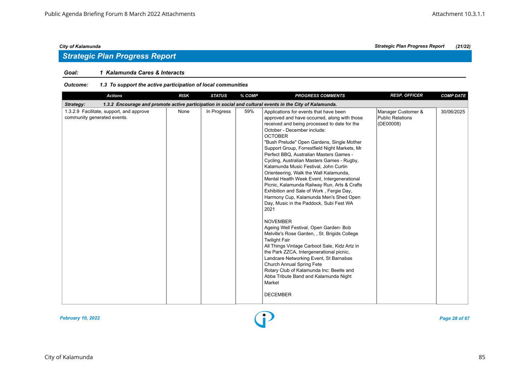# *Strategic Plan Progress Report*

# *Goal: 1 Kalamunda Cares & Interacts*

| <b>Actions</b>                                                          | <b>RISK</b> | <b>STATUS</b> | % COMP | <b>PROGRESS COMMENTS</b>                                                                                                                                                                                                                                                                                                                                                                                                                                                                                                                                                                                                                                                                                                                                                                                                                                                                                                                                                                                                                                                                                                               | <b>RESP. OFFICER</b>                                       | <b>COMP DATE</b> |
|-------------------------------------------------------------------------|-------------|---------------|--------|----------------------------------------------------------------------------------------------------------------------------------------------------------------------------------------------------------------------------------------------------------------------------------------------------------------------------------------------------------------------------------------------------------------------------------------------------------------------------------------------------------------------------------------------------------------------------------------------------------------------------------------------------------------------------------------------------------------------------------------------------------------------------------------------------------------------------------------------------------------------------------------------------------------------------------------------------------------------------------------------------------------------------------------------------------------------------------------------------------------------------------------|------------------------------------------------------------|------------------|
| Strategy:                                                               |             |               |        | 1.3.2 Encourage and promote active participation in social and cultural events in the City of Kalamunda.                                                                                                                                                                                                                                                                                                                                                                                                                                                                                                                                                                                                                                                                                                                                                                                                                                                                                                                                                                                                                               |                                                            |                  |
| 1.3.2.9 Facilitate, support, and approve<br>community generated events. | None        | In Progress   | 59%    | Applications for events that have been<br>approved and have occurred, along with those<br>received and being processed to date for the<br>October - December include:<br><b>OCTOBER</b><br>"Bush Prelude" Open Gardens, Single Mother<br>Support Group, Forrestfield Night Markets, Mr<br>Perfect BBQ, Australian Masters Games -<br>Cycling, Australian Masters Games - Rugby,<br>Kalamunda Music Festival, John Curtin<br>Orienteering, Walk the Wall Kalamunda,<br>Mental Health Week Event, Intergenerational<br>Picnic, Kalamunda Railway Run, Arts & Crafts<br>Exhibition and Sale of Work, Fergie Day,<br>Harmony Cup, Kalamunda Men's Shed Open<br>Day, Music in the Paddock, Subi Fest WA<br>2021<br><b>NOVEMBER</b><br>Ageing Well Festival, Open Garden- Bob<br>Melville's Rose Garden, , St. Brigids College<br><b>Twilight Fair</b><br>All Things Vintage Carboot Sale, Kidz Artz in<br>the Park ZZCA, Intergenerational picnic,<br>Landcare Networking Event, St Barnabas<br>Church Annual Spring Fete<br>Rotary Club of Kalamunda Inc: Beetle and<br>Abba Tribute Band and Kalamunda Night<br>Market<br><b>DECEMBER</b> | Manager Customer &<br><b>Public Relations</b><br>(DE00008) | 30/06/2025       |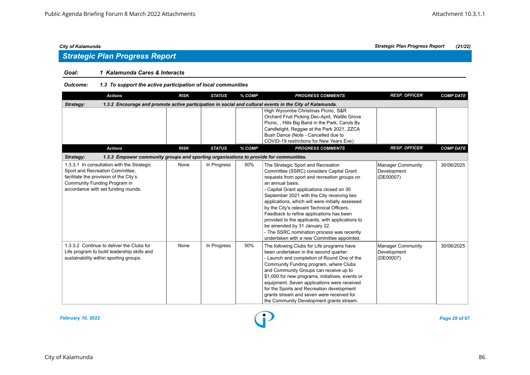# *Strategic Plan Progress Report*

# *Goal: 1 Kalamunda Cares & Interacts*

# *Outcome: 1.3 To support the active participation of local communities*

| <b>Actions</b>                                                                                                                                                                                 | <b>RISK</b> | <b>STATUS</b> | % COMP | <b>PROGRESS COMMENTS</b>                                                                                                                                                                                                                                                                                                                                                                                                                                                                                                                                                    | <b>RESP. OFFICER</b>                                 | <b>COMP DATE</b> |
|------------------------------------------------------------------------------------------------------------------------------------------------------------------------------------------------|-------------|---------------|--------|-----------------------------------------------------------------------------------------------------------------------------------------------------------------------------------------------------------------------------------------------------------------------------------------------------------------------------------------------------------------------------------------------------------------------------------------------------------------------------------------------------------------------------------------------------------------------------|------------------------------------------------------|------------------|
| Strategy:                                                                                                                                                                                      |             |               |        | 1.3.2 Encourage and promote active participation in social and cultural events in the City of Kalamunda.                                                                                                                                                                                                                                                                                                                                                                                                                                                                    |                                                      |                  |
|                                                                                                                                                                                                |             |               |        | High Wycombe Christmas Picnic, S&R<br>Orchard Fruit Picking Dec-April, Wattle Grove<br>Picnic,, Hills Big Band in the Park, Carols By<br>Candlelight, Reggae at the Park 2021, ZZCA<br>Bush Dance (Note - Cancelled due to<br>COVID-19 restrictions for New Years Eve)                                                                                                                                                                                                                                                                                                      |                                                      |                  |
| <b>Actions</b>                                                                                                                                                                                 | <b>RISK</b> | <b>STATUS</b> | % COMP | <b>PROGRESS COMMENTS</b>                                                                                                                                                                                                                                                                                                                                                                                                                                                                                                                                                    | <b>RESP. OFFICER</b>                                 | <b>COMP DATE</b> |
| Strategy:<br>1.3.3 Empower community groups and sporting organisations to provide for communities.                                                                                             |             |               |        |                                                                                                                                                                                                                                                                                                                                                                                                                                                                                                                                                                             |                                                      |                  |
| 1.3.3.1 In consultation with the Strategic<br>Sport and Recreation Committee,<br>facilitate the provision of the City's<br>Community Funding Program in<br>accordance with set funding rounds. | None        | In Progress   | 50%    | The Strategic Sport and Recreation<br>Committee (SSRC) considers Capital Grant<br>requests from sport and recreation groups on<br>an annual basis.<br>- Capital Grant applications closed on 30<br>September 2021 with the City receiving two<br>applications, which will were initially assessed<br>by the City's relevant Technical Officers.<br>Feedback to refine applications has been<br>provided to the applicants, with applications to<br>be amended by 31 January 22.<br>- The SSRC nomination process was recently<br>undertaken with a new Committee appointed. | <b>Manager Community</b><br>Development<br>(DE00007) | 30/06/2025       |
| 1.3.3.2 Continue to deliver the Clubs for<br>Life program to build leadership skills and<br>sustainability within sporting groups.                                                             | None        | In Progress   | 50%    | The following Clubs for Life programs have<br>been undertaken in the second quarter:<br>- Launch and completion of Round One of the<br>Community Funding program, where Clubs<br>and Community Groups can receive up to<br>\$1,000 for new programs, initiatives, events or<br>equipment. Seven applications were received<br>for the Sports and Recreation development<br>grants stream and seven were received for<br>the Community Development grants stream.                                                                                                            | <b>Manager Community</b><br>Development<br>(DE00007) | 30/06/2025       |



City of Kalamunda 86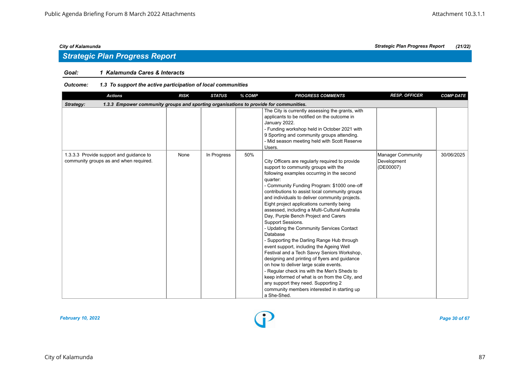# *Strategic Plan Progress Report*

# *Goal: 1 Kalamunda Cares & Interacts*

| <b>Actions</b>                                                                                     | <b>RISK</b> | <b>STATUS</b> | % COMP | <b>PROGRESS COMMENTS</b>                                                                                                                                                                                                                                                                                                                                                                                                                                                                                                                                                                                                                                                                                                                                                                                                                                                                                                                                            | <b>RESP. OFFICER</b>                                 | <b>COMP DATE</b> |
|----------------------------------------------------------------------------------------------------|-------------|---------------|--------|---------------------------------------------------------------------------------------------------------------------------------------------------------------------------------------------------------------------------------------------------------------------------------------------------------------------------------------------------------------------------------------------------------------------------------------------------------------------------------------------------------------------------------------------------------------------------------------------------------------------------------------------------------------------------------------------------------------------------------------------------------------------------------------------------------------------------------------------------------------------------------------------------------------------------------------------------------------------|------------------------------------------------------|------------------|
| 1.3.3 Empower community groups and sporting organisations to provide for communities.<br>Strategy: |             |               |        |                                                                                                                                                                                                                                                                                                                                                                                                                                                                                                                                                                                                                                                                                                                                                                                                                                                                                                                                                                     |                                                      |                  |
|                                                                                                    |             |               |        | The City is currently assessing the grants, with<br>applicants to be notified on the outcome in<br>January 2022.<br>- Funding workshop held in October 2021 with<br>9 Sporting and community groups attending.<br>- Mid season meeting held with Scott Reserve<br>Users.                                                                                                                                                                                                                                                                                                                                                                                                                                                                                                                                                                                                                                                                                            |                                                      |                  |
| 1.3.3.3 Provide support and guidance to<br>community groups as and when required.                  | None        | In Progress   | 50%    | City Officers are regularly required to provide<br>support to community groups with the<br>following examples occurring in the second<br>quarter:<br>- Community Funding Program: \$1000 one-off<br>contributions to assist local community groups<br>and individuals to deliver community projects.<br>Eight project applications currently being<br>assessed, including a Multi-Cultural Australia<br>Day, Purple Bench Project and Carers<br>Support Sessions.<br>- Updating the Community Services Contact<br>Database<br>- Supporting the Darling Range Hub through<br>event support, including the Ageing Well<br>Festival and a Tech Savvy Seniors Workshop,<br>designing and printing of flyers and guidance<br>on how to deliver large scale events.<br>- Regular check ins with the Men's Sheds to<br>keep informed of what is on from the City, and<br>any support they need. Supporting 2<br>community members interested in starting up<br>a She-Shed. | <b>Manager Community</b><br>Development<br>(DE00007) | 30/06/2025       |

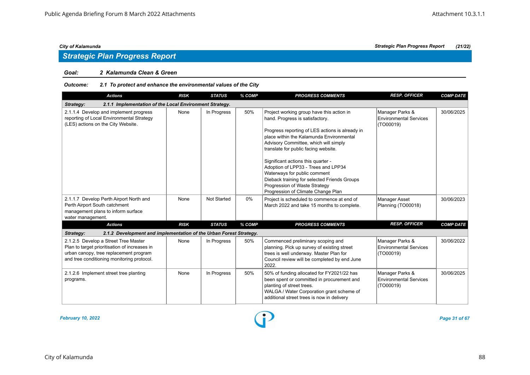### *Goal: 2 Kalamunda Clean & Green*

# *Outcome: 2.1 To protect and enhance the environmental values of the City*

| <b>Actions</b>                                                                                                                                                                | <b>RISK</b> | <b>STATUS</b>      | % COMP | <b>PROGRESS COMMENTS</b>                                                                                                                                                                                                                                                                                                                                                                                                                                                                         | <b>RESP. OFFICER</b>                                          | <b>COMP DATE</b> |
|-------------------------------------------------------------------------------------------------------------------------------------------------------------------------------|-------------|--------------------|--------|--------------------------------------------------------------------------------------------------------------------------------------------------------------------------------------------------------------------------------------------------------------------------------------------------------------------------------------------------------------------------------------------------------------------------------------------------------------------------------------------------|---------------------------------------------------------------|------------------|
| 2.1.1 Implementation of the Local Environment Strategy.<br>Strategy:                                                                                                          |             |                    |        |                                                                                                                                                                                                                                                                                                                                                                                                                                                                                                  |                                                               |                  |
| 2.1.1.4 Develop and implement progress<br>reporting of Local Environmental Strategy<br>(LES) actions on the City Website.                                                     | None        | In Progress        | 50%    | Project working group have this action in<br>hand. Progress is satisfactory.<br>Progress reporting of LES actions is already in<br>place within the Kalamunda Environmental<br>Advisory Committee, which will simply<br>translate for public facing website.<br>Significant actions this quarter -<br>Adoption of LPP33 - Trees and LPP34<br>Waterways for public comment<br>Dieback training for selected Friends Groups<br>Progression of Waste Strategy<br>Progression of Climate Change Plan | Manager Parks &<br><b>Environmental Services</b><br>(TO00019) | 30/06/2025       |
| 2.1.1.7 Develop Perth Airport North and<br>Perth Airport South catchment<br>management plans to inform surface<br>water management.                                           | None        | <b>Not Started</b> | 0%     | Project is scheduled to commence at end of<br>March 2022 and take 15 months to complete.                                                                                                                                                                                                                                                                                                                                                                                                         | <b>Manager Asset</b><br>Planning (TO00018)                    | 30/06/2023       |
| <b>Actions</b>                                                                                                                                                                | <b>RISK</b> | <b>STATUS</b>      | % COMP | <b>PROGRESS COMMENTS</b>                                                                                                                                                                                                                                                                                                                                                                                                                                                                         | <b>RESP. OFFICER</b>                                          | <b>COMP DATE</b> |
| 2.1.2 Development and implementation of the Urban Forest Strategy.<br>Strategy:                                                                                               |             |                    |        |                                                                                                                                                                                                                                                                                                                                                                                                                                                                                                  |                                                               |                  |
| 2.1.2.5 Develop a Street Tree Master<br>Plan to target prioritisation of increases in<br>urban canopy, tree replacement program<br>and tree conditioning monitoring protocol. | None        | In Progress        | 50%    | Commenced preliminary scoping and<br>planning. Pick up survey of existing street<br>trees is well underway. Master Plan for<br>Council review will be completed by end June<br>2022.                                                                                                                                                                                                                                                                                                             | Manager Parks &<br><b>Environmental Services</b><br>(TO00019) | 30/06/2022       |
| 2.1.2.6 Implement street tree planting<br>programs.                                                                                                                           | None        | In Progress        | 50%    | 50% of funding allocated for FY2021/22 has<br>been spent or committed in procurement and<br>planting of street trees.<br>WALGA / Water Corporation grant scheme of<br>additional street trees is now in delivery                                                                                                                                                                                                                                                                                 | Manager Parks &<br><b>Environmental Services</b><br>(TO00019) | 30/06/2025       |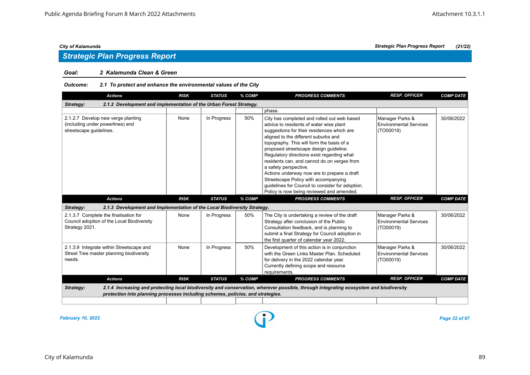### *Goal: 2 Kalamunda Clean & Green*

# *Outcome: 2.1 To protect and enhance the environmental values of the City*

| <b>Actions</b>                                                                                        | <b>RISK</b> | <b>STATUS</b> | % COMP | <b>PROGRESS COMMENTS</b>                                                                                                                                                                                                                                                                                                                                                                                                                                                                                                                                                          | <b>RESP. OFFICER</b>                                          | <b>COMP DATE</b> |
|-------------------------------------------------------------------------------------------------------|-------------|---------------|--------|-----------------------------------------------------------------------------------------------------------------------------------------------------------------------------------------------------------------------------------------------------------------------------------------------------------------------------------------------------------------------------------------------------------------------------------------------------------------------------------------------------------------------------------------------------------------------------------|---------------------------------------------------------------|------------------|
| 2.1.2 Development and implementation of the Urban Forest Strategy.<br>Strategy:                       |             |               |        |                                                                                                                                                                                                                                                                                                                                                                                                                                                                                                                                                                                   |                                                               |                  |
|                                                                                                       |             |               |        | phase.                                                                                                                                                                                                                                                                                                                                                                                                                                                                                                                                                                            |                                                               |                  |
| 2.1.2.7 Develop new verge planting<br>(including under powerlines) and<br>streetscape guidelines.     | None        | In Progress   | 50%    | City has completed and rolled out web based<br>advice to residents of water wise plant<br>suggestions for their residences which are<br>aligned to the different suburbs and<br>topography. This will form the basis of a<br>proposed streetscape design quideline.<br>Regulatory directions exist regarding what<br>residents can, and cannot do on verges from<br>a safety perspective.<br>Actions underway now are to prepare a draft<br>Streetscape Policy with accompanying<br>quidelines for Council to consider for adoption.<br>Policy is now being reviewed and amended. | Manager Parks &<br><b>Environmental Services</b><br>(TO00019) | 30/06/2022       |
| <b>Actions</b>                                                                                        | <b>RISK</b> | <b>STATUS</b> | % COMP | <b>PROGRESS COMMENTS</b>                                                                                                                                                                                                                                                                                                                                                                                                                                                                                                                                                          | <b>RESP. OFFICER</b>                                          | <b>COMP DATE</b> |
| 2.1.3 Development and Implementation of the Local Biodiversity Strategy.<br>Strategy:                 |             |               |        |                                                                                                                                                                                                                                                                                                                                                                                                                                                                                                                                                                                   |                                                               |                  |
| 2.1.3.7 Complete the finalisation for<br>Council adoption of the Local Biodiversity<br>Strategy 2021. | None        | In Progress   | 50%    | The City is undertaking a review of the draft<br>Strategy after conclusion of the Public<br>Consultation feedback, and is planning to<br>submit a final Strategy for Council adoption in<br>the first quarter of calendar year 2022.                                                                                                                                                                                                                                                                                                                                              | Manager Parks &<br><b>Environmental Services</b><br>(TO00019) | 30/06/2022       |
| 2.1.3.9 Integrate within Streetscape and<br>Street Tree master planning biodiversity<br>needs.        | None        | In Progress   | 50%    | Development of this action is in conjunction<br>with the Green Links Master Plan, Scheduled<br>for delivery in the 2022 calendar year.<br>Currently defining scope and resource<br>requirements.                                                                                                                                                                                                                                                                                                                                                                                  | Manager Parks &<br><b>Environmental Services</b><br>(TO00019) | 30/06/2022       |
| <b>Actions</b>                                                                                        | <b>RISK</b> | <b>STATUS</b> | % COMP | <b>PROGRESS COMMENTS</b>                                                                                                                                                                                                                                                                                                                                                                                                                                                                                                                                                          | <b>RESP. OFFICER</b>                                          | <b>COMP DATE</b> |
| Strategy:<br>protection into planning processes including schemes, policies, and strategies.          |             |               |        | 2.1.4 Increasing and protecting local biodiversity and conservation, wherever possible, through integrating ecosystem and biodiversity                                                                                                                                                                                                                                                                                                                                                                                                                                            |                                                               |                  |

*February 10, 2022 Page 32 of 67*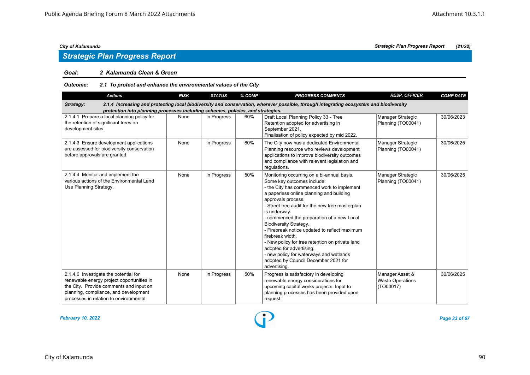### *Goal: 2 Kalamunda Clean & Green*

# *Outcome: 2.1 To protect and enhance the environmental values of the City*

| <b>Actions</b>                                                                                                                                                                                                                         | <b>RISK</b> | <b>STATUS</b> | % COMP | <b>PROGRESS COMMENTS</b>                                                                                                                                                                                                                                                                                                                                                                                                                                                                                                                                                                          | <b>RESP. OFFICER</b>                                    | <b>COMP DATE</b> |  |  |  |
|----------------------------------------------------------------------------------------------------------------------------------------------------------------------------------------------------------------------------------------|-------------|---------------|--------|---------------------------------------------------------------------------------------------------------------------------------------------------------------------------------------------------------------------------------------------------------------------------------------------------------------------------------------------------------------------------------------------------------------------------------------------------------------------------------------------------------------------------------------------------------------------------------------------------|---------------------------------------------------------|------------------|--|--|--|
| 2.1.4 Increasing and protecting local biodiversity and conservation, wherever possible, through integrating ecosystem and biodiversity<br>Strategy:<br>protection into planning processes including schemes, policies, and strategies. |             |               |        |                                                                                                                                                                                                                                                                                                                                                                                                                                                                                                                                                                                                   |                                                         |                  |  |  |  |
| 2.1.4.1 Prepare a local planning policy for<br>the retention of significant trees on<br>development sites.                                                                                                                             | None        | In Progress   | 60%    | Draft Local Planning Policy 33 - Tree<br>Retention adopted for advertising in<br>September 2021.<br>Finalisation of policy expected by mid 2022.                                                                                                                                                                                                                                                                                                                                                                                                                                                  | Manager Strategic<br>Planning (TO00041)                 | 30/06/2023       |  |  |  |
| 2.1.4.3 Ensure development applications<br>are assessed for biodiversity conservation<br>before approvals are granted.                                                                                                                 | None        | In Progress   | 60%    | The City now has a dedicated Environmental<br>Planning resource who reviews development<br>applications to improve biodiversity outcomes<br>and compliance with relevant legislation and<br>regulations.                                                                                                                                                                                                                                                                                                                                                                                          | Manager Strategic<br>Planning (TO00041)                 | 30/06/2025       |  |  |  |
| 2.1.4.4 Monitor and implement the<br>various actions of the Environmental Land<br>Use Planning Strategy.                                                                                                                               | None        | In Progress   | 50%    | Monitoring occurring on a bi-annual basis.<br>Some key outcomes include:<br>- the City has commenced work to implement<br>a paperless online planning and building<br>approvals process.<br>- Street tree audit for the new tree masterplan<br>is underway.<br>- commenced the preparation of a new Local<br><b>Biodiversity Strategy.</b><br>- Firebreak notice updated to reflect maximum<br>firebreak width.<br>- New policy for tree retention on private land<br>adopted for advertising.<br>- new policy for waterways and wetlands<br>adopted by Council December 2021 for<br>advertising. | Manager Strategic<br>Planning (TO00041)                 | 30/06/2025       |  |  |  |
| 2.1.4.6 Investigate the potential for<br>renewable energy project opportunities in<br>the City. Provide comments and input on<br>planning, compliance, and development<br>processes in relation to environmental                       | None        | In Progress   | 50%    | Progress is satisfactory in developing<br>renewable energy considerations for<br>upcoming capital works projects. Input to<br>planning processes has been provided upon<br>request.                                                                                                                                                                                                                                                                                                                                                                                                               | Manager Asset &<br><b>Waste Operations</b><br>(TO00017) | 30/06/2025       |  |  |  |

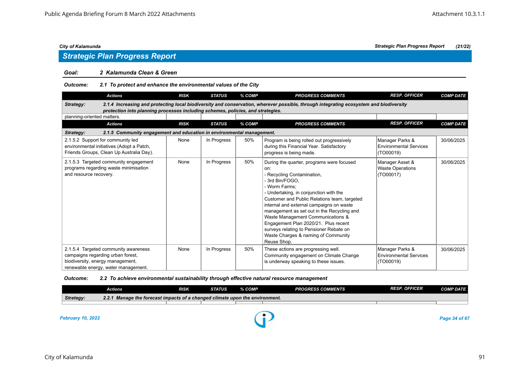### *Goal: 2 Kalamunda Clean & Green*

| Outcome: | 2.1 To protect and enhance the environmental values of the City |
|----------|-----------------------------------------------------------------|
|----------|-----------------------------------------------------------------|

| <b>Actions</b>                                                                                                                                       |                                                                                 | <b>RISK</b> | <b>STATUS</b> | % COMP | <b>PROGRESS COMMENTS</b>                                                                                                                                                                                                                                                                                                                                                                                                                                                           | <b>RESP. OFFICER</b>                                          | <b>COMP DATE</b> |
|------------------------------------------------------------------------------------------------------------------------------------------------------|---------------------------------------------------------------------------------|-------------|---------------|--------|------------------------------------------------------------------------------------------------------------------------------------------------------------------------------------------------------------------------------------------------------------------------------------------------------------------------------------------------------------------------------------------------------------------------------------------------------------------------------------|---------------------------------------------------------------|------------------|
| Strategy:                                                                                                                                            | protection into planning processes including schemes, policies, and strategies. |             |               |        | 2.1.4 Increasing and protecting local biodiversity and conservation, wherever possible, through integrating ecosystem and biodiversity                                                                                                                                                                                                                                                                                                                                             |                                                               |                  |
| planning-oriented matters.                                                                                                                           |                                                                                 |             |               |        |                                                                                                                                                                                                                                                                                                                                                                                                                                                                                    |                                                               |                  |
| <b>Actions</b>                                                                                                                                       |                                                                                 | <b>RISK</b> | <b>STATUS</b> | % COMP | <b>PROGRESS COMMENTS</b>                                                                                                                                                                                                                                                                                                                                                                                                                                                           | <b>RESP. OFFICER</b>                                          | <b>COMP DATE</b> |
| Strategy:                                                                                                                                            | 2.1.5 Community engagement and education in environmental management.           |             |               |        |                                                                                                                                                                                                                                                                                                                                                                                                                                                                                    |                                                               |                  |
| 2.1.5.2 Support for community led<br>environmental initiatives (Adopt a Patch,<br>Friends Groups, Clean Up Australia Day).                           |                                                                                 | None        | In Progress   | 50%    | Program is being rolled out progressively<br>during this Financial Year. Satisfactory<br>progress is being made.                                                                                                                                                                                                                                                                                                                                                                   | Manager Parks &<br><b>Environmental Services</b><br>(TO00019) | 30/06/2025       |
| 2.1.5.3 Targeted community engagement<br>programs regarding waste minimisation<br>and resource recovery.                                             |                                                                                 | None        | In Progress   | 50%    | During the quarter, programs were focused<br>on:<br>Recycling Contamination,<br>- 3rd Bin/FOGO.<br>- Worm Farms:<br>- Undertaking, in conjunction with the<br>Customer and Public Relations team, targeted<br>internal and external campaigns on waste<br>management as set out in the Recycling and<br>Waste Management Communications &<br>Engagement Plan 2020/21. Plus recent<br>surveys relating to Pensioner Rebate on<br>Waste Charges & naming of Community<br>Reuse Shop. | Manager Asset &<br><b>Waste Operations</b><br>(TO00017)       | 30/06/2025       |
| 2.1.5.4 Targeted community awareness<br>campaigns regarding urban forest,<br>biodiversity, energy management,<br>renewable energy, water management. |                                                                                 | None        | In Progress   | 50%    | These actions are progressing well.<br>Community engagement on Climate Change<br>is underway speaking to these issues.                                                                                                                                                                                                                                                                                                                                                             | Manager Parks &<br>Environmental Services<br>(TO00019)        | 30/06/2025       |

# *Outcome: 2.2 To achieve environmental sustainability through effective natural resource management*

|                          | Actions                                                                      | <b>RISK</b> | STATUS | % COMP | <b>PROGRESS COMMENTS</b> | <b>RESP. OFFICER</b> | <b>COMP DATE</b> |
|--------------------------|------------------------------------------------------------------------------|-------------|--------|--------|--------------------------|----------------------|------------------|
| Strategy:                | 2.2.1 Manage the forecast impacts of a changed climate upon the environment. |             |        |        |                          |                      |                  |
|                          |                                                                              |             |        |        |                          |                      |                  |
| <b>February 10, 2022</b> |                                                                              |             |        |        |                          |                      | Page 34 of 67    |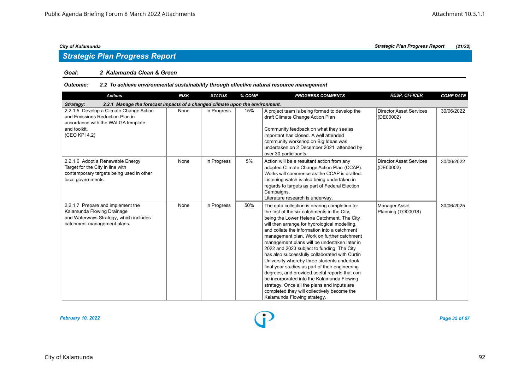# *Strategic Plan Progress Report*

### *Goal: 2 Kalamunda Clean & Green*

# *Outcome: 2.2 To achieve environmental sustainability through effective natural resource management*

| <b>Actions</b>                                                                                                                                    | <b>RISK</b> | <b>STATUS</b> | % COMP | <b>PROGRESS COMMENTS</b>                                                                                                                                                                                                                                                                                                                                                                                                                                                                                                                                                                                                                                                                                                                                                 | <b>RESP. OFFICER</b>                        | <b>COMP DATE</b> |  |  |  |  |  |
|---------------------------------------------------------------------------------------------------------------------------------------------------|-------------|---------------|--------|--------------------------------------------------------------------------------------------------------------------------------------------------------------------------------------------------------------------------------------------------------------------------------------------------------------------------------------------------------------------------------------------------------------------------------------------------------------------------------------------------------------------------------------------------------------------------------------------------------------------------------------------------------------------------------------------------------------------------------------------------------------------------|---------------------------------------------|------------------|--|--|--|--|--|
| 2.2.1 Manage the forecast impacts of a changed climate upon the environment.<br>Strategy:                                                         |             |               |        |                                                                                                                                                                                                                                                                                                                                                                                                                                                                                                                                                                                                                                                                                                                                                                          |                                             |                  |  |  |  |  |  |
| 2.2.1.5 Develop a Climate Change Action<br>and Emissions Reduction Plan in<br>accordance with the WALGA template<br>and toolkit.<br>(CEO KPI 4.2) | None        | In Progress   | 15%    | A project team is being formed to develop the<br>draft Climate Change Action Plan.<br>Community feedback on what they see as<br>important has closed. A well attended<br>community workshop on Big Ideas was<br>undertaken on 2 December 2021, attended by<br>over 30 participants.                                                                                                                                                                                                                                                                                                                                                                                                                                                                                      | Director Asset Services<br>(DE00002)        | 30/06/2022       |  |  |  |  |  |
| 2.2.1.6 Adopt a Renewable Energy<br>Target for the City in line with<br>contemporary targets being used in other<br>local governments.            | None        | In Progress   | 5%     | Action will be a resultant action from any<br>adopted Climate Change Action Plan (CCAP).<br>Works will commence as the CCAP is drafted.<br>Listening watch is also being undertaken in<br>regards to targets as part of Federal Election<br>Campaigns.<br>Literature research is underway.                                                                                                                                                                                                                                                                                                                                                                                                                                                                               | <b>Director Asset Services</b><br>(DE00002) | 30/06/2022       |  |  |  |  |  |
| 2.2.1.7 Prepare and implement the<br>Kalamunda Flowing Drainage<br>and Waterways Strategy, which includes<br>catchment management plans.          | None        | In Progress   | 50%    | The data collection is nearing completion for<br>the first of the six catchments in the City,<br>being the Lower Helena Catchment. The City<br>will then arrange for hydrological modelling.<br>and collate the information into a catchment<br>management plan. Work on further catchment<br>management plans will be undertaken later in<br>2022 and 2023 subject to funding. The City<br>has also successfully collaborated with Curtin<br>University whereby three students undertook<br>final year studies as part of their engineering<br>degrees, and provided useful reports that can<br>be incorporated into the Kalamunda Flowing<br>strategy. Once all the plans and inputs are<br>completed they will collectively become the<br>Kalamunda Flowing strategy. | Manager Asset<br>Planning (TO00018)         | 30/06/2025       |  |  |  |  |  |

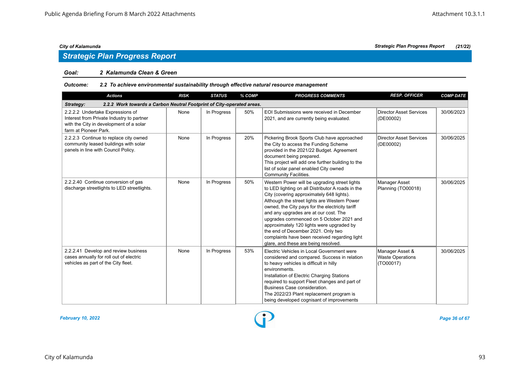# *Strategic Plan Progress Report*

### *Goal: 2 Kalamunda Clean & Green*

# *Outcome: 2.2 To achieve environmental sustainability through effective natural resource management*

| <b>Actions</b>                                                                                                                                    | <b>RISK</b> | <b>STATUS</b> | % COMP | <b>PROGRESS COMMENTS</b>                                                                                                                                                                                                                                                                                                                                                                                                                                                                                            | <b>RESP. OFFICER</b>                                    | <b>COMP DATE</b> |  |  |  |  |
|---------------------------------------------------------------------------------------------------------------------------------------------------|-------------|---------------|--------|---------------------------------------------------------------------------------------------------------------------------------------------------------------------------------------------------------------------------------------------------------------------------------------------------------------------------------------------------------------------------------------------------------------------------------------------------------------------------------------------------------------------|---------------------------------------------------------|------------------|--|--|--|--|
| 2.2.2 Work towards a Carbon Neutral Footprint of City-operated areas.<br>Strategy:                                                                |             |               |        |                                                                                                                                                                                                                                                                                                                                                                                                                                                                                                                     |                                                         |                  |  |  |  |  |
| 2.2.2.2 Undertake Expressions of<br>Interest from Private Industry to partner<br>with the City in development of a solar<br>farm at Pioneer Park. | None        | In Progress   | 50%    | EOI Submissions were received in December<br>2021, and are currently being evaluated.                                                                                                                                                                                                                                                                                                                                                                                                                               | <b>Director Asset Services</b><br>(DE00002)             | 30/06/2023       |  |  |  |  |
| 2.2.2.3 Continue to replace city owned<br>community leased buildings with solar<br>panels in line with Council Policy.                            | None        | In Progress   | 20%    | Pickering Brook Sports Club have approached<br>the City to access the Funding Scheme<br>provided in the 2021/22 Budget. Agreement<br>document being prepared.<br>This project will add one further building to the<br>list of solar panel enabled City owned<br><b>Community Facilities.</b>                                                                                                                                                                                                                        | <b>Director Asset Services</b><br>(DE00002)             | 30/06/2025       |  |  |  |  |
| 2.2.2.40 Continue conversion of gas<br>discharge streetlights to LED streetlights.                                                                | None        | In Progress   | 50%    | Western Power will be upgrading street lights<br>to LED lighting on all Distributor A roads in the<br>City (covering approximately 648 lights).<br>Although the street lights are Western Power<br>owned, the City pays for the electricity tariff<br>and any upgrades are at our cost. The<br>upgrades commenced on 5 October 2021 and<br>approximately 120 lights were upgraded by<br>the end of December 2021. Only two<br>complaints have been received regarding light<br>glare, and these are being resolved. | Manager Asset<br>Planning (TO00018)                     | 30/06/2025       |  |  |  |  |
| 2.2.2.41 Develop and review business<br>cases annually for roll out of electric<br>vehicles as part of the City fleet.                            | None        | In Progress   | 53%    | Electric Vehicles in Local Government were<br>considered and compared. Success in relation<br>to heavy vehicles is difficult in hilly<br>environments.<br>Installation of Electric Charging Stations<br>required to support Fleet changes and part of<br>Business Case consideration.<br>The 2022/23 Plant replacement program is<br>being developed cognisant of improvements                                                                                                                                      | Manager Asset &<br><b>Waste Operations</b><br>(TO00017) | 30/06/2025       |  |  |  |  |

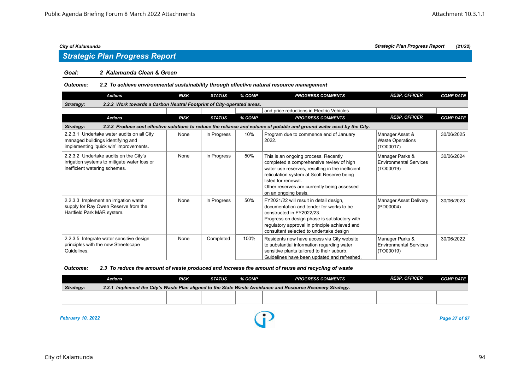# *Strategic Plan Progress Report*

### *Goal: 2 Kalamunda Clean & Green*

# *Outcome: 2.2 To achieve environmental sustainability through effective natural resource management*

| <b>Actions</b>                                                                                                                      | <b>RISK</b>                                                           | <b>STATUS</b> | % COMP | <b>PROGRESS COMMENTS</b>                                                                                                                                                                                                                                                         | <b>RESP. OFFICER</b>                                          | <b>COMP DATE</b> |  |  |  |  |  |  |
|-------------------------------------------------------------------------------------------------------------------------------------|-----------------------------------------------------------------------|---------------|--------|----------------------------------------------------------------------------------------------------------------------------------------------------------------------------------------------------------------------------------------------------------------------------------|---------------------------------------------------------------|------------------|--|--|--|--|--|--|
| Strategy:                                                                                                                           | 2.2.2 Work towards a Carbon Neutral Footprint of City-operated areas. |               |        |                                                                                                                                                                                                                                                                                  |                                                               |                  |  |  |  |  |  |  |
|                                                                                                                                     |                                                                       |               |        | and price reductions in Electric Vehicles.                                                                                                                                                                                                                                       |                                                               |                  |  |  |  |  |  |  |
| <b>Actions</b>                                                                                                                      | <b>RISK</b>                                                           | <b>STATUS</b> | % COMP | <b>PROGRESS COMMENTS</b>                                                                                                                                                                                                                                                         | <b>RESP. OFFICER</b>                                          | <b>COMP DATE</b> |  |  |  |  |  |  |
| 2.2.3 Produce cost effective solutions to reduce the reliance and volume of potable and ground water used by the City.<br>Strategy: |                                                                       |               |        |                                                                                                                                                                                                                                                                                  |                                                               |                  |  |  |  |  |  |  |
| 2.2.3.1 Undertake water audits on all City<br>managed buildings identifying and<br>implementing 'quick win' improvements.           | None                                                                  | In Progress   | 10%    | Program due to commence end of January<br>2022.                                                                                                                                                                                                                                  | Manager Asset &<br><b>Waste Operations</b><br>(TO00017)       | 30/06/2025       |  |  |  |  |  |  |
| 2.2.3.2 Undertake audits on the City's<br>irrigation systems to mitigate water loss or<br>inefficient watering schemes.             | None                                                                  | In Progress   | 50%    | This is an ongoing process. Recently<br>completed a comprehensive review of high<br>water use reserves, resulting in the inefficient<br>reticulation system at Scott Reserve being<br>listed for renewal.<br>Other reserves are currently being assessed<br>on an ongoing basis. | Manager Parks &<br><b>Environmental Services</b><br>(TO00019) | 30/06/2024       |  |  |  |  |  |  |
| 2.2.3.3 Implement an irrigation water<br>supply for Ray Owen Reserve from the<br>Hartfield Park MAR system.                         | None                                                                  | In Progress   | 50%    | FY2021/22 will result in detail design,<br>documentation and tender for works to be<br>constructed in FY2022/23.<br>Progress on design phase is satisfactory with<br>regulatory approval in principle achieved and<br>consultant selected to undertake design                    | Manager Asset Delivery<br>(PD00004)                           | 30/06/2023       |  |  |  |  |  |  |
| 2.2.3.5 Integrate water sensitive design<br>principles with the new Streetscape<br>Guidelines.                                      | None                                                                  | Completed     | 100%   | Residents now have access via City website<br>to substantial information regarding water<br>sensitive plants tailored to their suburb.<br>Guidelines have been updated and refreshed.                                                                                            | Manager Parks &<br><b>Environmental Services</b><br>(TO00019) | 30/06/2022       |  |  |  |  |  |  |

### *Outcome: 2.3 To reduce the amount of waste produced and increase the amount of reuse and recycling of waste*

|           | Actions                                                                                                    | <b>RISK</b> | STATUS | % COMP | <b>PROGRESS COMMENTS</b> | <b>RESP. OFFICER</b> | <b>COMP DATE</b> |  |  |
|-----------|------------------------------------------------------------------------------------------------------------|-------------|--------|--------|--------------------------|----------------------|------------------|--|--|
| Strategy: | 2.3.1 Implement the City's Waste Plan aligned to the State Waste Avoidance and Resource Recovery Strategy. |             |        |        |                          |                      |                  |  |  |
|           |                                                                                                            |             |        |        |                          |                      |                  |  |  |
|           |                                                                                                            |             |        |        |                          |                      |                  |  |  |

*February 10, 2022 Page 37 of 67*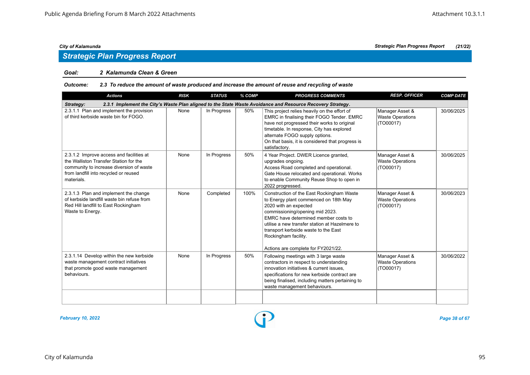# *Strategic Plan Progress Report*

### *Goal: 2 Kalamunda Clean & Green*

### *Outcome: 2.3 To reduce the amount of waste produced and increase the amount of reuse and recycling of waste*

| <b>Actions</b>                                                                                                                                                                        | <b>RISK</b> | <b>STATUS</b> | % COMP | <b>PROGRESS COMMENTS</b>                                                                                                                                                                                                                                                                                                                        | <b>RESP. OFFICER</b>                                    | <b>COMP DATE</b> |  |  |  |  |
|---------------------------------------------------------------------------------------------------------------------------------------------------------------------------------------|-------------|---------------|--------|-------------------------------------------------------------------------------------------------------------------------------------------------------------------------------------------------------------------------------------------------------------------------------------------------------------------------------------------------|---------------------------------------------------------|------------------|--|--|--|--|
| 2.3.1 Implement the City's Waste Plan aligned to the State Waste Avoidance and Resource Recovery Strategy.<br>Strategy:                                                               |             |               |        |                                                                                                                                                                                                                                                                                                                                                 |                                                         |                  |  |  |  |  |
| 2.3.1.1 Plan and implement the provision<br>of third kerbside waste bin for FOGO.                                                                                                     | None        | In Progress   | 50%    | This project relies heavily on the effort of<br>EMRC in finalising their FOGO Tender. EMRC<br>have not progressed their works to original<br>timetable. In response, City has explored<br>alternate FOGO supply options.<br>On that basis, it is considered that progress is<br>satisfactory.                                                   | Manager Asset &<br><b>Waste Operations</b><br>(TO00017) | 30/06/2025       |  |  |  |  |
| 2.3.1.2 Improve access and facilities at<br>the Walliston Transfer Station for the<br>community to increase diversion of waste<br>from landfill into recycled or reused<br>materials. | None        | In Progress   | 50%    | 4 Year Project. DWER Licence granted,<br>upgrades ongoing.<br>Access Road completed and operational.<br>Gate House relocated and operational. Works<br>to enable Community Reuse Shop to open in<br>2022 progressed.                                                                                                                            | Manager Asset &<br><b>Waste Operations</b><br>(TO00017) | 30/06/2025       |  |  |  |  |
| 2.3.1.3 Plan and implement the change<br>of kerbside landfill waste bin refuse from<br>Red Hill landfill to East Rockingham<br>Waste to Energy.                                       | None        | Completed     | 100%   | Construction of the East Rockingham Waste<br>to Energy plant commenced on 18th May<br>2020 with an expected<br>commissioning/opening mid 2023.<br>EMRC have determined member costs to<br>utilise a new transfer station at Hazelmere to<br>transport kerbside waste to the East<br>Rockingham facility.<br>Actions are complete for FY2021/22. | Manager Asset &<br><b>Waste Operations</b><br>(TO00017) | 30/06/2023       |  |  |  |  |
| 2.3.1.14 Develop within the new kerbside<br>waste management contract initiatives<br>that promote good waste management<br>behaviours.                                                | None        | In Progress   | 50%    | Following meetings with 3 large waste<br>contractors in respect to understanding<br>innovation initiatives & current issues,<br>specifications for new kerbside contract are<br>being finalised, including matters pertaining to<br>waste management behaviours.                                                                                | Manager Asset &<br><b>Waste Operations</b><br>(TO00017) | 30/06/2022       |  |  |  |  |
|                                                                                                                                                                                       |             |               |        |                                                                                                                                                                                                                                                                                                                                                 |                                                         |                  |  |  |  |  |

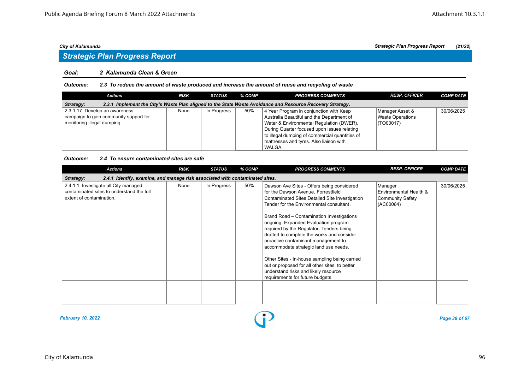# *Strategic Plan Progress Report*

### *Goal: 2 Kalamunda Clean & Green*

### *Outcome: 2.3 To reduce the amount of waste produced and increase the amount of reuse and recycling of waste*

| Actions                                                                                                                 | <b>RISK</b> | STATUS      | % COMP | <b>PROGRESS COMMENTS</b>                       | <b>RESP. OFFICER</b> | <b>COMP DATE</b> |  |  |  |  |
|-------------------------------------------------------------------------------------------------------------------------|-------------|-------------|--------|------------------------------------------------|----------------------|------------------|--|--|--|--|
| 2.3.1 Implement the City's Waste Plan aligned to the State Waste Avoidance and Resource Recovery Strategy.<br>Strategy: |             |             |        |                                                |                      |                  |  |  |  |  |
| 2.3.1.17 Develop an awareness                                                                                           | None        | In Progress | 50%    | 4 Year Program in conjunction with Keep        | Manager Asset &      | 30/06/2025       |  |  |  |  |
| campaign to gain community support for                                                                                  |             |             |        | Australia Beautiful and the Department of      | Waste Operations     |                  |  |  |  |  |
| monitoring illegal dumping.                                                                                             |             |             |        | Water & Environmental Regulation (DWER).       | $\vert$ (TO00017)    |                  |  |  |  |  |
|                                                                                                                         |             |             |        | During Quarter focused upon issues relating    |                      |                  |  |  |  |  |
|                                                                                                                         |             |             |        | to illegal dumping of commercial quantities of |                      |                  |  |  |  |  |
|                                                                                                                         |             |             |        | mattresses and tyres. Also liaison with        |                      |                  |  |  |  |  |
|                                                                                                                         |             |             |        | WALGA.                                         |                      |                  |  |  |  |  |

### *Outcome: 2.4 To ensure contaminated sites are safe*

| <b>Actions</b>                                                                                                | <b>RISK</b> | <b>STATUS</b> | % COMP | <b>PROGRESS COMMENTS</b>                                                                                                                                                                                                                                                                                                                                                                                                                                                                                                                                                                                                      | <b>RESP. OFFICER</b>                                               | <b>COMP DATE</b> |  |  |  |  |
|---------------------------------------------------------------------------------------------------------------|-------------|---------------|--------|-------------------------------------------------------------------------------------------------------------------------------------------------------------------------------------------------------------------------------------------------------------------------------------------------------------------------------------------------------------------------------------------------------------------------------------------------------------------------------------------------------------------------------------------------------------------------------------------------------------------------------|--------------------------------------------------------------------|------------------|--|--|--|--|
| 2.4.1 Identify, examine, and manage risk associated with contaminated sites.<br>Strategy:                     |             |               |        |                                                                                                                                                                                                                                                                                                                                                                                                                                                                                                                                                                                                                               |                                                                    |                  |  |  |  |  |
| 2.4.1.1 Investigate all City managed<br>contaminated sites to understand the full<br>extent of contamination. | None        | In Progress   | 50%    | Dawson Ave Sites - Offers being considered<br>for the Dawson Avenue, Forrestfield<br>Contaminated Sites Detailed Site Investigation<br>Tender for the Environmental consultant.<br>Brand Road - Contamination Investigations<br>ongoing. Expanded Evaluation program<br>required by the Regulator. Tenders being<br>drafted to complete the works and consider<br>proactive contaminant management to<br>accommodate strategic land use needs.<br>Other Sites - In-house sampling being carried<br>out or proposed for all other sites, to better<br>understand risks and likely resource<br>requirements for future budgets. | Manager<br>Environmental Health &<br>Community Safety<br>(AC00064) | 30/06/2025       |  |  |  |  |
|                                                                                                               |             |               |        |                                                                                                                                                                                                                                                                                                                                                                                                                                                                                                                                                                                                                               |                                                                    |                  |  |  |  |  |
|                                                                                                               |             |               |        |                                                                                                                                                                                                                                                                                                                                                                                                                                                                                                                                                                                                                               |                                                                    |                  |  |  |  |  |

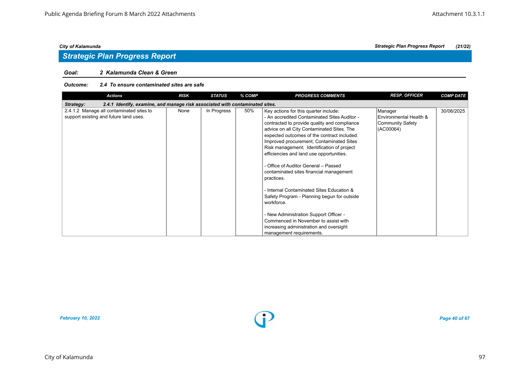# *Goal: 2 Kalamunda Clean & Green*

### *Outcome: 2.4 To ensure contaminated sites are safe*

| <b>Actions</b>                                                                            | <b>RISK</b> | <b>STATUS</b> | % COMP | <b>PROGRESS COMMENTS</b>                     | <b>RESP. OFFICER</b>    | <b>COMP DATE</b> |  |  |  |  |
|-------------------------------------------------------------------------------------------|-------------|---------------|--------|----------------------------------------------|-------------------------|------------------|--|--|--|--|
| 2.4.1 Identify, examine, and manage risk associated with contaminated sites.<br>Strategy: |             |               |        |                                              |                         |                  |  |  |  |  |
| 2.4.1.2 Manage all contaminated sites to                                                  | None        | In Progress   | 50%    | Key actions for this quarter include:        | Manager                 | 30/06/2025       |  |  |  |  |
| support existing and future land uses.                                                    |             |               |        | - An accredited Contaminated Sites Auditor - | Environmental Health &  |                  |  |  |  |  |
|                                                                                           |             |               |        | contracted to provide quality and compliance | <b>Community Safety</b> |                  |  |  |  |  |
|                                                                                           |             |               |        | advice on all City Contaminated Sites. The   | (AC00064)               |                  |  |  |  |  |
|                                                                                           |             |               |        | expected outcomes of the contract included:  |                         |                  |  |  |  |  |
|                                                                                           |             |               |        | Improved procurement; Contaminated Sites     |                         |                  |  |  |  |  |
|                                                                                           |             |               |        | Risk management; Identification of project   |                         |                  |  |  |  |  |
|                                                                                           |             |               |        | efficiencies and land use opportunities.     |                         |                  |  |  |  |  |
|                                                                                           |             |               |        |                                              |                         |                  |  |  |  |  |
|                                                                                           |             |               |        | - Office of Auditor General – Passed         |                         |                  |  |  |  |  |
|                                                                                           |             |               |        | contaminated sites financial management      |                         |                  |  |  |  |  |
|                                                                                           |             |               |        | practices.                                   |                         |                  |  |  |  |  |
|                                                                                           |             |               |        |                                              |                         |                  |  |  |  |  |
|                                                                                           |             |               |        | - Internal Contaminated Sites Education &    |                         |                  |  |  |  |  |
|                                                                                           |             |               |        | Safety Program - Planning begun for outside  |                         |                  |  |  |  |  |
|                                                                                           |             |               |        | workforce.                                   |                         |                  |  |  |  |  |
|                                                                                           |             |               |        |                                              |                         |                  |  |  |  |  |
|                                                                                           |             |               |        | - New Administration Support Officer -       |                         |                  |  |  |  |  |
|                                                                                           |             |               |        | Commenced in November to assist with         |                         |                  |  |  |  |  |
|                                                                                           |             |               |        | increasing administration and oversight      |                         |                  |  |  |  |  |
|                                                                                           |             |               |        | management requirements.                     |                         |                  |  |  |  |  |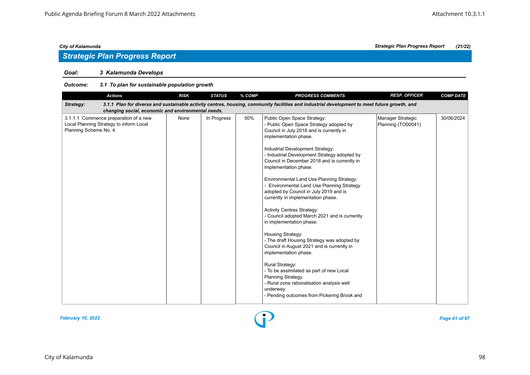# *Strategic Plan Progress Report*

# *Goal: 3 Kalamunda Develops*

| <b>Actions</b>                                                                                                                                                                                                  | <b>RISK</b> | <b>STATUS</b> | % COMP | <b>PROGRESS COMMENTS</b>                                                                                                                                                                                                                                                                                                                                                                                                                                                                                                                                                                                                                                                                                                                                                                                                                                                                                                                               | <b>RESP. OFFICER</b>                    | <b>COMP DATE</b> |  |  |  |  |
|-----------------------------------------------------------------------------------------------------------------------------------------------------------------------------------------------------------------|-------------|---------------|--------|--------------------------------------------------------------------------------------------------------------------------------------------------------------------------------------------------------------------------------------------------------------------------------------------------------------------------------------------------------------------------------------------------------------------------------------------------------------------------------------------------------------------------------------------------------------------------------------------------------------------------------------------------------------------------------------------------------------------------------------------------------------------------------------------------------------------------------------------------------------------------------------------------------------------------------------------------------|-----------------------------------------|------------------|--|--|--|--|
| 3.1.1 Plan for diverse and sustainable activity centres, housing, community facilities and industrial development to meet future growth, and<br>Strategy:<br>changing social, economic and environmental needs. |             |               |        |                                                                                                                                                                                                                                                                                                                                                                                                                                                                                                                                                                                                                                                                                                                                                                                                                                                                                                                                                        |                                         |                  |  |  |  |  |
| 3.1.1.1 Commence preparation of a new<br>Local Planning Strategy to inform Local<br>Planning Scheme No. 4.                                                                                                      | None        | In Progress   | 50%    | Public Open Space Strategy:<br>- Public Open Space Strategy adopted by<br>Council in July 2018 and is currently in<br>implementation phase.<br>Industrial Development Strategy:<br>- Industrial Development Strategy adopted by<br>Council in December 2018 and is currently in<br>implementation phase.<br>Environmental Land Use Planning Strategy:<br>- Environmental Land Use Planning Strategy<br>adopted by Council in July 2019 and is<br>currently in implementation phase.<br><b>Activity Centres Strategy:</b><br>- Council adopted March 2021 and is currently<br>in implementation phase.<br>Housing Strategy:<br>- The draft Housing Strategy was adopted by<br>Council in August 2021 and is currently in<br>implementation phase.<br><b>Rural Strategy:</b><br>- To be assimilated as part of new Local<br>Planning Strategy.<br>- Rural zone rationalisation analysis well<br>underway.<br>- Pending outcomes from Pickering Brook and | Manager Strategic<br>Planning (TO00041) | 30/06/2024       |  |  |  |  |

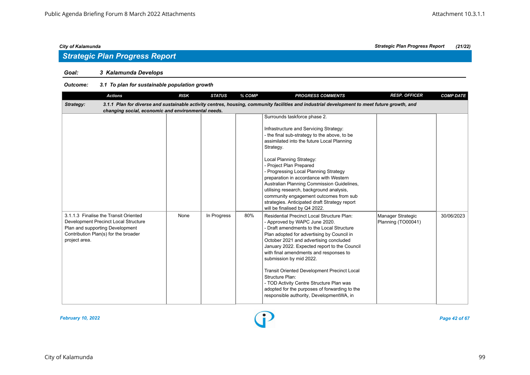# *Strategic Plan Progress Report*

# *Goal: 3 Kalamunda Develops*

| <b>Actions</b>                                                                                                                                                            | <b>RISK</b> | <b>STATUS</b> | % COMP | <b>PROGRESS COMMENTS</b>                                                                                                                                                                                                                                                                                                                                                                                                                                                                                                                                       | <b>RESP. OFFICER</b>                    | <b>COMP DATE</b> |  |  |  |  |
|---------------------------------------------------------------------------------------------------------------------------------------------------------------------------|-------------|---------------|--------|----------------------------------------------------------------------------------------------------------------------------------------------------------------------------------------------------------------------------------------------------------------------------------------------------------------------------------------------------------------------------------------------------------------------------------------------------------------------------------------------------------------------------------------------------------------|-----------------------------------------|------------------|--|--|--|--|
| Strategy:                                                                                                                                                                 |             |               |        | 3.1.1 Plan for diverse and sustainable activity centres, housing, community facilities and industrial development to meet future growth, and                                                                                                                                                                                                                                                                                                                                                                                                                   |                                         |                  |  |  |  |  |
| changing social, economic and environmental needs.                                                                                                                        |             |               |        |                                                                                                                                                                                                                                                                                                                                                                                                                                                                                                                                                                |                                         |                  |  |  |  |  |
|                                                                                                                                                                           |             |               |        | Surrounds taskforce phase 2.<br>Infrastructure and Servicing Strategy:<br>- the final sub-strategy to the above, to be<br>assimilated into the future Local Planning<br>Strategy.<br>Local Planning Strategy:<br>- Project Plan Prepared<br>- Progressing Local Planning Strategy<br>preparation in accordance with Western<br>Australian Planning Commission Guidelines,<br>utilising research, background analysis,<br>community engagement outcomes from sub<br>strategies. Anticipated draft Strategy report<br>will be finalised by Q4 2022.              |                                         |                  |  |  |  |  |
| 3.1.1.3 Finalise the Transit Oriented<br>Development Precinct Local Structure<br>Plan and supporting Development<br>Contribution Plan(s) for the broader<br>project area. | None        | In Progress   | 80%    | <b>Residential Precinct Local Structure Plan:</b><br>- Approved by WAPC June 2020.<br>- Draft amendments to the Local Structure<br>Plan adopted for advertising by Council in<br>October 2021 and advertising concluded<br>January 2022. Expected report to the Council<br>with final amendments and responses to<br>submission by mid 2022.<br><b>Transit Oriented Development Precinct Local</b><br>Structure Plan:<br>- TOD Activity Centre Structure Plan was<br>adopted for the purposes of forwarding to the<br>responsible authority, DevelopmentWA, in | Manager Strategic<br>Planning (TO00041) | 30/06/2023       |  |  |  |  |

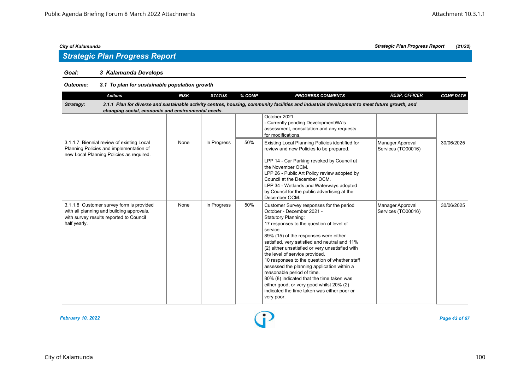# *Strategic Plan Progress Report*

# *Goal: 3 Kalamunda Develops*

| <b>Actions</b>                                                                                                                                                                                                  | <b>RISK</b> | <b>STATUS</b> | % COMP | <b>PROGRESS COMMENTS</b>                                                                                                                                                                                                                                                                                                                                                                                                                                                                                                                                                                                                     | <b>RESP. OFFICER</b>                   | <b>COMP DATE</b> |  |  |  |  |
|-----------------------------------------------------------------------------------------------------------------------------------------------------------------------------------------------------------------|-------------|---------------|--------|------------------------------------------------------------------------------------------------------------------------------------------------------------------------------------------------------------------------------------------------------------------------------------------------------------------------------------------------------------------------------------------------------------------------------------------------------------------------------------------------------------------------------------------------------------------------------------------------------------------------------|----------------------------------------|------------------|--|--|--|--|
| 3.1.1 Plan for diverse and sustainable activity centres, housing, community facilities and industrial development to meet future growth, and<br>Strategy:<br>changing social, economic and environmental needs. |             |               |        |                                                                                                                                                                                                                                                                                                                                                                                                                                                                                                                                                                                                                              |                                        |                  |  |  |  |  |
|                                                                                                                                                                                                                 |             |               |        | October 2021.<br>- Currently pending DevelopmentWA's<br>assessment, consultation and any requests<br>for modifications.                                                                                                                                                                                                                                                                                                                                                                                                                                                                                                      |                                        |                  |  |  |  |  |
| 3.1.1.7 Biennial review of existing Local<br>Planning Policies and implementation of<br>new Local Planning Policies as required.                                                                                | None        | In Progress   | 50%    | Existing Local Planning Policies identified for<br>review and new Policies to be prepared.<br>LPP 14 - Car Parking revoked by Council at<br>the November OCM.<br>LPP 26 - Public Art Policy review adopted by<br>Council at the December OCM.<br>LPP 34 - Wetlands and Waterways adopted<br>by Council for the public advertising at the<br>December OCM.                                                                                                                                                                                                                                                                    | Manager Approval<br>Services (TO00016) | 30/06/2025       |  |  |  |  |
| 3.1.1.8 Customer survey form is provided<br>with all planning and building approvals,<br>with survey results reported to Council<br>half yearly.                                                                | None        | In Progress   | 50%    | Customer Survey responses for the period<br>October - December 2021 -<br><b>Statutory Planning:</b><br>17 responses to the question of level of<br>service<br>89% (15) of the responses were either<br>satisfied, very satisfied and neutral and 11%<br>(2) either unsatisfied or very unsatisfied with<br>the level of service provided.<br>10 responses to the question of whether staff<br>assessed the planning application within a<br>reasonable period of time.<br>80% (8) indicated that the time taken was<br>either good, or very good whilst 20% (2)<br>indicated the time taken was either poor or<br>very poor. | Manager Approval<br>Services (TO00016) | 30/06/2025       |  |  |  |  |

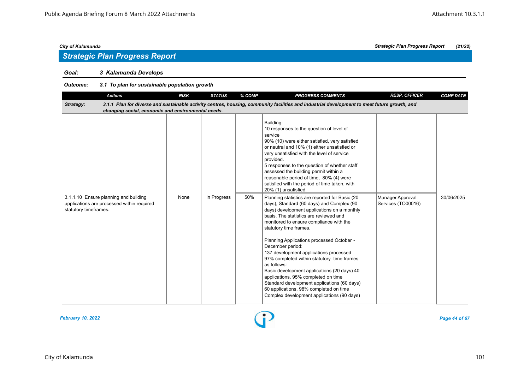# *Strategic Plan Progress Report*

# *Goal: 3 Kalamunda Develops*

| <b>Actions</b>                                                                                               | <b>RISK</b> | <b>STATUS</b> | % COMP | <b>PROGRESS COMMENTS</b>                                                                                                                                                                                                                                                                                                                                                                                                                                                                                                                                                                                                                                          | <b>RESP. OFFICER</b>                   | <b>COMP DATE</b> |
|--------------------------------------------------------------------------------------------------------------|-------------|---------------|--------|-------------------------------------------------------------------------------------------------------------------------------------------------------------------------------------------------------------------------------------------------------------------------------------------------------------------------------------------------------------------------------------------------------------------------------------------------------------------------------------------------------------------------------------------------------------------------------------------------------------------------------------------------------------------|----------------------------------------|------------------|
| Strategy:<br>changing social, economic and environmental needs.                                              |             |               |        | 3.1.1 Plan for diverse and sustainable activity centres, housing, community facilities and industrial development to meet future growth, and                                                                                                                                                                                                                                                                                                                                                                                                                                                                                                                      |                                        |                  |
|                                                                                                              |             |               |        | Building:<br>10 responses to the question of level of<br>service<br>90% (10) were either satisfied, very satisfied<br>or neutral and 10% (1) either unsatisfied or<br>very unsatisfied with the level of service<br>provided.<br>5 responses to the question of whether staff<br>assessed the building permit within a<br>reasonable period of time, 80% (4) were<br>satisfied with the period of time taken, with<br>20% (1) unsatisfied.                                                                                                                                                                                                                        |                                        |                  |
| 3.1.1.10 Ensure planning and building<br>applications are processed within required<br>statutory timeframes. | None        | In Progress   | 50%    | Planning statistics are reported for Basic (20)<br>days), Standard (60 days) and Complex (90<br>days) development applications on a monthly<br>basis. The statistics are reviewed and<br>monitored to ensure compliance with the<br>statutory time frames.<br>Planning Applications processed October -<br>December period:<br>137 development applications processed -<br>97% completed within statutory time frames<br>as follows:<br>Basic development applications (20 days) 40<br>applications, 95% completed on time<br>Standard development applications (60 days)<br>60 applications, 98% completed on time<br>Complex development applications (90 days) | Manager Approval<br>Services (TO00016) | 30/06/2025       |

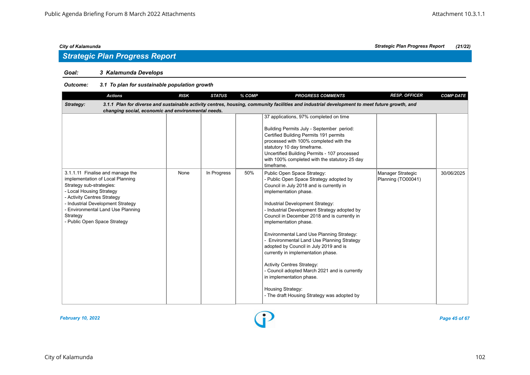# *Strategic Plan Progress Report*

# *Goal: 3 Kalamunda Develops*

| <b>Actions</b>                                                                                                                                                                                                                                                                    | <b>RISK</b> | <b>STATUS</b> | % COMP | <b>PROGRESS COMMENTS</b>                                                                                                                                                                                                                                                                                                                                                                                                                                                                                                                                                                                                                                                  | <b>RESP. OFFICER</b>                    | <b>COMP DATE</b> |
|-----------------------------------------------------------------------------------------------------------------------------------------------------------------------------------------------------------------------------------------------------------------------------------|-------------|---------------|--------|---------------------------------------------------------------------------------------------------------------------------------------------------------------------------------------------------------------------------------------------------------------------------------------------------------------------------------------------------------------------------------------------------------------------------------------------------------------------------------------------------------------------------------------------------------------------------------------------------------------------------------------------------------------------------|-----------------------------------------|------------------|
| Strategy:<br>changing social, economic and environmental needs.                                                                                                                                                                                                                   |             |               |        | 3.1.1 Plan for diverse and sustainable activity centres, housing, community facilities and industrial development to meet future growth, and                                                                                                                                                                                                                                                                                                                                                                                                                                                                                                                              |                                         |                  |
|                                                                                                                                                                                                                                                                                   |             |               |        | 37 applications, 97% completed on time<br>Building Permits July - September period:<br>Certified Building Permits 191 permits<br>processed with 100% completed with the<br>statutory 10 day timeframe.<br>Uncertified Building Permits - 107 processed<br>with 100% completed with the statutory 25 day<br>timeframe.                                                                                                                                                                                                                                                                                                                                                     |                                         |                  |
| 3.1.1.11 Finalise and manage the<br>implementation of Local Planning<br>Strategy sub-strategies:<br>- Local Housing Strategy<br>- Activity Centres Strategy<br>- Industrial Development Strategy<br>- Environmental Land Use Planning<br>Strategy<br>- Public Open Space Strategy | None        | In Progress   | 50%    | Public Open Space Strategy:<br>- Public Open Space Strategy adopted by<br>Council in July 2018 and is currently in<br>implementation phase.<br>Industrial Development Strategy:<br>- Industrial Development Strategy adopted by<br>Council in December 2018 and is currently in<br>implementation phase.<br>Environmental Land Use Planning Strategy:<br>- Environmental Land Use Planning Strategy<br>adopted by Council in July 2019 and is<br>currently in implementation phase.<br><b>Activity Centres Strategy:</b><br>- Council adopted March 2021 and is currently<br>in implementation phase.<br>Housing Strategy:<br>- The draft Housing Strategy was adopted by | Manager Strategic<br>Planning (TO00041) | 30/06/2025       |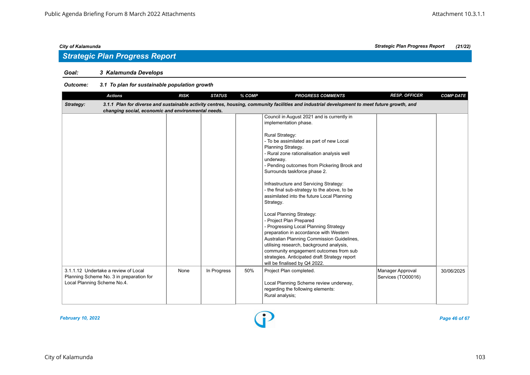# *Goal: 3 Kalamunda Develops*

|                                      | <b>Actions</b>                                     | <b>RISK</b> | <b>STATUS</b> | % COMP | <b>PROGRESS COMMENTS</b>                                                                                                                     | <b>RESP. OFFICER</b> | <b>COMP DATE</b> |
|--------------------------------------|----------------------------------------------------|-------------|---------------|--------|----------------------------------------------------------------------------------------------------------------------------------------------|----------------------|------------------|
| Strategy:                            |                                                    |             |               |        | 3.1.1 Plan for diverse and sustainable activity centres, housing, community facilities and industrial development to meet future growth, and |                      |                  |
|                                      | changing social, economic and environmental needs. |             |               |        |                                                                                                                                              |                      |                  |
|                                      |                                                    |             |               |        | Council in August 2021 and is currently in                                                                                                   |                      |                  |
|                                      |                                                    |             |               |        | implementation phase.                                                                                                                        |                      |                  |
|                                      |                                                    |             |               |        |                                                                                                                                              |                      |                  |
|                                      |                                                    |             |               |        | Rural Strategy:                                                                                                                              |                      |                  |
|                                      |                                                    |             |               |        | - To be assimilated as part of new Local                                                                                                     |                      |                  |
|                                      |                                                    |             |               |        | Planning Strategy.                                                                                                                           |                      |                  |
|                                      |                                                    |             |               |        | - Rural zone rationalisation analysis well                                                                                                   |                      |                  |
|                                      |                                                    |             |               |        | underway.<br>- Pending outcomes from Pickering Brook and                                                                                     |                      |                  |
|                                      |                                                    |             |               |        | Surrounds taskforce phase 2.                                                                                                                 |                      |                  |
|                                      |                                                    |             |               |        |                                                                                                                                              |                      |                  |
|                                      |                                                    |             |               |        | Infrastructure and Servicing Strategy:                                                                                                       |                      |                  |
|                                      |                                                    |             |               |        | - the final sub-strategy to the above, to be                                                                                                 |                      |                  |
|                                      |                                                    |             |               |        | assimilated into the future Local Planning                                                                                                   |                      |                  |
|                                      |                                                    |             |               |        | Strategy.                                                                                                                                    |                      |                  |
|                                      |                                                    |             |               |        |                                                                                                                                              |                      |                  |
|                                      |                                                    |             |               |        | Local Planning Strategy:                                                                                                                     |                      |                  |
|                                      |                                                    |             |               |        | - Project Plan Prepared                                                                                                                      |                      |                  |
|                                      |                                                    |             |               |        | - Progressing Local Planning Strategy                                                                                                        |                      |                  |
|                                      |                                                    |             |               |        | preparation in accordance with Western                                                                                                       |                      |                  |
|                                      |                                                    |             |               |        | Australian Planning Commission Guidelines,                                                                                                   |                      |                  |
|                                      |                                                    |             |               |        | utilising research, background analysis,                                                                                                     |                      |                  |
|                                      |                                                    |             |               |        | community engagement outcomes from sub                                                                                                       |                      |                  |
|                                      |                                                    |             |               |        | strategies. Anticipated draft Strategy report                                                                                                |                      |                  |
|                                      |                                                    |             |               |        | will be finalised by Q4 2022.                                                                                                                |                      |                  |
| 3.1.1.12 Undertake a review of Local |                                                    | None        | In Progress   | 50%    | Project Plan completed.                                                                                                                      | Manager Approval     | 30/06/2025       |
|                                      | Planning Scheme No. 3 in preparation for           |             |               |        |                                                                                                                                              | Services (TO00016)   |                  |
| Local Planning Scheme No.4.          |                                                    |             |               |        | Local Planning Scheme review underway,                                                                                                       |                      |                  |
|                                      |                                                    |             |               |        | regarding the following elements:                                                                                                            |                      |                  |
|                                      |                                                    |             |               |        | Rural analysis;                                                                                                                              |                      |                  |
|                                      |                                                    |             |               |        |                                                                                                                                              |                      |                  |

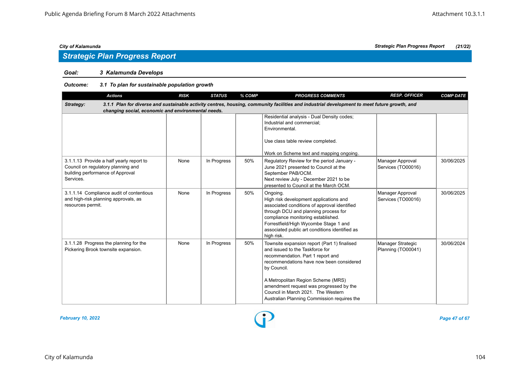# *Strategic Plan Progress Report*

# *Goal: 3 Kalamunda Develops*

| <b>Actions</b>                                                                                                                                                                                                  | <b>RISK</b> | <b>STATUS</b> | % COMP | <b>PROGRESS COMMENTS</b>                                                                                                                                                                                                                                                                                                                              | <b>RESP. OFFICER</b>                    | <b>COMP DATE</b> |  |  |  |  |
|-----------------------------------------------------------------------------------------------------------------------------------------------------------------------------------------------------------------|-------------|---------------|--------|-------------------------------------------------------------------------------------------------------------------------------------------------------------------------------------------------------------------------------------------------------------------------------------------------------------------------------------------------------|-----------------------------------------|------------------|--|--|--|--|
| 3.1.1 Plan for diverse and sustainable activity centres, housing, community facilities and industrial development to meet future growth, and<br>Strategy:<br>changing social, economic and environmental needs. |             |               |        |                                                                                                                                                                                                                                                                                                                                                       |                                         |                  |  |  |  |  |
|                                                                                                                                                                                                                 |             |               |        | Residential analysis - Dual Density codes;<br>Industrial and commercial;<br>Environmental.<br>Use class table review completed.<br>Work on Scheme text and mapping ongoing.                                                                                                                                                                           |                                         |                  |  |  |  |  |
| 3.1.1.13 Provide a half yearly report to<br>Council on regulatory planning and<br>building performance of Approval<br>Services.                                                                                 | None        | In Progress   | 50%    | Regulatory Review for the period January -<br>June 2021 presented to Council at the<br>September PAB/OCM.<br>Next review July - December 2021 to be<br>presented to Council at the March OCM.                                                                                                                                                         | Manager Approval<br>Services (TO00016)  | 30/06/2025       |  |  |  |  |
| 3.1.1.14 Compliance audit of contentious<br>and high-risk planning approvals, as<br>resources permit.                                                                                                           | None        | In Progress   | 50%    | Ongoing.<br>High risk development applications and<br>associated conditions of approval identified<br>through DCU and planning process for<br>compliance monitoring established.<br>Forrestfield/High Wycombe Stage 1 and<br>associated public art conditions identified as<br>high risk.                                                             | Manager Approval<br>Services (TO00016)  | 30/06/2025       |  |  |  |  |
| 3.1.1.28 Progress the planning for the<br>Pickering Brook townsite expansion.                                                                                                                                   | None        | In Progress   | 50%    | Townsite expansion report (Part 1) finalised<br>and issued to the Taskforce for<br>recommendation. Part 1 report and<br>recommendations have now been considered<br>by Council.<br>A Metropolitan Region Scheme (MRS)<br>amendment request was progressed by the<br>Council in March 2021. The Western<br>Australian Planning Commission requires the | Manager Strategic<br>Planning (TO00041) | 30/06/2024       |  |  |  |  |

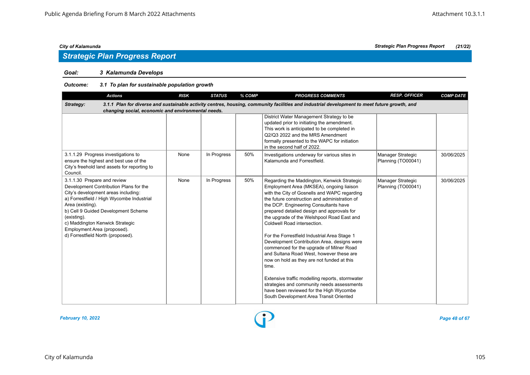# *Strategic Plan Progress Report*

# *Goal: 3 Kalamunda Develops*

| <b>Actions</b>                                                                                                                                                                                                                                                                                                                             | <b>RISK</b> | <b>STATUS</b> | % COMP | <b>PROGRESS COMMENTS</b>                                                                                                                                                                                                                                                                                                                                                                                                                                                                                                                                                                                                                                                                                                                                                                          | <b>RESP. OFFICER</b>                    | <b>COMP DATE</b> |
|--------------------------------------------------------------------------------------------------------------------------------------------------------------------------------------------------------------------------------------------------------------------------------------------------------------------------------------------|-------------|---------------|--------|---------------------------------------------------------------------------------------------------------------------------------------------------------------------------------------------------------------------------------------------------------------------------------------------------------------------------------------------------------------------------------------------------------------------------------------------------------------------------------------------------------------------------------------------------------------------------------------------------------------------------------------------------------------------------------------------------------------------------------------------------------------------------------------------------|-----------------------------------------|------------------|
| Strategy:<br>changing social, economic and environmental needs.                                                                                                                                                                                                                                                                            |             |               |        | 3.1.1 Plan for diverse and sustainable activity centres, housing, community facilities and industrial development to meet future growth, and                                                                                                                                                                                                                                                                                                                                                                                                                                                                                                                                                                                                                                                      |                                         |                  |
|                                                                                                                                                                                                                                                                                                                                            |             |               |        | District Water Management Strategy to be<br>updated prior to initiating the amendment.<br>This work is anticipated to be completed in<br>Q2/Q3 2022 and the MRS Amendment<br>formally presented to the WAPC for initiation<br>in the second half of 2022.                                                                                                                                                                                                                                                                                                                                                                                                                                                                                                                                         |                                         |                  |
| 3.1.1.29 Progress investigations to<br>ensure the highest and best use of the<br>City's freehold land assets for reporting to<br>Council.                                                                                                                                                                                                  | None        | In Progress   | 50%    | Investigations underway for various sites in<br>Kalamunda and Forrestfield.                                                                                                                                                                                                                                                                                                                                                                                                                                                                                                                                                                                                                                                                                                                       | Manager Strategic<br>Planning (TO00041) | 30/06/2025       |
| 3.1.1.30 Prepare and review<br>Development Contribution Plans for the<br>City's development areas including:<br>a) Forrestfield / High Wycombe Industrial<br>Area (existing).<br>b) Cell 9 Guided Development Scheme<br>(existing).<br>c) Maddington Kenwick Strategic<br>Employment Area (proposed).<br>d) Forrestfield North (proposed). | None        | In Progress   | 50%    | Regarding the Maddington, Kenwick Strategic<br>Employment Area (MKSEA), ongoing liaison<br>with the City of Gosnells and WAPC regarding<br>the future construction and administration of<br>the DCP. Engineering Consultants have<br>prepared detailed design and approvals for<br>the upgrade of the Welshpool Road East and<br>Coldwell Road intersection.<br>For the Forrestfield Industrial Area Stage 1<br>Development Contribution Area, designs were<br>commenced for the upgrade of Milner Road<br>and Sultana Road West, however these are<br>now on hold as they are not funded at this<br>time.<br>Extensive traffic modelling reports, stormwater<br>strategies and community needs assessments<br>have been reviewed for the High Wycombe<br>South Development Area Transit Oriented | Manager Strategic<br>Planning (TO00041) | 30/06/2025       |

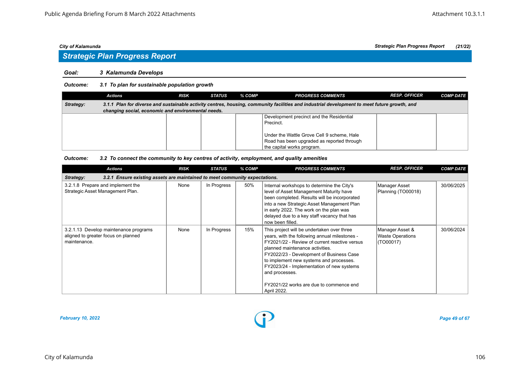# *Strategic Plan Progress Report*

### *Goal: 3 Kalamunda Develops*

### *Outcome: 3.1 To plan for sustainable population growth*

|           | Actions                                                                                                                                      | <b>RISK</b> | <b>STATUS</b> | % COMP | <b>PROGRESS COMMENTS</b>                   | <b>RESP. OFFICER</b> | <b>COMP DATE</b> |  |  |  |  |
|-----------|----------------------------------------------------------------------------------------------------------------------------------------------|-------------|---------------|--------|--------------------------------------------|----------------------|------------------|--|--|--|--|
| Strategy: | 3.1.1 Plan for diverse and sustainable activity centres, housing, community facilities and industrial development to meet future growth, and |             |               |        |                                            |                      |                  |  |  |  |  |
|           | changing social, economic and environmental needs.                                                                                           |             |               |        |                                            |                      |                  |  |  |  |  |
|           |                                                                                                                                              |             |               |        | Development precinct and the Residential   |                      |                  |  |  |  |  |
|           |                                                                                                                                              |             |               |        | Precinct.                                  |                      |                  |  |  |  |  |
|           |                                                                                                                                              |             |               |        |                                            |                      |                  |  |  |  |  |
|           |                                                                                                                                              |             |               |        | Under the Wattle Grove Cell 9 scheme, Hale |                      |                  |  |  |  |  |
|           |                                                                                                                                              |             |               |        | Road has been upgraded as reported through |                      |                  |  |  |  |  |
|           |                                                                                                                                              |             |               |        | the capital works program.                 |                      |                  |  |  |  |  |

### *Outcome: 3.2 To connect the community to key centres of activity, employment, and quality amenities*

| <b>Actions</b>                                                                               | <b>RISK</b> | <b>STATUS</b> | % COMP | <b>PROGRESS COMMENTS</b>                                                                                                                                                                                                                                                                                                                                                                        | <b>RESP. OFFICER</b>                                    | <b>COMP DATE</b> |
|----------------------------------------------------------------------------------------------|-------------|---------------|--------|-------------------------------------------------------------------------------------------------------------------------------------------------------------------------------------------------------------------------------------------------------------------------------------------------------------------------------------------------------------------------------------------------|---------------------------------------------------------|------------------|
| 3.2.1 Ensure existing assets are maintained to meet community expectations.<br>Strategy:     |             |               |        |                                                                                                                                                                                                                                                                                                                                                                                                 |                                                         |                  |
| 3.2.1.8 Prepare and implement the<br>Strategic Asset Management Plan.                        | None        | In Progress   | 50%    | Internal workshops to determine the City's<br>level of Asset Management Maturity have<br>been completed. Results will be incorporated<br>into a new Strategic Asset Management Plan<br>in early 2022. The work on the plan was<br>delayed due to a key staff vacancy that has<br>now been filled.                                                                                               | Manager Asset<br>Planning (TO00018)                     | 30/06/2025       |
| 3.2.1.13 Develop maintenance programs<br>aligned to greater focus on planned<br>maintenance. | None        | In Progress   | 15%    | This project will be undertaken over three<br>years, with the following annual milestones -<br>FY2021/22 - Review of current reactive versus<br>planned maintenance activities.<br>FY2022/23 - Development of Business Case<br>to implement new systems and processes.<br>FY2023/24 - Implementation of new systems<br>and processes.<br>FY2021/22 works are due to commence end<br>April 2022. | Manager Asset &<br><b>Waste Operations</b><br>(TO00017) | 30/06/2024       |

*February 10, 2022 Page 49 of 67*

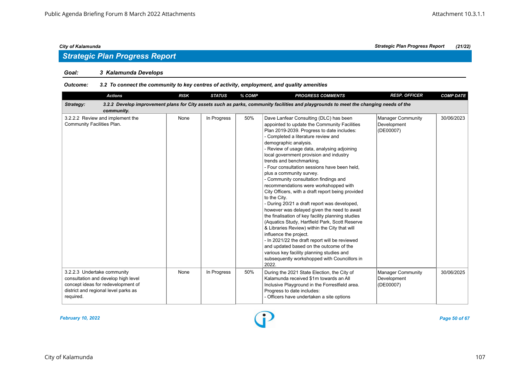# *Strategic Plan Progress Report*

# *Goal: 3 Kalamunda Develops*

### *Outcome: 3.2 To connect the community to key centres of activity, employment, and quality amenities*

| <b>Actions</b>                                                                                                                                                | <b>RISK</b> | <b>STATUS</b> | % COMP | <b>PROGRESS COMMENTS</b>                                                                                                                                                                                                                                                                                                                                                                                                                                                                                                                                                                                                                                                                                                                                                                                                                                                                                                                                                                                                                          | <b>RESP. OFFICER</b>                                 | <b>COMP DATE</b> |
|---------------------------------------------------------------------------------------------------------------------------------------------------------------|-------------|---------------|--------|---------------------------------------------------------------------------------------------------------------------------------------------------------------------------------------------------------------------------------------------------------------------------------------------------------------------------------------------------------------------------------------------------------------------------------------------------------------------------------------------------------------------------------------------------------------------------------------------------------------------------------------------------------------------------------------------------------------------------------------------------------------------------------------------------------------------------------------------------------------------------------------------------------------------------------------------------------------------------------------------------------------------------------------------------|------------------------------------------------------|------------------|
| Strategy:<br>community.                                                                                                                                       |             |               |        | 3.2.2 Develop improvement plans for City assets such as parks, community facilities and playgrounds to meet the changing needs of the                                                                                                                                                                                                                                                                                                                                                                                                                                                                                                                                                                                                                                                                                                                                                                                                                                                                                                             |                                                      |                  |
| 3.2.2.2 Review and implement the<br>Community Facilities Plan.                                                                                                | None        | In Progress   | 50%    | Dave Lanfear Consulting (DLC) has been<br>appointed to update the Community Facilities<br>Plan 2019-2039. Progress to date includes:<br>- Completed a literature review and<br>demographic analysis.<br>- Review of usage data, analysing adjoining<br>local government provision and industry<br>trends and benchmarking.<br>- Four consultation sessions have been held,<br>plus a community survey.<br>- Community consultation findings and<br>recommendations were workshopped with<br>City Officers, with a draft report being provided<br>to the City.<br>- During 20/21 a draft report was developed,<br>however was delayed given the need to await<br>the finalisation of key facility planning studies<br>(Aquatics Study, Hartfield Park, Scott Reserve<br>& Libraries Review) within the City that will<br>influence the project.<br>- In 2021/22 the draft report will be reviewed<br>and updated based on the outcome of the<br>various key facility planning studies and<br>subsequently workshopped with Councillors in<br>2022. | Manager Community<br>Development<br>(DE00007)        | 30/06/2023       |
| 3.2.2.3 Undertake community<br>consultation and develop high level<br>concept ideas for redevelopment of<br>district and regional level parks as<br>required. | None        | In Progress   | 50%    | During the 2021 State Election, the City of<br>Kalamunda received \$1m towards an All<br>Inclusive Playground in the Forrestfield area.<br>Progress to date includes:<br>- Officers have undertaken a site options                                                                                                                                                                                                                                                                                                                                                                                                                                                                                                                                                                                                                                                                                                                                                                                                                                | <b>Manager Community</b><br>Development<br>(DE00007) | 30/06/2025       |

*February 10, 2022 Page 50 of 67*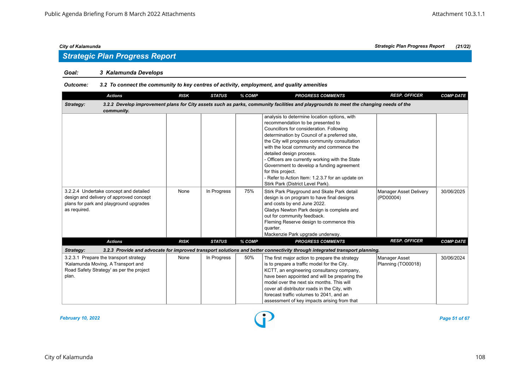# *Strategic Plan Progress Report*

# *Goal: 3 Kalamunda Develops*

### *Outcome: 3.2 To connect the community to key centres of activity, employment, and quality amenities*

| <b>Actions</b>                           | <b>RISK</b> | <b>STATUS</b> | % COMP | <b>PROGRESS COMMENTS</b>                                                                                                              | <b>RESP. OFFICER</b>          | <b>COMP DATE</b> |
|------------------------------------------|-------------|---------------|--------|---------------------------------------------------------------------------------------------------------------------------------------|-------------------------------|------------------|
| Strategy:                                |             |               |        | 3.2.2 Develop improvement plans for City assets such as parks, community facilities and playgrounds to meet the changing needs of the |                               |                  |
| community.                               |             |               |        |                                                                                                                                       |                               |                  |
|                                          |             |               |        | analysis to determine location options, with                                                                                          |                               |                  |
|                                          |             |               |        | recommendation to be presented to                                                                                                     |                               |                  |
|                                          |             |               |        | Councillors for consideration. Following                                                                                              |                               |                  |
|                                          |             |               |        | determination by Council of a preferred site,                                                                                         |                               |                  |
|                                          |             |               |        | the City will progress community consultation                                                                                         |                               |                  |
|                                          |             |               |        | with the local community and commence the                                                                                             |                               |                  |
|                                          |             |               |        | detailed design process.                                                                                                              |                               |                  |
|                                          |             |               |        | - Officers are currently working with the State                                                                                       |                               |                  |
|                                          |             |               |        | Government to develop a funding agreement                                                                                             |                               |                  |
|                                          |             |               |        | for this project.                                                                                                                     |                               |                  |
|                                          |             |               |        | - Refer to Action Item: 1.2.3.7 for an update on                                                                                      |                               |                  |
|                                          |             |               |        | Stirk Park (District Level Park).                                                                                                     |                               |                  |
| 3.2.2.4 Undertake concept and detailed   | None        | In Progress   | 75%    | Stirk Park Playground and Skate Park detail                                                                                           | <b>Manager Asset Delivery</b> | 30/06/2025       |
| design and delivery of approved concept  |             |               |        | design is on program to have final designs                                                                                            | (PD00004)                     |                  |
| plans for park and playground upgrades   |             |               |        | and costs by end June 2022.                                                                                                           |                               |                  |
| as required.                             |             |               |        | Gladys Newton Park design is complete and                                                                                             |                               |                  |
|                                          |             |               |        | out for community feedback.                                                                                                           |                               |                  |
|                                          |             |               |        | Fleming Reserve design to commence this                                                                                               |                               |                  |
|                                          |             |               |        | quarter.                                                                                                                              |                               |                  |
|                                          |             |               |        | Mackenzie Park upgrade underway.                                                                                                      |                               |                  |
| <b>Actions</b>                           | <b>RISK</b> | <b>STATUS</b> | % COMP | <b>PROGRESS COMMENTS</b>                                                                                                              | <b>RESP. OFFICER</b>          | <b>COMP DATE</b> |
| Strategy:                                |             |               |        | 3.2.3 Provide and advocate for improved transport solutions and better connectivity through integrated transport planning.            |                               |                  |
| 3.2.3.1 Prepare the transport strategy   | None        | In Progress   | 50%    | The first major action to prepare the strategy                                                                                        | Manager Asset                 | 30/06/2024       |
| 'Kalamunda Moving, A Transport and       |             |               |        | is to prepare a traffic model for the City.                                                                                           | Planning (TO00018)            |                  |
| Road Safety Strategy' as per the project |             |               |        | KCTT, an engineering consultancy company,                                                                                             |                               |                  |
| plan.                                    |             |               |        | have been appointed and will be preparing the                                                                                         |                               |                  |
|                                          |             |               |        | model over the next six months. This will                                                                                             |                               |                  |
|                                          |             |               |        | cover all distributor roads in the City, with                                                                                         |                               |                  |
|                                          |             |               |        | forecast traffic volumes to 2041, and an                                                                                              |                               |                  |
|                                          |             |               |        | assessment of key impacts arising from that                                                                                           |                               |                  |

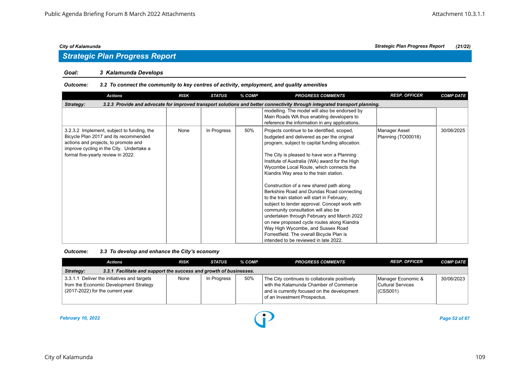### *Goal: 3 Kalamunda Develops*

### *Outcome: 3.2 To connect the community to key centres of activity, employment, and quality amenities*

| <b>Actions</b>                                                                                                                                                                                                | <b>RISK</b> | <b>STATUS</b> | % COMP | <b>PROGRESS COMMENTS</b>                                                                                                                                                                                                                                                                                                                                                                                                                                                                                                                                                                                                                                                                                                                                                                 | <b>RESP. OFFICER</b>                | <b>COMP DATE</b> |  |  |  |  |  |
|---------------------------------------------------------------------------------------------------------------------------------------------------------------------------------------------------------------|-------------|---------------|--------|------------------------------------------------------------------------------------------------------------------------------------------------------------------------------------------------------------------------------------------------------------------------------------------------------------------------------------------------------------------------------------------------------------------------------------------------------------------------------------------------------------------------------------------------------------------------------------------------------------------------------------------------------------------------------------------------------------------------------------------------------------------------------------------|-------------------------------------|------------------|--|--|--|--|--|
| 3.2.3 Provide and advocate for improved transport solutions and better connectivity through integrated transport planning.<br>Strategy:                                                                       |             |               |        |                                                                                                                                                                                                                                                                                                                                                                                                                                                                                                                                                                                                                                                                                                                                                                                          |                                     |                  |  |  |  |  |  |
|                                                                                                                                                                                                               |             |               |        | modelling. The model will also be endorsed by<br>Main Roads WA thus enabling developers to<br>reference the information in any applications.                                                                                                                                                                                                                                                                                                                                                                                                                                                                                                                                                                                                                                             |                                     |                  |  |  |  |  |  |
| 3.2.3.2 Implement, subject to funding, the<br>Bicycle Plan 2017 and its recommended<br>actions and projects, to promote and<br>improve cycling in the City. Undertake a<br>formal five-yearly review in 2022. | None        | In Progress   | 50%    | Projects continue to be identified, scoped,<br>budgeted and delivered as per the original<br>program, subject to capital funding allocation.<br>The City is pleased to have won a Planning<br>Institute of Australia (WA) award for the High<br>Wycombe Local Route, which connects the<br>Kiandra Way area to the train station.<br>Construction of a new shared path along<br>Berkshire Road and Dundas Road connecting<br>to the train station will start in February,<br>subject to tender approval. Concept work with<br>community consultation will also be<br>undertaken through February and March 2022<br>on new proposed cycle routes along Kiandra<br>Way High Wycombe, and Sussex Road<br>Forrestfield. The overall Bicycle Plan is<br>intended to be reviewed in late 2022. | Manager Asset<br>Planning (TO00018) | 30/06/2025       |  |  |  |  |  |

### *Outcome: 3.3 To develop and enhance the City's economy*

|                                                                                 | Actions                                                                                                                    | <b>RISK</b> | STATUS      | % COMP | <b>PROGRESS COMMENTS</b>                                                                                                                                              | <b>RESP. OFFICER</b>                                | <b>COMP DATE</b> |  |  |  |
|---------------------------------------------------------------------------------|----------------------------------------------------------------------------------------------------------------------------|-------------|-------------|--------|-----------------------------------------------------------------------------------------------------------------------------------------------------------------------|-----------------------------------------------------|------------------|--|--|--|
| 3.3.1 Facilitate and support the success and growth of businesses.<br>Strategy: |                                                                                                                            |             |             |        |                                                                                                                                                                       |                                                     |                  |  |  |  |
|                                                                                 | 3.3.1.1 Deliver the initiatives and targets<br>from the Economic Development Strategy<br>(2017-2022) for the current year. | None        | In Progress | 50%    | The City continues to collaborate positively<br>with the Kalamunda Chamber of Commerce<br>and is currently focused on the development<br>of an Investment Prospectus. | Manager Economic &<br>Cultural Services<br>(CSS001) | 30/06/2023       |  |  |  |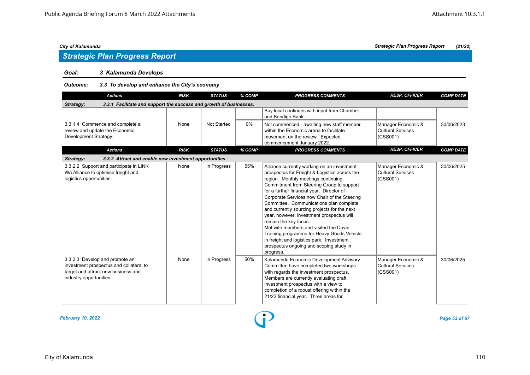# *Goal: 3 Kalamunda Develops*

# *Outcome: 3.3 To develop and enhance the City's economy*

| <b>Actions</b>                                                                                                                              | <b>RISK</b> | <b>STATUS</b>      | % COMP | <b>PROGRESS COMMENTS</b>                                                                                                                                                                                                                                                                                                                                                                                                                                                                                                                                                                                                                      | <b>RESP. OFFICER</b>                                       | <b>COMP DATE</b> |
|---------------------------------------------------------------------------------------------------------------------------------------------|-------------|--------------------|--------|-----------------------------------------------------------------------------------------------------------------------------------------------------------------------------------------------------------------------------------------------------------------------------------------------------------------------------------------------------------------------------------------------------------------------------------------------------------------------------------------------------------------------------------------------------------------------------------------------------------------------------------------------|------------------------------------------------------------|------------------|
| 3.3.1 Facilitate and support the success and growth of businesses.<br>Strategy:                                                             |             |                    |        |                                                                                                                                                                                                                                                                                                                                                                                                                                                                                                                                                                                                                                               |                                                            |                  |
|                                                                                                                                             |             |                    |        | Buy local continues with input from Chamber<br>and Bendigo Bank.                                                                                                                                                                                                                                                                                                                                                                                                                                                                                                                                                                              |                                                            |                  |
| 3.3.1.4 Commence and complete a<br>review and update the Economic<br>Development Strategy.                                                  | None        | <b>Not Started</b> | $0\%$  | Not commenced - awaiting new staff member<br>within the Economic arena to facilitate<br>movement on the review. Expected<br>commencement January 2022.                                                                                                                                                                                                                                                                                                                                                                                                                                                                                        | Manager Economic &<br><b>Cultural Services</b><br>(CSS001) | 30/06/2023       |
| <b>Actions</b>                                                                                                                              | <b>RISK</b> | <b>STATUS</b>      | % COMP | <b>PROGRESS COMMENTS</b>                                                                                                                                                                                                                                                                                                                                                                                                                                                                                                                                                                                                                      | <b>RESP. OFFICER</b>                                       | <b>COMP DATE</b> |
| 3.3.2 Attract and enable new investment opportunities.<br>Strategy:                                                                         |             |                    |        |                                                                                                                                                                                                                                                                                                                                                                                                                                                                                                                                                                                                                                               |                                                            |                  |
| 3.3.2.2 Support and participate in LINK<br>WA Alliance to optimise freight and<br>logistics opportunities.                                  | None        | In Progress        | 55%    | Alliance currently working on an investment<br>prospectus for Freight & Logistics across the<br>region. Monthly meetings continuing.<br>Commitment from Steering Group to support<br>for a further financial year. Director of<br>Corporate Services now Chair of the Steering<br>Committee. Communications plan complete<br>and currently sourcing projects for the next<br>year, however, investment prospectus will<br>remain the key focus.<br>Met with members and visited the Driver<br>Training programme for Heavy Goods Vehicle<br>in freight and logistics park. Investment<br>prospectus ongoing and scoping study in<br>progress. | Manager Economic &<br>Cultural Services<br>(CSS001)        | 30/06/2025       |
| 3.3.2.3 Develop and promote an<br>investment prospectus and collateral to<br>target and attract new business and<br>industry opportunities. | None        | In Progress        | 50%    | Kalamunda Economic Development Advisory<br>Committee have completed two workshops<br>with regards the investment prospectus.<br>Members are currently evaluating draft<br>investment prospectus with a view to<br>completion of a robust offering within the<br>21/22 financial year. Three areas for                                                                                                                                                                                                                                                                                                                                         | Manager Economic &<br>Cultural Services<br>(CSS001)        | 30/06/2025       |

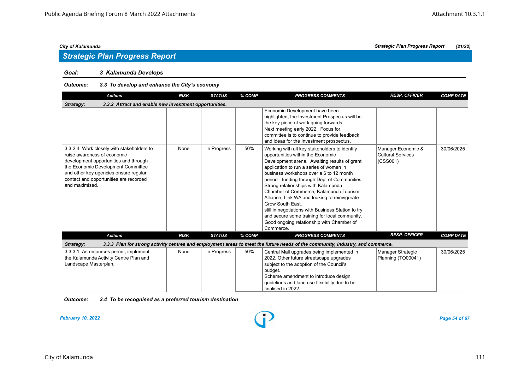# *Goal: 3 Kalamunda Develops*

# *Outcome: 3.3 To develop and enhance the City's economy*

| <b>Actions</b>                                                                                                                                                                                                                                               | <b>RISK</b> | <b>STATUS</b> | % COMP | <b>PROGRESS COMMENTS</b>                                                                                                                                                                                                                                                                                                                                                                                                                                                                                                                                                                         | <b>RESP. OFFICER</b>                                       | <b>COMP DATE</b> |  |  |  |
|--------------------------------------------------------------------------------------------------------------------------------------------------------------------------------------------------------------------------------------------------------------|-------------|---------------|--------|--------------------------------------------------------------------------------------------------------------------------------------------------------------------------------------------------------------------------------------------------------------------------------------------------------------------------------------------------------------------------------------------------------------------------------------------------------------------------------------------------------------------------------------------------------------------------------------------------|------------------------------------------------------------|------------------|--|--|--|
| 3.3.2 Attract and enable new investment opportunities.<br>Strategy:                                                                                                                                                                                          |             |               |        |                                                                                                                                                                                                                                                                                                                                                                                                                                                                                                                                                                                                  |                                                            |                  |  |  |  |
|                                                                                                                                                                                                                                                              |             |               |        | Economic Development have been<br>highlighted, the Investment Prospectus will be<br>the key piece of work going forwards.<br>Next meeting early 2022. Focus for<br>committee is to continue to provide feedback<br>and ideas for the Investment prospectus.                                                                                                                                                                                                                                                                                                                                      |                                                            |                  |  |  |  |
| 3.3.2.4 Work closely with stakeholders to<br>raise awareness of economic<br>development opportunities and through<br>the Economic Development Committee<br>and other key agencies ensure regular<br>contact and opportunities are recorded<br>and maximised. | None        | In Progress   | 50%    | Working with all key stakeholders to identify<br>opportunities within the Economic<br>Development arena. Awaiting results of grant<br>application to run a series of women in<br>business workshops over a 6 to 12 month<br>period - funding through Dept of Communities.<br>Strong relationships with Kalamunda<br>Chamber of Commerce, Kalamunda Tourism<br>Alliance, Link WA and looking to reinvigorate<br>Grow South East.<br>still in negotiations with Business Station to try<br>and secure some training for local community.<br>Good ongoing relationship with Chamber of<br>Commerce. | Manager Economic &<br><b>Cultural Services</b><br>(CSS001) | 30/06/2025       |  |  |  |
| <b>Actions</b>                                                                                                                                                                                                                                               | <b>RISK</b> | <b>STATUS</b> | % COMP | <b>PROGRESS COMMENTS</b>                                                                                                                                                                                                                                                                                                                                                                                                                                                                                                                                                                         | <b>RESP. OFFICER</b>                                       | <b>COMP DATE</b> |  |  |  |
| Strategy:                                                                                                                                                                                                                                                    |             |               |        | 3.3.3 Plan for strong activity centres and employment areas to meet the future needs of the community, industry, and commerce.                                                                                                                                                                                                                                                                                                                                                                                                                                                                   |                                                            |                  |  |  |  |
| 3.3.3.1 As resources permit, implement<br>the Kalamunda Activity Centre Plan and<br>Landscape Masterplan.                                                                                                                                                    | None        | In Progress   | 50%    | Central Mall upgrades being implemented in<br>2022. Other future streetscape upgrades<br>subject to the adoption of the Council's<br>budget.<br>Scheme amendment to introduce design<br>quidelines and land use flexibility due to be<br>finalised in 2022.                                                                                                                                                                                                                                                                                                                                      | Manager Strategic<br>Planning (TO00041)                    | 30/06/2025       |  |  |  |

*Outcome: 3.4 To be recognised as a preferred tourism destination*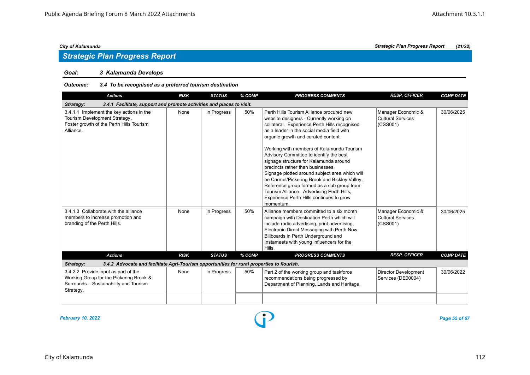# *Goal: 3 Kalamunda Develops*

# *Outcome: 3.4 To be recognised as a preferred tourism destination*

| <b>Actions</b>                                                                                                                         | <b>RISK</b> | <b>STATUS</b> | % COMP | <b>PROGRESS COMMENTS</b>                                                                                                                                                                                                                                                                                                                                                                                                                                                                                                                                                                                                                                   | <b>RESP. OFFICER</b>                                       | <b>COMP DATE</b> |  |  |  |
|----------------------------------------------------------------------------------------------------------------------------------------|-------------|---------------|--------|------------------------------------------------------------------------------------------------------------------------------------------------------------------------------------------------------------------------------------------------------------------------------------------------------------------------------------------------------------------------------------------------------------------------------------------------------------------------------------------------------------------------------------------------------------------------------------------------------------------------------------------------------------|------------------------------------------------------------|------------------|--|--|--|
| Strategy:<br>3.4.1 Facilitate, support and promote activities and places to visit.                                                     |             |               |        |                                                                                                                                                                                                                                                                                                                                                                                                                                                                                                                                                                                                                                                            |                                                            |                  |  |  |  |
| 3.4.1.1 Implement the key actions in the<br>Tourism Development Strategy.<br>Foster growth of the Perth Hills Tourism<br>Alliance.     | None        | In Progress   | 50%    | Perth Hills Tourism Alliance procured new<br>website designers - Currently working on<br>collateral. Experience Perth Hills recognised<br>as a leader in the social media field with<br>organic growth and curated content.<br>Working with members of Kalamunda Tourism<br>Advisory Committee to identify the best<br>signage structure for Kalamunda around<br>precincts rather than businesses.<br>Signage plotted around subject area which will<br>be Carmel/Pickering Brook and Bickley Valley.<br>Reference group formed as a sub group from<br>Tourism Alliance. Advertising Perth Hills,<br>Experience Perth Hills continues to grow<br>momentum. | Manager Economic &<br><b>Cultural Services</b><br>(CSS001) | 30/06/2025       |  |  |  |
| 3.4.1.3 Collaborate with the alliance<br>members to increase promotion and<br>branding of the Perth Hills.                             | None        | In Progress   | 50%    | Alliance members committed to a six month<br>campaign with Destination Perth which will<br>include radio advertising, print advertising,<br>Electronic Direct Messaging with Perth Now,<br>Billboards in Perth Underground and<br>Instameets with young influencers for the<br>Hills.                                                                                                                                                                                                                                                                                                                                                                      | Manager Economic &<br>Cultural Services<br>(CSS001)        | 30/06/2025       |  |  |  |
| <b>Actions</b>                                                                                                                         | <b>RISK</b> | <b>STATUS</b> | % COMP | <b>PROGRESS COMMENTS</b>                                                                                                                                                                                                                                                                                                                                                                                                                                                                                                                                                                                                                                   | <b>RESP. OFFICER</b>                                       | <b>COMP DATE</b> |  |  |  |
| 3.4.2 Advocate and facilitate Agri-Tourism opportunities for rural properties to flourish.<br>Strategy:                                |             |               |        |                                                                                                                                                                                                                                                                                                                                                                                                                                                                                                                                                                                                                                                            |                                                            |                  |  |  |  |
| 3.4.2.2 Provide input as part of the<br>Working Group for the Pickering Brook &<br>Surrounds - Sustainability and Tourism<br>Strategy. | None        | In Progress   | 50%    | Part 2 of the working group and taskforce<br>recommendations being progressed by<br>Department of Planning, Lands and Heritage.                                                                                                                                                                                                                                                                                                                                                                                                                                                                                                                            | <b>Director Development</b><br>Services (DE00004)          | 30/06/2022       |  |  |  |
|                                                                                                                                        |             |               |        |                                                                                                                                                                                                                                                                                                                                                                                                                                                                                                                                                                                                                                                            |                                                            |                  |  |  |  |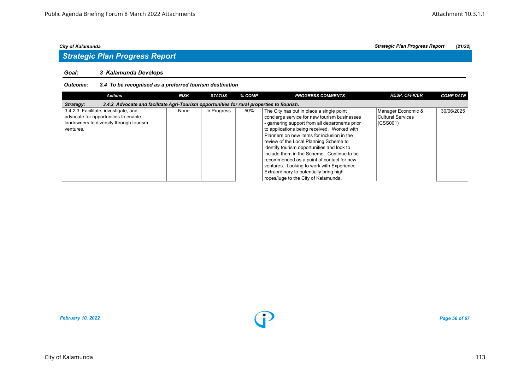# *Goal: 3 Kalamunda Develops*

# *Outcome: 3.4 To be recognised as a preferred tourism destination*

| <b>Actions</b>                                                                                                                       | <b>RISK</b> | <b>STATUS</b> | % COMP | <b>PROGRESS COMMENTS</b>                                                                                                                                                                                                                                                          | <b>RESP. OFFICER</b>                                 | <b>COMP DATE</b> |  |  |  |
|--------------------------------------------------------------------------------------------------------------------------------------|-------------|---------------|--------|-----------------------------------------------------------------------------------------------------------------------------------------------------------------------------------------------------------------------------------------------------------------------------------|------------------------------------------------------|------------------|--|--|--|
| 3.4.2 Advocate and facilitate Agri-Tourism opportunities for rural properties to flourish.<br>Strategy:                              |             |               |        |                                                                                                                                                                                                                                                                                   |                                                      |                  |  |  |  |
| 3.4.2.3 Facilitate, investigate, and<br>advocate for opportunities to enable<br>landowners to diversify through tourism<br>ventures. | None        | In Progress   | 50%    | The City has put in place a single point<br>concierge service for new tourism businesses<br>- garnering support from all departments prior<br>to applications being received. Worked with<br>Planners on new items for inclusion in the<br>review of the Local Planning Scheme to | Manager Economic &<br>Cultural Services<br> (CSS001) | 30/06/2025       |  |  |  |
|                                                                                                                                      |             |               |        | identify tourism opportunities and look to<br>include them in the Scheme. Continue to be<br>recommended as a point of contact for new<br>ventures. Looking to work with Experience<br>Extraordinary to potentially bring high<br>ropes/luge to the City of Kalamunda.             |                                                      |                  |  |  |  |



*City of Kalamunda Strategic Plan Progress Report (21/22)*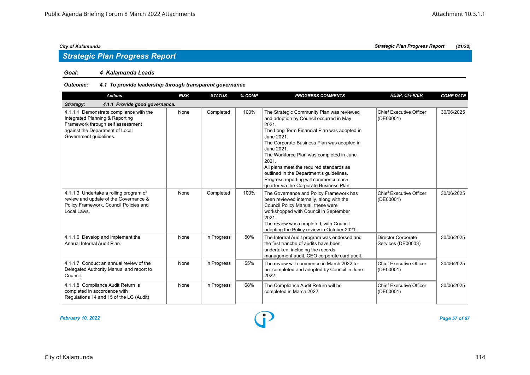### *Goal: 4 Kalamunda Leads*

# *Outcome: 4.1 To provide leadership through transparent governance*

| <b>Actions</b>                                                                                                                                                               | <b>RISK</b> | <b>STATUS</b> | % COMP | <b>PROGRESS COMMENTS</b>                                                                                                                                                                                                                                                                                                                                                                                                                                 | <b>RESP. OFFICER</b>                            | <b>COMP DATE</b> |  |  |  |
|------------------------------------------------------------------------------------------------------------------------------------------------------------------------------|-------------|---------------|--------|----------------------------------------------------------------------------------------------------------------------------------------------------------------------------------------------------------------------------------------------------------------------------------------------------------------------------------------------------------------------------------------------------------------------------------------------------------|-------------------------------------------------|------------------|--|--|--|
| 4.1.1 Provide good governance.<br>Strategy:                                                                                                                                  |             |               |        |                                                                                                                                                                                                                                                                                                                                                                                                                                                          |                                                 |                  |  |  |  |
| 4.1.1.1 Demonstrate compliance with the<br>Integrated Planning & Reporting<br>Framework through self assessment<br>against the Department of Local<br>Government guidelines. | None        | Completed     | 100%   | The Strategic Community Plan was reviewed<br>and adoption by Council occurred in May<br>2021.<br>The Long Term Financial Plan was adopted in<br>June 2021.<br>The Corporate Business Plan was adopted in<br>June 2021.<br>The Workforce Plan was completed in June<br>2021.<br>All plans meet the required standards as<br>outlined in the Department's guidelines.<br>Progress reporting will commence each<br>quarter via the Corporate Business Plan. | <b>Chief Executive Officer</b><br>(DE00001)     | 30/06/2025       |  |  |  |
| 4.1.1.3 Undertake a rolling program of<br>review and update of the Governance &<br>Policy Framework, Council Policies and<br>Local Laws.                                     | None        | Completed     | 100%   | The Governance and Policy Framework has<br>been reviewed internally, along with the<br>Council Policy Manual, these were<br>workshopped with Council in September<br>2021.<br>The review was completed, with Council<br>adopting the Policy review in October 2021.                                                                                                                                                                                      | <b>Chief Executive Officer</b><br>(DE00001)     | 30/06/2025       |  |  |  |
| 4.1.1.6 Develop and implement the<br>Annual Internal Audit Plan.                                                                                                             | None        | In Progress   | 50%    | The Internal Audit program was endorsed and<br>the first tranche of audits have been<br>undertaken, including the records<br>management audit, CEO corporate card audit.                                                                                                                                                                                                                                                                                 | <b>Director Corporate</b><br>Services (DE00003) | 30/06/2025       |  |  |  |
| 4.1.1.7 Conduct an annual review of the<br>Delegated Authority Manual and report to<br>Council.                                                                              | None        | In Progress   | 55%    | The review will commence in March 2022 to<br>be completed and adopted by Council in June<br>2022.                                                                                                                                                                                                                                                                                                                                                        | Chief Executive Officer<br>(DE00001)            | 30/06/2025       |  |  |  |
| 4.1.1.8 Compliance Audit Return is<br>completed in accordance with<br>Regulations 14 and 15 of the LG (Audit)                                                                | None        | In Progress   | 68%    | The Compliance Audit Return will be<br>completed in March 2022.                                                                                                                                                                                                                                                                                                                                                                                          | Chief Executive Officer<br>(DE00001)            | 30/06/2025       |  |  |  |

*February 10, 2022 Page 57 of 67*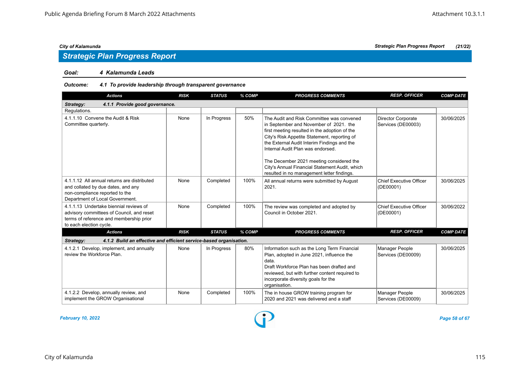### *Goal: 4 Kalamunda Leads*

# *Outcome: 4.1 To provide leadership through transparent governance*

| <b>Actions</b>                                                                                                                                            | <b>RISK</b> | <b>STATUS</b> | % COMP | <b>PROGRESS COMMENTS</b>                                                                                                                                                                                                                                                                                                                                                                                             | <b>RESP. OFFICER</b>                        | <b>COMP DATE</b> |  |  |  |
|-----------------------------------------------------------------------------------------------------------------------------------------------------------|-------------|---------------|--------|----------------------------------------------------------------------------------------------------------------------------------------------------------------------------------------------------------------------------------------------------------------------------------------------------------------------------------------------------------------------------------------------------------------------|---------------------------------------------|------------------|--|--|--|
| 4.1.1 Provide good governance.<br>Strategy:                                                                                                               |             |               |        |                                                                                                                                                                                                                                                                                                                                                                                                                      |                                             |                  |  |  |  |
| Regulations.                                                                                                                                              |             |               |        |                                                                                                                                                                                                                                                                                                                                                                                                                      |                                             |                  |  |  |  |
| 4.1.1.10 Convene the Audit & Risk<br>Committee quarterly.                                                                                                 | None        | In Progress   | 50%    | The Audit and Risk Committee was convened<br>in September and November of 2021. the<br>first meeting resulted in the adoption of the<br>City's Risk Appetite Statement, reporting of<br>the External Audit Interim Findings and the<br>Internal Audit Plan was endorsed.<br>The December 2021 meeting considered the<br>City's Annual Financial Statement Audit, which<br>resulted in no management letter findings. | Director Corporate<br>Services (DE00003)    | 30/06/2025       |  |  |  |
| 4.1.1.12 All annual returns are distributed<br>and collated by due dates, and any<br>non-compliance reported to the<br>Department of Local Government.    | None        | Completed     | 100%   | All annual returns were submitted by August<br>2021.                                                                                                                                                                                                                                                                                                                                                                 | <b>Chief Executive Officer</b><br>(DE00001) | 30/06/2025       |  |  |  |
| 4.1.1.13 Undertake biennial reviews of<br>advisory committees of Council, and reset<br>terms of reference and membership prior<br>to each election cycle. | None        | Completed     | 100%   | The review was completed and adopted by<br>Council in October 2021.                                                                                                                                                                                                                                                                                                                                                  | <b>Chief Executive Officer</b><br>(DE00001) | 30/06/2022       |  |  |  |
| <b>Actions</b>                                                                                                                                            | <b>RISK</b> | <b>STATUS</b> | % COMP | <b>PROGRESS COMMENTS</b>                                                                                                                                                                                                                                                                                                                                                                                             | <b>RESP. OFFICER</b>                        | <b>COMP DATE</b> |  |  |  |
| 4.1.2 Build an effective and efficient service-based organisation.<br>Strategy:                                                                           |             |               |        |                                                                                                                                                                                                                                                                                                                                                                                                                      |                                             |                  |  |  |  |
| 4.1.2.1 Develop, implement, and annually<br>review the Workforce Plan.                                                                                    | None        | In Progress   | 80%    | Information such as the Long Term Financial<br>Plan, adopted in June 2021, influence the<br>data.<br>Draft Workforce Plan has been drafted and<br>reviewed, but with further content required to<br>incorporate diversity goals for the<br>organisation.                                                                                                                                                             | <b>Manager People</b><br>Services (DE00009) | 30/06/2025       |  |  |  |
| 4.1.2.2 Develop, annually review, and<br>implement the GROW Organisational                                                                                | None        | Completed     | 100%   | The in house GROW training program for<br>2020 and 2021 was delivered and a staff                                                                                                                                                                                                                                                                                                                                    | Manager People<br>Services (DE00009)        | 30/06/2025       |  |  |  |

*February 10, 2022 Page 58 of 67*

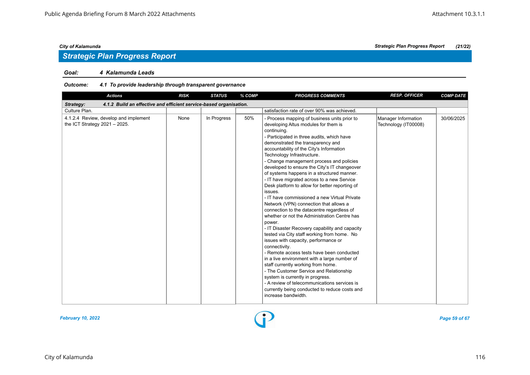# *Strategic Plan Progress Report*

### *Goal: 4 Kalamunda Leads*

# *Outcome: 4.1 To provide leadership through transparent governance*

| <b>Actions</b>                                                                  | <b>RISK</b> | <b>STATUS</b> | % COMP | <b>PROGRESS COMMENTS</b>                                                                                                                                                                                                                                                                                                                                                                                                                                                                                                                                                                                                                                                                                                                                                                                                                                                                                                                                                                                                                                                                                                                                                                                                    | <b>RESP. OFFICER</b>                        | <b>COMP DATE</b> |  |  |  |
|---------------------------------------------------------------------------------|-------------|---------------|--------|-----------------------------------------------------------------------------------------------------------------------------------------------------------------------------------------------------------------------------------------------------------------------------------------------------------------------------------------------------------------------------------------------------------------------------------------------------------------------------------------------------------------------------------------------------------------------------------------------------------------------------------------------------------------------------------------------------------------------------------------------------------------------------------------------------------------------------------------------------------------------------------------------------------------------------------------------------------------------------------------------------------------------------------------------------------------------------------------------------------------------------------------------------------------------------------------------------------------------------|---------------------------------------------|------------------|--|--|--|
| 4.1.2 Build an effective and efficient service-based organisation.<br>Strategy: |             |               |        |                                                                                                                                                                                                                                                                                                                                                                                                                                                                                                                                                                                                                                                                                                                                                                                                                                                                                                                                                                                                                                                                                                                                                                                                                             |                                             |                  |  |  |  |
| Culture Plan.                                                                   |             |               |        | satisfaction rate of over 90% was achieved.                                                                                                                                                                                                                                                                                                                                                                                                                                                                                                                                                                                                                                                                                                                                                                                                                                                                                                                                                                                                                                                                                                                                                                                 |                                             |                  |  |  |  |
| 4.1.2.4 Review, develop and implement<br>the ICT Strategy $2021 - 2025$ .       | None        | In Progress   | 50%    | - Process mapping of business units prior to<br>developing Altus modules for them is<br>continuing.<br>- Participated in three audits, which have<br>demonstrated the transparency and<br>accountability of the City's Information<br>Technology Infrastructure.<br>- Change management process and policies<br>developed to ensure the City's IT changeover<br>of systems happens in a structured manner.<br>- IT have migrated across to a new Service<br>Desk platform to allow for better reporting of<br>issues.<br>- IT have commissioned a new Virtual Private<br>Network (VPN) connection that allows a<br>connection to the datacentre regardless of<br>whether or not the Administration Centre has<br>power.<br>- IT Disaster Recovery capability and capacity<br>tested via City staff working from home. No<br>issues with capacity, performance or<br>connectivity.<br>- Remote access tests have been conducted<br>in a live environment with a large number of<br>staff currently working from home.<br>- The Customer Service and Relationship<br>system is currently in progress.<br>- A review of telecommunications services is<br>currently being conducted to reduce costs and<br>increase bandwidth. | Manager Information<br>Technology (IT00008) | 30/06/2025       |  |  |  |

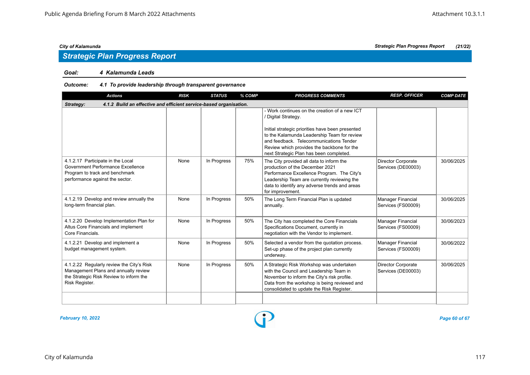# *Strategic Plan Progress Report*

### *Goal: 4 Kalamunda Leads*

# *Outcome: 4.1 To provide leadership through transparent governance*

| <b>Actions</b>                                                                                                                                 | <b>RISK</b> | <b>STATUS</b> | % COMP | <b>PROGRESS COMMENTS</b>                                                                                                                                                                                                                                                                                    | <b>RESP. OFFICER</b>                            | <b>COMP DATE</b> |  |  |  |  |
|------------------------------------------------------------------------------------------------------------------------------------------------|-------------|---------------|--------|-------------------------------------------------------------------------------------------------------------------------------------------------------------------------------------------------------------------------------------------------------------------------------------------------------------|-------------------------------------------------|------------------|--|--|--|--|
| 4.1.2 Build an effective and efficient service-based organisation.<br>Strategy:                                                                |             |               |        |                                                                                                                                                                                                                                                                                                             |                                                 |                  |  |  |  |  |
|                                                                                                                                                |             |               |        | - Work continues on the creation of a new ICT<br>/ Digital Strategy.<br>Initial strategic priorities have been presented<br>to the Kalamunda Leadership Team for review<br>and feedback. Telecommunications Tender<br>Review which provides the backbone for the<br>next Strategic Plan has been completed. |                                                 |                  |  |  |  |  |
| 4.1.2.17 Participate in the Local<br>Government Performance Excellence<br>Program to track and benchmark<br>performance against the sector.    | None        | In Progress   | 75%    | The City provided all data to inform the<br>production of the December 2021<br>Performance Excellence Program. The City's<br>Leadership Team are currently reviewing the<br>data to identify any adverse trends and areas<br>for improvement.                                                               | <b>Director Corporate</b><br>Services (DE00003) | 30/06/2025       |  |  |  |  |
| 4.1.2.19 Develop and review annually the<br>long-term financial plan.                                                                          | None        | In Progress   | 50%    | The Long Term Financial Plan is updated<br>annually.                                                                                                                                                                                                                                                        | Manager Financial<br>Services (FS00009)         | 30/06/2025       |  |  |  |  |
| 4.1.2.20 Develop Implementation Plan for<br>Altus Core Financials and implement<br>Core Financials.                                            | None        | In Progress   | 50%    | The City has completed the Core Financials<br>Specifications Document, currently in<br>negotiation with the Vendor to implement.                                                                                                                                                                            | Manager Financial<br>Services (FS00009)         | 30/06/2023       |  |  |  |  |
| 4.1.2.21 Develop and implement a<br>budget management system.                                                                                  | None        | In Progress   | 50%    | Selected a vendor from the quotation process.<br>Set-up phase of the project plan currently<br>underway.                                                                                                                                                                                                    | Manager Financial<br>Services (FS00009)         | 30/06/2022       |  |  |  |  |
| 4.1.2.22 Regularly review the City's Risk<br>Management Plans and annually review<br>the Strategic Risk Review to inform the<br>Risk Register. | None        | In Progress   | 50%    | A Strategic Risk Workshop was undertaken<br>with the Council and Leadership Team in<br>November to inform the City's risk profile.<br>Data from the workshop is being reviewed and<br>consolidated to update the Risk Register.                                                                             | <b>Director Corporate</b><br>Services (DE00003) | 30/06/2025       |  |  |  |  |
|                                                                                                                                                |             |               |        |                                                                                                                                                                                                                                                                                                             |                                                 |                  |  |  |  |  |

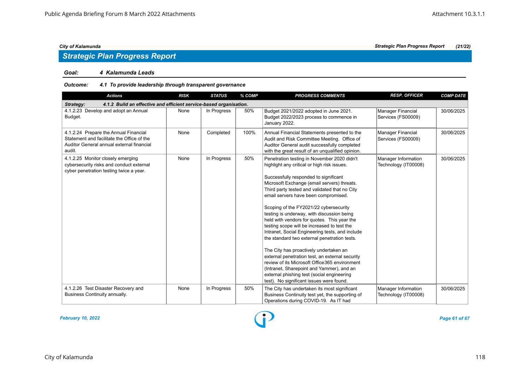### *Goal: 4 Kalamunda Leads*

# *Outcome: 4.1 To provide leadership through transparent governance*

| <b>Actions</b>                                                                                                                             | <b>RISK</b> | <b>STATUS</b> | % COMP | <b>PROGRESS COMMENTS</b>                                                                                                                                                                                                                                                                                                                                                                                                                                                                                                                                                                                                                                                                                                                                                                                                                                   | <b>RESP. OFFICER</b>                        | <b>COMP DATE</b> |  |  |  |
|--------------------------------------------------------------------------------------------------------------------------------------------|-------------|---------------|--------|------------------------------------------------------------------------------------------------------------------------------------------------------------------------------------------------------------------------------------------------------------------------------------------------------------------------------------------------------------------------------------------------------------------------------------------------------------------------------------------------------------------------------------------------------------------------------------------------------------------------------------------------------------------------------------------------------------------------------------------------------------------------------------------------------------------------------------------------------------|---------------------------------------------|------------------|--|--|--|
| 4.1.2 Build an effective and efficient service-based organisation.<br>Strategy:                                                            |             |               |        |                                                                                                                                                                                                                                                                                                                                                                                                                                                                                                                                                                                                                                                                                                                                                                                                                                                            |                                             |                  |  |  |  |
| 4.1.2.23 Develop and adopt an Annual<br>Budget.                                                                                            | None        | In Progress   | 50%    | Budget 2021/2022 adopted in June 2021.<br>Budget 2022/2023 process to commence in<br>January 2022.                                                                                                                                                                                                                                                                                                                                                                                                                                                                                                                                                                                                                                                                                                                                                         | Manager Financial<br>Services (FS00009)     | 30/06/2025       |  |  |  |
| 4.1.2.24 Prepare the Annual Financial<br>Statement and facilitate the Office of the<br>Auditor General annual external financial<br>audit. | None        | Completed     | 100%   | Annual Financial Statements presented to the<br>Audit and Risk Committee Meeting. Office of<br>Auditor General audit successfully completed<br>with the great result of an unqualified opinion.                                                                                                                                                                                                                                                                                                                                                                                                                                                                                                                                                                                                                                                            | Manager Financial<br>Services (FS00009)     | 30/06/2025       |  |  |  |
| 4.1.2.25 Monitor closely emerging<br>cybersecurity risks and conduct external<br>cyber penetration testing twice a year.                   | None        | In Progress   | 50%    | Penetration testing in November 2020 didn't<br>highlight any critical or high risk issues.<br>Successfully responded to significant<br>Microsoft Exchange (email servers) threats.<br>Third party tested and validated that no City<br>email servers have been compromised.<br>Scoping of the FY2021/22 cybersecurity<br>testing is underway, with discussion being<br>held with vendors for quotes. This year the<br>testing scope will be increased to test the<br>Intranet, Social Engineering tests, and include<br>the standard two external penetration tests.<br>The City has proactively undertaken an<br>external penetration test, an external security<br>review of its Microsoft Office 365 environment<br>(Intranet, Sharepoint and Yammer), and an<br>external phishing test (social engineering<br>test). No significant issues were found. | Manager Information<br>Technology (IT00008) | 30/06/2025       |  |  |  |
| 4.1.2.26 Test Disaster Recovery and<br>Business Continuity annually.                                                                       | None        | In Progress   | 50%    | The City has undertaken its most significant<br>Business Continuity test yet, the supporting of<br>Operations during COVID-19. As IT had                                                                                                                                                                                                                                                                                                                                                                                                                                                                                                                                                                                                                                                                                                                   | Manager Information<br>Technology (IT00008) | 30/06/2025       |  |  |  |



*February 10, 2022 Page 61 of 67*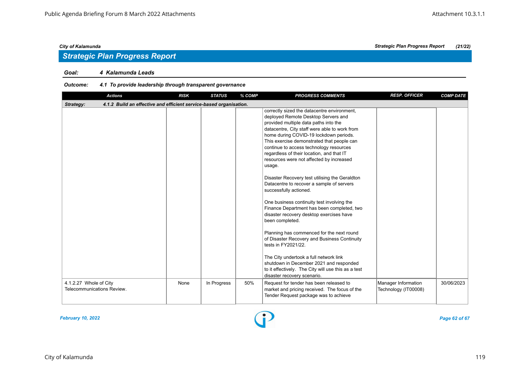### *Goal: 4 Kalamunda Leads*

# *Outcome: 4.1 To provide leadership through transparent governance*

| <b>Actions</b>                                                                  | <b>RISK</b> | <b>STATUS</b> | % COMP | <b>PROGRESS COMMENTS</b>                                                                                                                                                                                                                                                                                                                                                                                                                                                                                                                                                                                                                                                                                                                                                                                                                                                                                                                                               | <b>RESP. OFFICER</b> | <b>COMP DATE</b> |
|---------------------------------------------------------------------------------|-------------|---------------|--------|------------------------------------------------------------------------------------------------------------------------------------------------------------------------------------------------------------------------------------------------------------------------------------------------------------------------------------------------------------------------------------------------------------------------------------------------------------------------------------------------------------------------------------------------------------------------------------------------------------------------------------------------------------------------------------------------------------------------------------------------------------------------------------------------------------------------------------------------------------------------------------------------------------------------------------------------------------------------|----------------------|------------------|
| 4.1.2 Build an effective and efficient service-based organisation.<br>Strategy: |             |               |        |                                                                                                                                                                                                                                                                                                                                                                                                                                                                                                                                                                                                                                                                                                                                                                                                                                                                                                                                                                        |                      |                  |
|                                                                                 |             |               |        | correctly sized the datacentre environment,<br>deployed Remote Desktop Servers and<br>provided multiple data paths into the<br>datacentre, City staff were able to work from<br>home during COVID-19 lockdown periods.<br>This exercise demonstrated that people can<br>continue to access technology resources<br>regardless of their location, and that IT<br>resources were not affected by increased<br>usage.<br>Disaster Recovery test utilising the Geraldton<br>Datacentre to recover a sample of servers<br>successfully actioned.<br>One business continuity test involving the<br>Finance Department has been completed, two<br>disaster recovery desktop exercises have<br>been completed.<br>Planning has commenced for the next round<br>of Disaster Recovery and Business Continuity<br>tests in FY2021/22.<br>The City undertook a full network link<br>shutdown in December 2021 and responded<br>to it effectively. The City will use this as a test |                      |                  |
| 4.1.2.27 Whole of City                                                          | None        | In Progress   | 50%    | disaster recovery scenario.<br>Request for tender has been released to                                                                                                                                                                                                                                                                                                                                                                                                                                                                                                                                                                                                                                                                                                                                                                                                                                                                                                 | Manager Information  | 30/06/2023       |
| Telecommunications Review.                                                      |             |               |        | market and pricing received. The focus of the<br>Tender Request package was to achieve                                                                                                                                                                                                                                                                                                                                                                                                                                                                                                                                                                                                                                                                                                                                                                                                                                                                                 | Technology (IT00008) |                  |

*February 10, 2022 Page 62 of 67*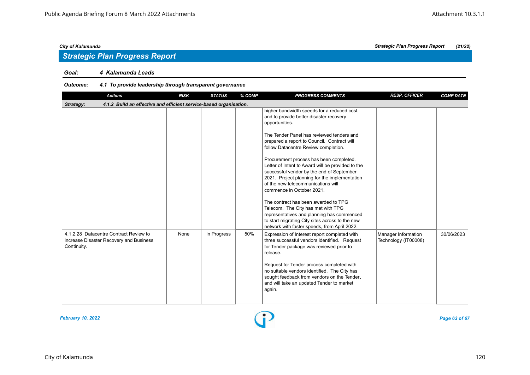# *Strategic Plan Progress Report*

### *Goal: 4 Kalamunda Leads*

# *Outcome: 4.1 To provide leadership through transparent governance*

| <b>Actions</b>                                                                                   | <b>RISK</b> | <b>STATUS</b> | % COMP | <b>PROGRESS COMMENTS</b>                                                                                                                                                                                                                                                                                                                                                                                                                                                                                                                                                                                                                                                                     | <b>RESP. OFFICER</b>                        | <b>COMP DATE</b> |  |  |  |
|--------------------------------------------------------------------------------------------------|-------------|---------------|--------|----------------------------------------------------------------------------------------------------------------------------------------------------------------------------------------------------------------------------------------------------------------------------------------------------------------------------------------------------------------------------------------------------------------------------------------------------------------------------------------------------------------------------------------------------------------------------------------------------------------------------------------------------------------------------------------------|---------------------------------------------|------------------|--|--|--|
| 4.1.2 Build an effective and efficient service-based organisation.<br>Strategy:                  |             |               |        |                                                                                                                                                                                                                                                                                                                                                                                                                                                                                                                                                                                                                                                                                              |                                             |                  |  |  |  |
|                                                                                                  |             |               |        | higher bandwidth speeds for a reduced cost,<br>and to provide better disaster recovery<br>opportunities.<br>The Tender Panel has reviewed tenders and<br>prepared a report to Council. Contract will<br>follow Datacentre Review completion.<br>Procurement process has been completed.<br>Letter of Intent to Award will be provided to the<br>successful vendor by the end of September<br>2021. Project planning for the implementation<br>of the new telecommunications will<br>commence in October 2021.<br>The contract has been awarded to TPG<br>Telecom. The City has met with TPG<br>representatives and planning has commenced<br>to start migrating City sites across to the new |                                             |                  |  |  |  |
|                                                                                                  |             |               |        | network with faster speeds, from April 2022.                                                                                                                                                                                                                                                                                                                                                                                                                                                                                                                                                                                                                                                 |                                             |                  |  |  |  |
| 4.1.2.28 Datacentre Contract Review to<br>increase Disaster Recovery and Business<br>Continuity. | None        | In Progress   | 50%    | Expression of Interest report completed with<br>three successful vendors identified. Request<br>for Tender package was reviewed prior to<br>release.<br>Request for Tender process completed with<br>no suitable vendors identified. The City has<br>sought feedback from vendors on the Tender,<br>and will take an updated Tender to market<br>again.                                                                                                                                                                                                                                                                                                                                      | Manager Information<br>Technology (IT00008) | 30/06/2023       |  |  |  |



# City of Kalamunda 120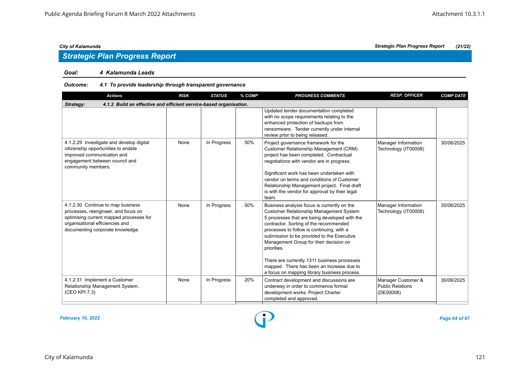### *Goal: 4 Kalamunda Leads*

# *Outcome: 4.1 To provide leadership through transparent governance*

| <b>Actions</b>                                                                                                                                                                             | <b>RISK</b> | <b>STATUS</b> | % COMP | <b>PROGRESS COMMENTS</b>                                                                                                                                                                                                                                                                                                                                                                                                                                                          | <b>RESP. OFFICER</b>                                       | <b>COMP DATE</b> |  |  |  |
|--------------------------------------------------------------------------------------------------------------------------------------------------------------------------------------------|-------------|---------------|--------|-----------------------------------------------------------------------------------------------------------------------------------------------------------------------------------------------------------------------------------------------------------------------------------------------------------------------------------------------------------------------------------------------------------------------------------------------------------------------------------|------------------------------------------------------------|------------------|--|--|--|
| 4.1.2 Build an effective and efficient service-based organisation.<br>Strategy:                                                                                                            |             |               |        |                                                                                                                                                                                                                                                                                                                                                                                                                                                                                   |                                                            |                  |  |  |  |
|                                                                                                                                                                                            |             |               |        | Updated tender documentation completed<br>with no scope requirements relating to the<br>enhanced protection of backups from<br>ransomware. Tender currently under internal<br>review prior to being released.                                                                                                                                                                                                                                                                     |                                                            |                  |  |  |  |
| 4.1.2.29 Investigate and develop digital<br>citizenship opportunities to enable<br>improved communication and<br>engagement between council and<br>community members.                      | None        | In Progress   | 50%    | Project governance framework for the<br>Customer Relationship Management (CRM)<br>project has been completed. Contractual<br>negotiations with vendor are in progress.<br>Significant work has been undertaken with<br>vendor on terms and conditions of Customer<br>Relationship Management project. Final draft<br>is with the vendor for approval by their legal<br>team.                                                                                                      | Manager Information<br>Technology (IT00008)                | 30/06/2025       |  |  |  |
| 4.1.2.30 Continue to map business<br>processes, reengineer, and focus on<br>optimising current mapped processes for<br>organisational efficiencies and<br>documenting corporate knowledge. | None        | In Progress   | 50%    | Business analysis focus is currently on the<br>Customer Relationship Management System<br>5 processes that are being developed with the<br>contractor. Sorting of the recommended<br>processes to follow is continuing, with a<br>submission to be provided to the Executive<br>Management Group for their decision on<br>priorities.<br>There are currently 1311 business processes<br>mapped. There has been an increase due to<br>a focus on mapping library business process. | Manager Information<br>Technology (IT00008)                | 30/06/2025       |  |  |  |
| 4.1.2.31 Implement a Customer<br>Relationship Management System.<br>(CEO KPI 7.3)                                                                                                          | None        | In Progress   | 20%    | Contract development and discussions are<br>underway in order to commence formal<br>development works. Project Charter<br>completed and approved.                                                                                                                                                                                                                                                                                                                                 | Manager Customer &<br><b>Public Relations</b><br>(DE00008) | 30/06/2025       |  |  |  |

*February 10, 2022 Page 64 of 67*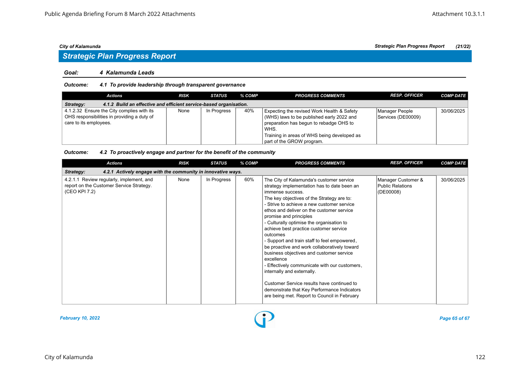### *Goal: 4 Kalamunda Leads*

### *Outcome: 4.1 To provide leadership through transparent governance*

| <b>Actions</b>                                                                                                      | <b>RISK</b> | <b>STATUS</b> | % COMP | <b>PROGRESS COMMENTS</b>                                                                                                                                                                                               | <b>RESP. OFFICER</b>                 | <b>COMP DATE</b> |  |  |  |
|---------------------------------------------------------------------------------------------------------------------|-------------|---------------|--------|------------------------------------------------------------------------------------------------------------------------------------------------------------------------------------------------------------------------|--------------------------------------|------------------|--|--|--|
| 4.1.2 Build an effective and efficient service-based organisation.<br>Strategy:                                     |             |               |        |                                                                                                                                                                                                                        |                                      |                  |  |  |  |
| 4.1.2.32 Ensure the City complies with its<br>OHS responsibilities in providing a duty of<br>care to its employees. | None        | In Progress   | 40%    | Expecting the revised Work Health & Safety<br>(WHS) laws to be published early 2022 and<br>preparation has begun to rebadge OHS to<br>WHS.<br>Training in areas of WHS being developed as<br>part of the GROW program. | Manager People<br>Services (DE00009) | 30/06/2025       |  |  |  |

### *Outcome: 4.2 To proactively engage and partner for the benefit of the community*

| <b>Actions</b>                                                                                        | <b>RISK</b> | <b>STATUS</b> | % COMP | <b>PROGRESS COMMENTS</b>                                                                                                                                                                                                                                                                                                                                                                                                                                                                                                                                                                                                                                                                                                                                                | <b>RESP. OFFICER</b>                                | <b>COMP DATE</b> |  |  |  |
|-------------------------------------------------------------------------------------------------------|-------------|---------------|--------|-------------------------------------------------------------------------------------------------------------------------------------------------------------------------------------------------------------------------------------------------------------------------------------------------------------------------------------------------------------------------------------------------------------------------------------------------------------------------------------------------------------------------------------------------------------------------------------------------------------------------------------------------------------------------------------------------------------------------------------------------------------------------|-----------------------------------------------------|------------------|--|--|--|
| 4.2.1 Actively engage with the community in innovative ways.<br>Strategy:                             |             |               |        |                                                                                                                                                                                                                                                                                                                                                                                                                                                                                                                                                                                                                                                                                                                                                                         |                                                     |                  |  |  |  |
| 4.2.1.1 Review regularly, implement, and<br>report on the Customer Service Strategy.<br>(CEO KPI 7.2) | None        | In Progress   | 60%    | The City of Kalamunda's customer service<br>strategy implementation has to date been an<br>immense success.<br>The key objectives of the Strategy are to:<br>- Strive to achieve a new customer service<br>ethos and deliver on the customer service<br>promise and principles<br>- Culturally optimise the organisation to<br>achieve best practice customer service<br>outcomes<br>- Support and train staff to feel empowered,<br>be proactive and work collaboratively toward<br>business objectives and customer service<br>excellence<br>- Effectively communicate with our customers,<br>internally and externally.<br>Customer Service results have continued to<br>demonstrate that Key Performance Indicators<br>are being met. Report to Council in February | Manager Customer &<br>Public Relations<br>(DE00008) | 30/06/2025       |  |  |  |

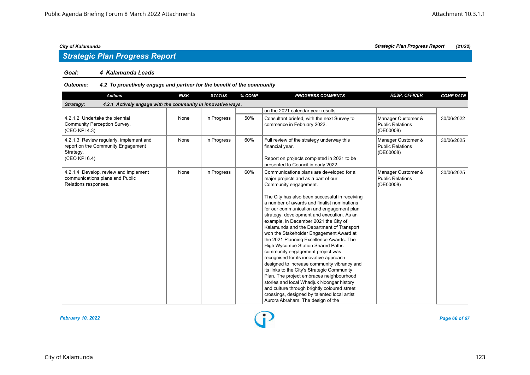# *Strategic Plan Progress Report*

### *Goal: 4 Kalamunda Leads*

# *Outcome: 4.2 To proactively engage and partner for the benefit of the community*

|                                                                           |             |     | <b>PROGRESS COMMENTS</b>                                                                                                                                                                                                                                                                                                                                                                                                                                                                                                                                                                                                                                                                                                                                                                                                                                                                      | <b>RESP. OFFICER</b>                                       | <b>COMP DATE</b> |  |  |  |  |
|---------------------------------------------------------------------------|-------------|-----|-----------------------------------------------------------------------------------------------------------------------------------------------------------------------------------------------------------------------------------------------------------------------------------------------------------------------------------------------------------------------------------------------------------------------------------------------------------------------------------------------------------------------------------------------------------------------------------------------------------------------------------------------------------------------------------------------------------------------------------------------------------------------------------------------------------------------------------------------------------------------------------------------|------------------------------------------------------------|------------------|--|--|--|--|
| 4.2.1 Actively engage with the community in innovative ways.<br>Strategy: |             |     |                                                                                                                                                                                                                                                                                                                                                                                                                                                                                                                                                                                                                                                                                                                                                                                                                                                                                               |                                                            |                  |  |  |  |  |
|                                                                           |             |     | on the 2021 calendar year results.                                                                                                                                                                                                                                                                                                                                                                                                                                                                                                                                                                                                                                                                                                                                                                                                                                                            |                                                            |                  |  |  |  |  |
| None                                                                      | In Progress | 50% | Consultant briefed, with the next Survey to<br>commence in February 2022.                                                                                                                                                                                                                                                                                                                                                                                                                                                                                                                                                                                                                                                                                                                                                                                                                     | Manager Customer &<br><b>Public Relations</b><br>(DE00008) | 30/06/2022       |  |  |  |  |
| None                                                                      | In Progress | 60% | Full review of the strategy underway this<br>financial year.<br>Report on projects completed in 2021 to be<br>presented to Council in early 2022.                                                                                                                                                                                                                                                                                                                                                                                                                                                                                                                                                                                                                                                                                                                                             | Manager Customer &<br>Public Relations<br>(DE00008)        | 30/06/2025       |  |  |  |  |
| None                                                                      | In Progress | 60% | Communications plans are developed for all<br>major projects and as a part of our<br>Community engagement.<br>The City has also been successful in receiving<br>a number of awards and finalist nominations<br>for our communication and engagement plan<br>strategy, development and execution. As an<br>example, in December 2021 the City of<br>Kalamunda and the Department of Transport<br>won the Stakeholder Engagement Award at<br>the 2021 Planning Excellence Awards. The<br>High Wycombe Station Shared Paths<br>community engagement project was<br>recognised for its innovative approach<br>designed to increase community vibrancy and<br>its links to the City's Strategic Community<br>Plan. The project embraces neighbourhood<br>stories and local Whadjuk Noongar history<br>and culture through brightly coloured street<br>crossings, designed by talented local artist | Manager Customer &<br>Public Relations<br>(DE00008)        | 30/06/2025       |  |  |  |  |
|                                                                           |             |     |                                                                                                                                                                                                                                                                                                                                                                                                                                                                                                                                                                                                                                                                                                                                                                                                                                                                                               | Aurora Abraham. The design of the                          |                  |  |  |  |  |